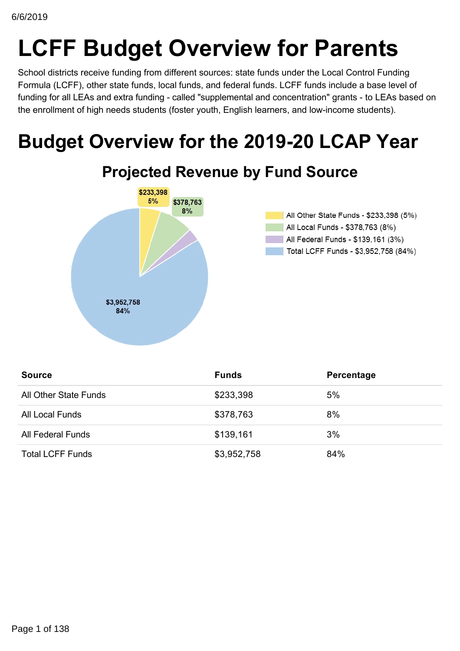# **LCFF Budget Overview for Parents**

School districts receive funding from different sources: state funds under the Local Control Funding Formula (LCFF), other state funds, local funds, and federal funds. LCFF funds include a base level of funding for all LEAs and extra funding - called "supplemental and concentration" grants - to LEAs based on the enrollment of high needs students (foster youth, English learners, and low-income students).

# **Budget Overview for the 2019-20 LCAP Year**



| <b>Source</b>            | <b>Funds</b> | Percentage |
|--------------------------|--------------|------------|
| All Other State Funds    | \$233,398    | 5%         |
| All Local Funds          | \$378,763    | 8%         |
| <b>All Federal Funds</b> | \$139,161    | 3%         |
| <b>Total LCFF Funds</b>  | \$3,952,758  | 84%        |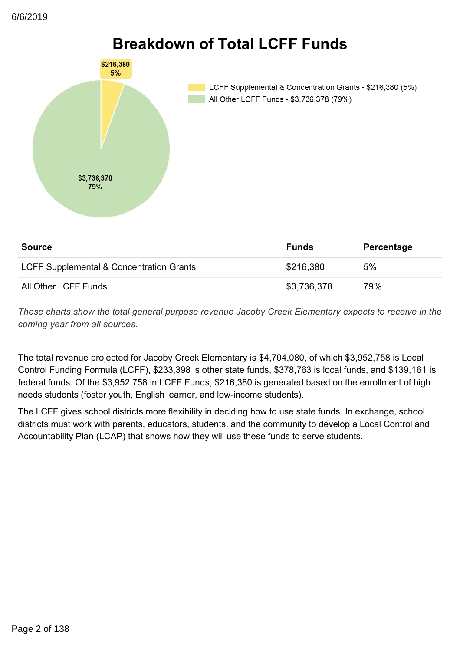

## **Breakdown of Total LCFF Funds**

LCFF Supplemental & Concentration Grants - \$216,380 (5%) All Other LCFF Funds - \$3,736,378 (79%)

| <b>Source</b>                            | <b>Funds</b> | Percentage |
|------------------------------------------|--------------|------------|
| LCFF Supplemental & Concentration Grants | \$216,380    | 5%         |
| All Other LCFF Funds                     | \$3,736,378  | 79%        |

*These charts show the total general purpose revenue Jacoby Creek Elementary expects to receive in the coming year from all sources.*

The total revenue projected for Jacoby Creek Elementary is \$4,704,080, of which \$3,952,758 is Local Control Funding Formula (LCFF), \$233,398 is other state funds, \$378,763 is local funds, and \$139,161 is federal funds. Of the \$3,952,758 in LCFF Funds, \$216,380 is generated based on the enrollment of high needs students (foster youth, English learner, and low-income students).

The LCFF gives school districts more flexibility in deciding how to use state funds. In exchange, school districts must work with parents, educators, students, and the community to develop a Local Control and Accountability Plan (LCAP) that shows how they will use these funds to serve students.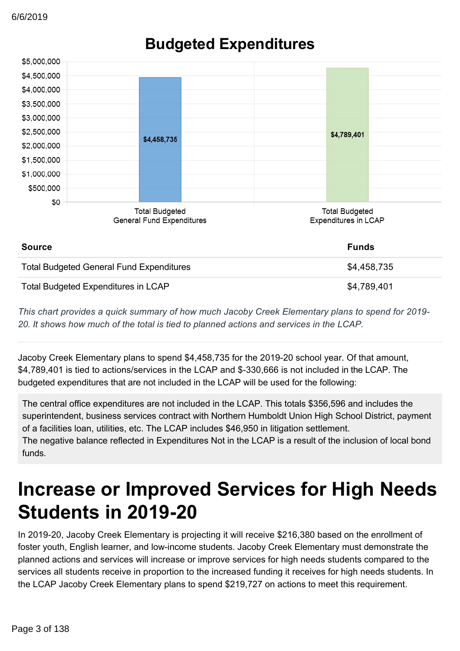

## **Budgeted Expenditures**

*This chart provides a quick summary of how much Jacoby Creek Elementary plans to spend for 2019 20. It shows how much of the total is tied to planned actions and services in the LCAP.*

Jacoby Creek Elementary plans to spend \$4,458,735 for the 2019-20 school year. Of that amount, \$4,789,401 is tied to actions/services in the LCAP and \$-330,666 is not included in the LCAP. The budgeted expenditures that are not included in the LCAP will be used for the following:

The central office expenditures are not included in the LCAP. This totals \$356,596 and includes the superintendent, business services contract with Northern Humboldt Union High School District, payment of a facilities loan, utilities, etc. The LCAP includes \$46,950 in litigation settlement. The negative balance reflected in Expenditures Not in the LCAP is a result of the inclusion of local bond funds.

## **Increase or Improved Services for High Needs Students in 2019-20**

In 2019-20, Jacoby Creek Elementary is projecting it will receive \$216,380 based on the enrollment of foster youth, English learner, and low-income students. Jacoby Creek Elementary must demonstrate the planned actions and services will increase or improve services for high needs students compared to the services all students receive in proportion to the increased funding it receives for high needs students. In the LCAP Jacoby Creek Elementary plans to spend \$219,727 on actions to meet this requirement.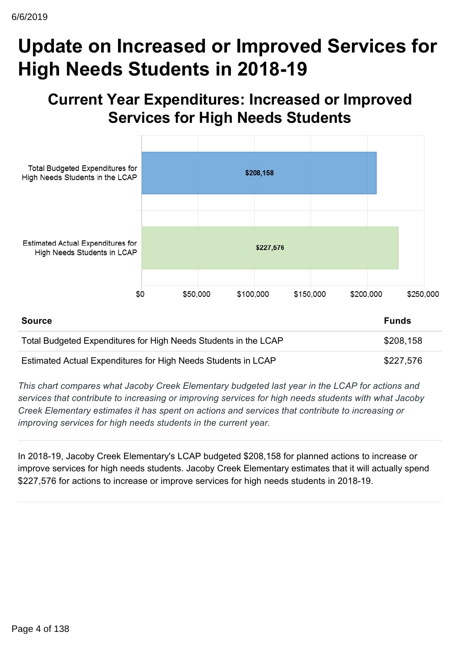## **Update on Increased or Improved Services for High Needs Students in 2018-19**

## **Current Year Expenditures: Increased or Improved Services for High Needs Students**



| Source                                                          | <b>Funds</b> |
|-----------------------------------------------------------------|--------------|
| Total Budgeted Expenditures for High Needs Students in the LCAP | \$208,158    |
| Estimated Actual Expenditures for High Needs Students in LCAP   | \$227,576    |

*This chart compares what Jacoby Creek Elementary budgeted last year in the LCAP for actions and services that contribute to increasing or improving services for high needs students with what Jacoby Creek Elementary estimates it has spent on actions and services that contribute to increasing or improving services for high needs students in the current year.*

In 2018-19, Jacoby Creek Elementary's LCAP budgeted \$208,158 for planned actions to increase or improve services for high needs students. Jacoby Creek Elementary estimates that it will actually spend \$227,576 for actions to increase or improve services for high needs students in 2018-19.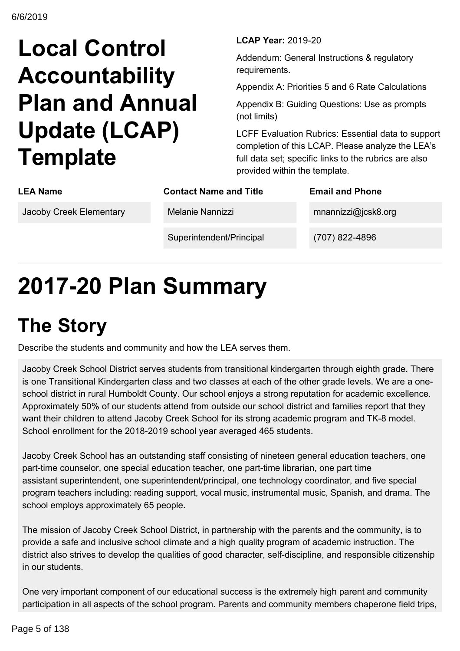# **Local Control Accountability Plan and Annual Update (LCAP) Template**

**LCAP Year: 2019-20** 

Addendum: General Instructions & regulatory requirements.

Appendix A: Priorities 5 and 6 Rate Calculations

Appendix B: Guiding Questions: Use as prompts (not limits)

LCFF Evaluation Rubrics: Essential data to support completion of this LCAP. Please analyze the LEA's full data set; specific links to the rubrics are also provided within the template.

| <b>LEA Name</b>         | <b>Contact Name and Title</b> | <b>Email and Phone</b> |
|-------------------------|-------------------------------|------------------------|
| Jacoby Creek Elementary | Melanie Nannizzi              | $m$ nannizzi@jcsk8.org |
|                         | Superintendent/Principal      | (707) 822-4896         |

# **201720 Plan Summary**

# **The Story**

Describe the students and community and how the LEA serves them.

Jacoby Creek School District serves students from transitional kindergarten through eighth grade. There is one Transitional Kindergarten class and two classes at each of the other grade levels. We are a oneschool district in rural Humboldt County. Our school enjoys a strong reputation for academic excellence. Approximately 50% of our students attend from outside our school district and families report that they want their children to attend Jacoby Creek School for its strong academic program and TK-8 model. School enrollment for the 2018-2019 school year averaged 465 students.

Jacoby Creek School has an outstanding staff consisting of nineteen general education teachers, one part-time counselor, one special education teacher, one part-time librarian, one part time assistant superintendent, one superintendent/principal, one technology coordinator, and five special program teachers including: reading support, vocal music, instrumental music, Spanish, and drama. The school employs approximately 65 people.

The mission of Jacoby Creek School District, in partnership with the parents and the community, is to provide a safe and inclusive school climate and a high quality program of academic instruction. The district also strives to develop the qualities of good character, self-discipline, and responsible citizenship in our students.

One very important component of our educational success is the extremely high parent and community participation in all aspects of the school program. Parents and community members chaperone field trips,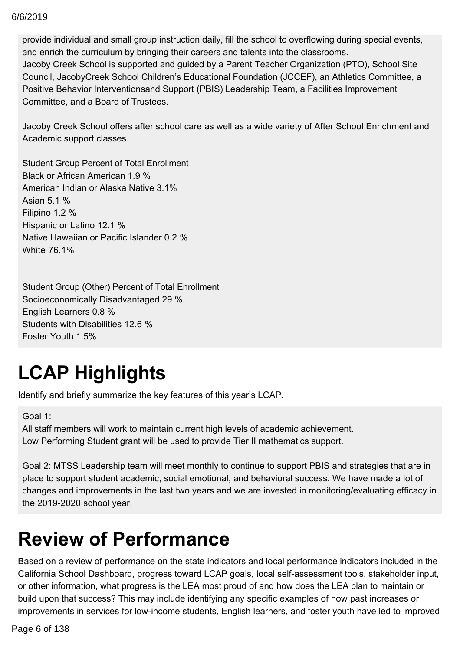#### $\delta/2019$ 6/6/2019

provide individual and small group instruction daily, fill the school to overflowing during special events, and enrich the curriculum by bringing their careers and talents into the classrooms. Jacoby Creek School is supported and guided by a Parent Teacher Organization (PTO), School Site Council, JacobyCreek School Children's Educational Foundation (JCCEF), an Athletics Committee, a Positive Behavior Interventionsand Support (PBIS) Leadership Team, a Facilities Improvement Committee, and a Board of Trustees.

Jacoby Creek School offers after school care as well as a wide variety of After School Enrichment and Academic support classes.

Student Group Percent of Total Enrollment Black or African American 1.9 % American Indian or Alaska Native 3.1% Asian 5.1 % Filipino 1.2 % Hispanic or Latino 12.1 % Native Hawaiian or Pacific Islander 0.2 % White 76.1%

Student Group (Other) Percent of Total Enrollment Socioeconomically Disadvantaged 29 % English Learners 0.8 % Students with Disabilities 12.6 % Foster Youth 1.5%

# **LCAP Highlights**

Identify and briefly summarize the key features of this year's LCAP.

Goal 1:

All staff members will work to maintain current high levels of academic achievement. Low Performing Student grant will be used to provide Tier II mathematics support.

Goal 2: MTSS Leadership team will meet monthly to continue to support PBIS and strategies that are in place to support student academic, social emotional, and behavioral success. We have made a lot of changes and improvements in the last two years and we are invested in monitoring/evaluating efficacy in the  $2019-2020$  school year.

## **Review of Performance**

Based on a review of performance on the state indicators and local performance indicators included in the California School Dashboard, progress toward LCAP goals, local self-assessment tools, stakeholder input, or other information, what progress is the LEA most proud of and how does the LEA plan to maintain or build upon that success? This may include identifying any specific examples of how past increases or improvements in services for low-income students, English learners, and foster youth have led to improved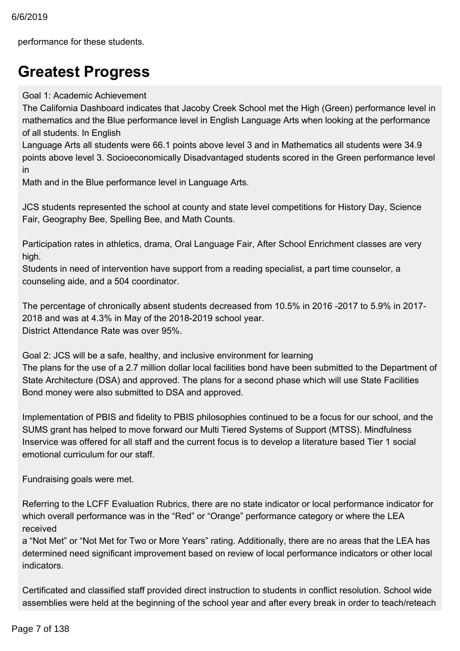performance for these students.

## **Greatest Progress**

### Goal 1: Academic Achievement

The California Dashboard indicates that Jacoby Creek School met the High (Green) performance level in mathematics and the Blue performance level in English Language Arts when looking at the performance of all students. In English

Language Arts all students were 66.1 points above level 3 and in Mathematics all students were 34.9 points above level 3. Socioeconomically Disadvantaged students scored in the Green performance level in

Math and in the Blue performance level in Language Arts.

JCS students represented the school at county and state level competitions for History Day, Science Fair, Geography Bee, Spelling Bee, and Math Counts.

Participation rates in athletics, drama, Oral Language Fair, After School Enrichment classes are very high.

Students in need of intervention have support from a reading specialist, a part time counselor, a counseling aide, and a 504 coordinator.

The percentage of chronically absent students decreased from 10.5% in 2016 -2017 to 5.9% in 2017-2018 and was at 4.3% in May of the 2018-2019 school year. District Attendance Rate was over 95%.

Goal 2: JCS will be a safe, healthy, and inclusive environment for learning The plans for the use of a 2.7 million dollar local facilities bond have been submitted to the Department of State Architecture (DSA) and approved. The plans for a second phase which will use State Facilities Bond money were also submitted to DSA and approved.

Implementation of PBIS and fidelity to PBIS philosophies continued to be a focus for our school, and the SUMS grant has helped to move forward our Multi Tiered Systems of Support (MTSS). Mindfulness Inservice was offered for all staff and the current focus is to develop a literature based Tier 1 social emotional curriculum for our staff.

Fundraising goals were met.

Referring to the LCFF Evaluation Rubrics, there are no state indicator or local performance indicator for which overall performance was in the "Red" or "Orange" performance category or where the LEA received

a "Not Met" or "Not Met for Two or More Years" rating. Additionally, there are no areas that the LEA has determined need significant improvement based on review of local performance indicators or other local indicators.

Certificated and classified staff provided direct instruction to students in conflict resolution. School wide assemblies were held at the beginning of the school year and after every break in order to teach/reteach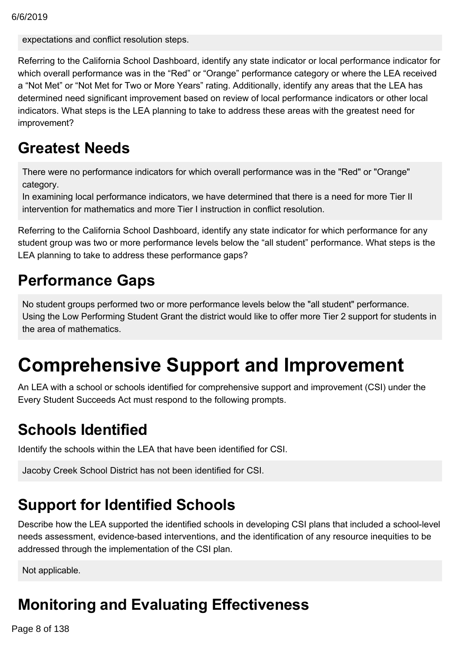expectations and conflict resolution steps.

Referring to the California School Dashboard, identify any state indicator or local performance indicator for which overall performance was in the "Red" or "Orange" performance category or where the LEA received a "Not Met" or "Not Met for Two or More Years" rating. Additionally, identify any areas that the LEA has determined need significant improvement based on review of local performance indicators or other local indicators. What steps is the LEA planning to take to address these areas with the greatest need for improvement?

## **Greatest Needs**

There were no performance indicators for which overall performance was in the "Red" or "Orange" category.

In examining local performance indicators, we have determined that there is a need for more Tier II intervention for mathematics and more Tier I instruction in conflict resolution.

Referring to the California School Dashboard, identify any state indicator for which performance for any student group was two or more performance levels below the "all student" performance. What steps is the LEA planning to take to address these performance gaps?

## **Performance Gaps**

No student groups performed two or more performance levels below the "all student" performance. Using the Low Performing Student Grant the district would like to offer more Tier 2 support for students in the area of mathematics.

## **Comprehensive Support and Improvement**

An LEA with a school or schools identified for comprehensive support and improvement (CSI) under the Every Student Succeeds Act must respond to the following prompts.

## **Schools Identified**

Identify the schools within the LEA that have been identified for CSI.

Jacoby Creek School District has not been identified for CSI.

## **Support for Identified Schools**

Describe how the LEA supported the identified schools in developing CSI plans that included a school-level needs assessment, evidence-based interventions, and the identification of any resource inequities to be addressed through the implementation of the CSI plan.

Not applicable.

## **Monitoring and Evaluating Effectiveness**

 $200.8$  of 129 support student and school improvement. Page 8 of 138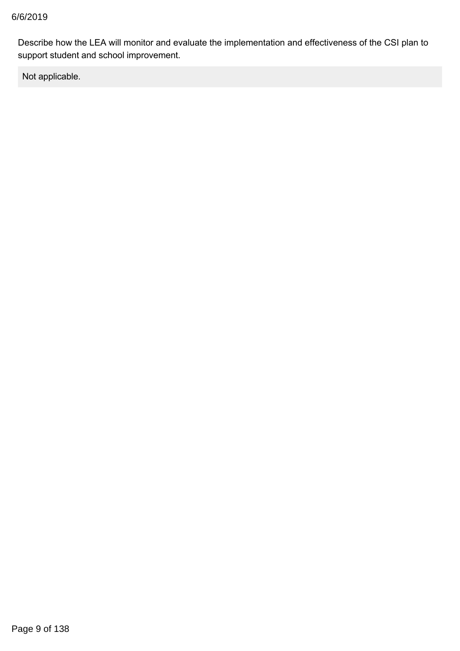Describe how the LEA will monitor and evaluate the implementation and effectiveness of the CSI plan to support student and school improvement.

Not applicable.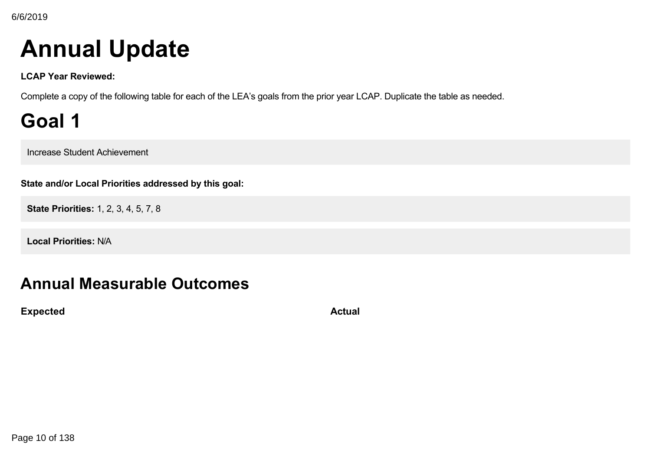# **Annual Update**

**LCAP Year Reviewed:**

Complete a copy of the following table for each of the LEA's goals from the prior year LCAP. Duplicate the table as needed.

**Goal 1**

Increase Student Achievement

**State and/or Local Priorities addressed by this goal:**

**State Priorities:** 1, 2, 3, 4, 5, 7, 8

**Local Priorities:** N/A

## **Annual Measurable Outcomes**

**Expected Actual**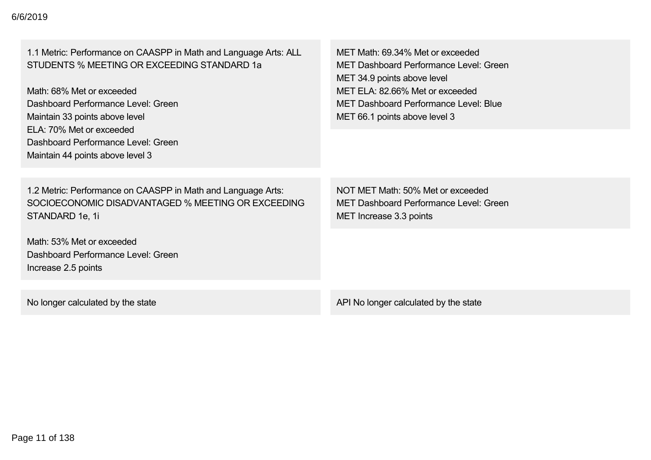| 1.1 Metric: Performance on CAASPP in Math and Language Arts: ALL<br>STUDENTS % MEETING OR EXCEEDING STANDARD 1a<br>Math: 68% Met or exceeded<br>Dashboard Performance Level: Green<br>Maintain 33 points above level<br>ELA: 70% Met or exceeded<br>Dashboard Performance Level: Green | MET Math: 69.34% Met or exceeded<br><b>MET Dashboard Performance Level: Green</b><br>MET 34.9 points above level<br>MET ELA: 82.66% Met or exceeded<br><b>MET Dashboard Performance Level: Blue</b><br>MET 66.1 points above level 3 |
|----------------------------------------------------------------------------------------------------------------------------------------------------------------------------------------------------------------------------------------------------------------------------------------|--------------------------------------------------------------------------------------------------------------------------------------------------------------------------------------------------------------------------------------|
| Maintain 44 points above level 3                                                                                                                                                                                                                                                       |                                                                                                                                                                                                                                      |
| 1.2 Metric: Performance on CAASPP in Math and Language Arts:<br>SOCIOECONOMIC DISADVANTAGED % MEETING OR EXCEEDING<br>STANDARD 1e, 1i                                                                                                                                                  | NOT MET Math: 50% Met or exceeded<br>MET Dashboard Performance Level: Green<br>MET Increase 3.3 points                                                                                                                               |
| Math: 53% Met or exceeded<br>Dashboard Performance Level: Green<br>Increase 2.5 points                                                                                                                                                                                                 |                                                                                                                                                                                                                                      |
| No longer calculated by the state                                                                                                                                                                                                                                                      | API No longer calculated by the state                                                                                                                                                                                                |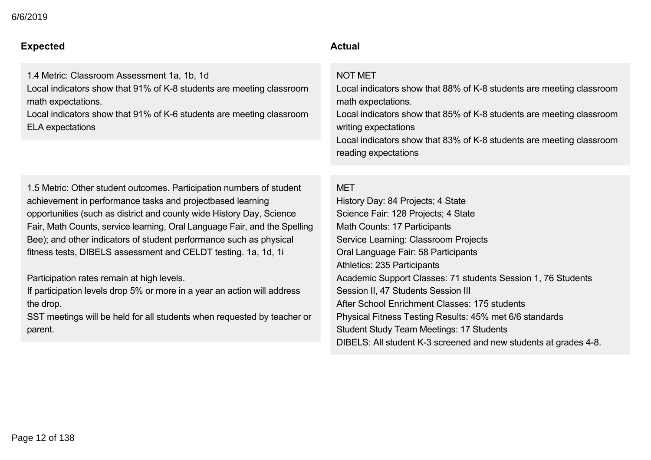#### **Expected Actual**  $\Delta$

1.4 Metric: Classroom Assessment 1a, 1b, 1d Local indicators show that 91% of K-8 students are meeting classroom math expectations.

Local indicators show that 91% of K-6 students are meeting classroom ELA expectations

1.5 Metric: Other student outcomes. Participation numbers of student achievement in performance tasks and projectbased learning opportunities (such as district and county wide History Day, Science Fair, Math Counts, service learning, Oral Language Fair, and the Spelling Bee); and other indicators of student performance such as physical fitness tests, DIBELS assessment and CELDT testing. 1a, 1d, 1i

Participation rates remain at high levels.

If participation levels drop 5% or more in a year an action will address the drop.

SST meetings will be held for all students when requested by teacher or parent.

## NOT MET

Local indicators show that 88% of K-8 students are meeting classroom math expectations.

Local indicators show that 85% of K-8 students are meeting classroom writing expectations

Local indicators show that 83% of K-8 students are meeting classroom reading expectations

### MET

History Day: 84 Projects; 4 State Science Fair: 128 Projects; 4 State Math Counts: 17 Participants Service Learning: Classroom Projects Oral Language Fair: 58 Participants Athletics: 235 Participants Academic Support Classes: 71 students Session 1, 76 Students Session II, 47 Students Session III After School Enrichment Classes: 175 students Physical Fitness Testing Results: 45% met 6/6 standards Student Study Team Meetings: 17 Students DIBELS: All student K-3 screened and new students at grades 4-8.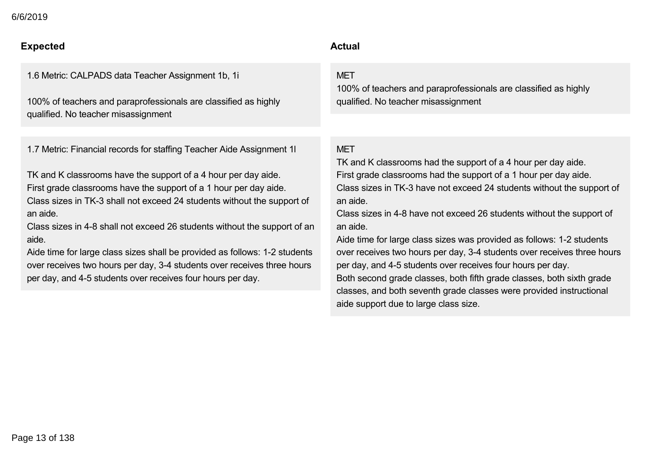$\sim$  2019 6/6/2019

## **Expected Actual**

1.6 Metric: CALPADS data Teacher Assignment 1b, 1i

100% of teachers and paraprofessionals are classified as highly qualified. No teacher misassignment

1.7 Metric: Financial records for staffing Teacher Aide Assignment 1l

TK and K classrooms have the support of a 4 hour per day aide. First grade classrooms have the support of a 1 hour per day aide. Class sizes in TK-3 shall not exceed 24 students without the support of an aide.

Class sizes in 4-8 shall not exceed 26 students without the support of an aide.

Aide time for large class sizes shall be provided as follows: 1-2 students over receives two hours per day, 3-4 students over receives three hours per day, and 45 students over receives four hours per day.

## DIBELS: All student K3 screened and new students at grades 48.

## **MFT**

100% of teachers and paraprofessionals are classified as highly qualified. No teacher misassignment

## **MFT**

TK and K classrooms had the support of a 4 hour per day aide. First grade classrooms had the support of a 1 hour per day aide. Class sizes in TK-3 have not exceed 24 students without the support of an aide.

Class sizes in 4-8 have not exceed 26 students without the support of an aide.

Aide time for large class sizes was provided as follows: 1-2 students over receives two hours per day, 3-4 students over receives three hours per day, and 45 students over receives four hours per day. Both second grade classes, both fifth grade classes, both sixth grade classes, and both seventh grade classes were provided instructional aide support due to large class size.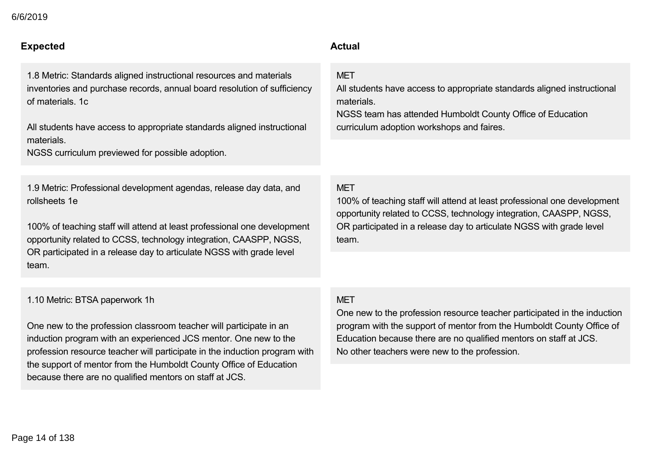## **Expected Actual**

1.8 Metric: Standards aligned instructional resources and materials inventories and purchase records, annual board resolution of sufficiency of materials. 1c

All students have access to appropriate standards aligned instructional materials.

NGSS curriculum previewed for possible adoption.

1.9 Metric: Professional development agendas, release day data, and rollsheets 1e

100% of teaching staff will attend at least professional one development opportunity related to CCSS, technology integration, CAASPP, NGSS, OR participated in a release day to articulate NGSS with grade level team.

## $\alpha$ ide support due to large class size.

## **MFT**

All students have access to appropriate standards aligned instructional materials.

NGSS team has attended Humboldt County Office of Education curriculum adoption workshops and faires.

### MET

100% of teaching staff will attend at least professional one development opportunity related to CCSS, technology integration, CAASPP, NGSS, OR participated in a release day to articulate NGSS with grade level team.

#### 1.10 Metric: BTSA paperwork 1h

One new to the profession classroom teacher will participate in an induction program with an experienced JCS mentor. One new to the profession resource teacher will participate in the induction program with the support of mentor from the Humboldt County Office of Education because there are no qualified mentors on staff at JCS.

## MET

One new to the profession resource teacher participated in the induction program with the support of mentor from the Humboldt County Office of Education because there are no qualified mentors on staff at JCS. No other teachers were new to the profession.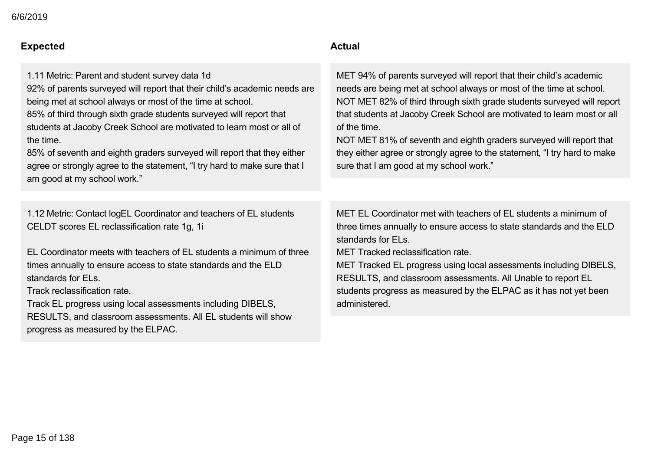#### **Expected Actual** because there are no qualified mentors on staff at JCS.

1.11 Metric: Parent and student survey data 1d

92% of parents surveyed will report that their child's academic needs are being met at school always or most of the time at school.

85% of third through sixth grade students surveyed will report that students at Jacoby Creek School are motivated to learn most or all of the time.

85% of seventh and eighth graders surveyed will report that they either agree or strongly agree to the statement, "I try hard to make sure that I am good at my school work."

1.12 Metric: Contact logEL Coordinator and teachers of EL students CELDT scores EL reclassification rate 1g, 1i

EL Coordinator meets with teachers of EL students a minimum of three times annually to ensure access to state standards and the ELD standards for ELs.

Track reclassification rate.

Track EL progress using local assessments including DIBELS, RESULTS, and classroom assessments. All EL students will show progress as measured by the ELPAC.

MET 94% of parents surveyed will report that their child's academic needs are being met at school always or most of the time at school. NOT MET 82% of third through sixth grade students surveyed will report that students at Jacoby Creek School are motivated to learn most or all of the time.

NOT MET 81% of seventh and eighth graders surveyed will report that they either agree or strongly agree to the statement, "I try hard to make sure that I am good at my school work."

MET EL Coordinator met with teachers of EL students a minimum of three times annually to ensure access to state standards and the ELD standards for ELs.

MET Tracked reclassification rate.

MET Tracked EL progress using local assessments including DIBELS, RESULTS, and classroom assessments. All Unable to report EL students progress as measured by the ELPAC as it has not yet been administered.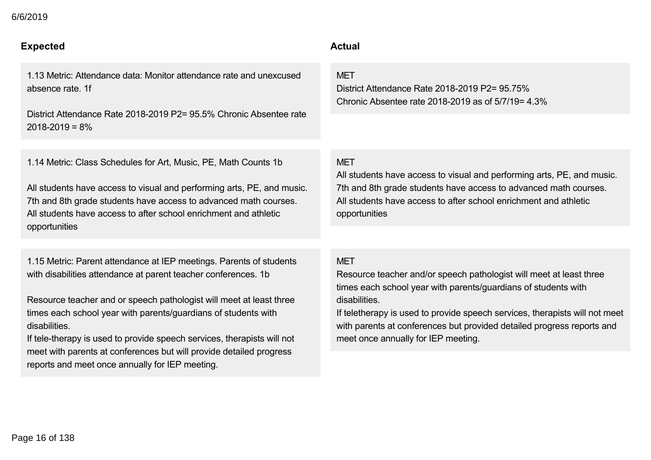## **Expected Actual**

1.13 Metric: Attendance data: Monitor attendance rate and unexcused absence rate. 1f

District Attendance Rate 2018-2019 P2= 95.5% Chronic Absentee rate  $2018 - 2019 = 8\%$ 

1.14 Metric: Class Schedules for Art, Music, PE, Math Counts 1b

All students have access to visual and performing arts, PE, and music. 7th and 8th grade students have access to advanced math courses. All students have access to after school enrichment and athletic opportunities

1.15 Metric: Parent attendance at IEP meetings. Parents of students with disabilities attendance at parent teacher conferences. 1b

Resource teacher and or speech pathologist will meet at least three times each school year with parents/guardians of students with disabilities.

If tele-therapy is used to provide speech services, therapists will not meet with parents at conferences but will provide detailed progress reports and meet once annually for IEP meeting.

**MFT** 

District Attendance Rate 2018-2019 P2= 95.75% Chronic Absentee rate 2018-2019 as of  $5/7/19= 4.3\%$ 

### **MFT**

All students have access to visual and performing arts, PE, and music. 7th and 8th grade students have access to advanced math courses. All students have access to after school enrichment and athletic opportunities

#### MET

Resource teacher and/or speech pathologist will meet at least three times each school year with parents/guardians of students with disabilities.

If teletherapy is used to provide speech services, therapists will not meet with parents at conferences but provided detailed progress reports and meet once annually for IEP meeting.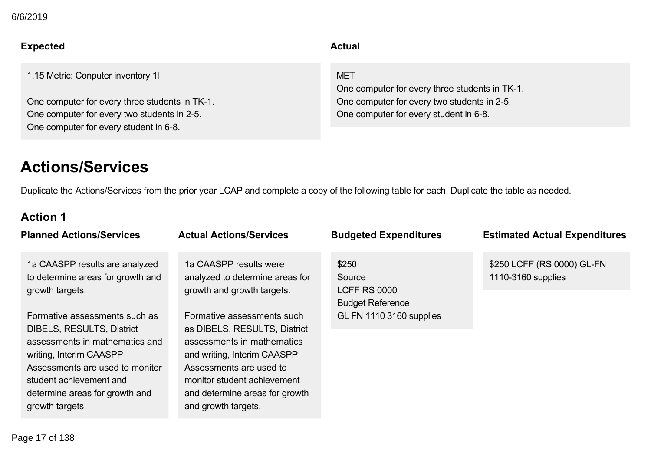## **Expected Actual**

1.15 Metric: Conputer inventory 1l

One computer for every three students in TK-1. One computer for every two students in 2-5. One computer for every student in 6-8.

MET

One computer for every three students in TK-1. One computer for every two students in 2-5. One computer for every student in 6-8.

## **Actions/Services**

Duplicate the Actions/Services from the prior year LCAP and complete a copy of the following table for each. Duplicate the table as needed.

## **Action 1**

| <b>Planned Actions/Services</b>                                                                                                                                                                                                                   | <b>Actual Actions/Services</b>                                                                                                                                                                                                             | <b>Budgeted Expenditures</b>                                      | <b>Estimated Actual Expenditures</b>             |
|---------------------------------------------------------------------------------------------------------------------------------------------------------------------------------------------------------------------------------------------------|--------------------------------------------------------------------------------------------------------------------------------------------------------------------------------------------------------------------------------------------|-------------------------------------------------------------------|--------------------------------------------------|
| 1a CAASPP results are analyzed<br>to determine areas for growth and<br>growth targets.                                                                                                                                                            | 1a CAASPP results were<br>analyzed to determine areas for<br>growth and growth targets.                                                                                                                                                    | \$250<br>Source<br><b>LCFF RS 0000</b><br><b>Budget Reference</b> | \$250 LCFF (RS 0000) GL-FN<br>1110-3160 supplies |
| Formative assessments such as<br><b>DIBELS, RESULTS, District</b><br>assessments in mathematics and<br>writing, Interim CAASPP<br>Assessments are used to monitor<br>student achievement and<br>determine areas for growth and<br>growth targets. | Formative assessments such<br>as DIBELS, RESULTS, District<br>assessments in mathematics<br>and writing, Interim CAASPP<br>Assessments are used to<br>monitor student achievement<br>and determine areas for growth<br>and growth targets. | <b>GL FN 1110 3160 supplies</b>                                   |                                                  |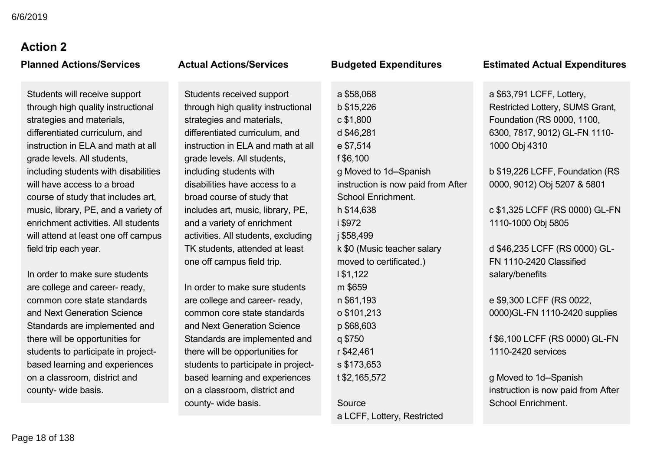# **Action 2**

Students will receive support through high quality instructional strategies and materials, differentiated curriculum, and instruction in ELA and math at all grade levels. All students, including students with disabilities will have access to a broad course of study that includes art, music, library, PE, and a variety of enrichment activities. All students will attend at least one off campus field trip each year.

In order to make sure students are college and career- ready, common core state standards and Next Generation Science Standards are implemented and there will be opportunities for students to participate in projectbased learning and experiences on a classroom, district and county- wide basis.

Students received support through high quality instructional strategies and materials, differentiated curriculum, and instruction in ELA and math at all grade levels. All students, including students with disabilities have access to a broad course of study that includes art, music, library, PE, and a variety of enrichment activities. All students, excluding TK students, attended at least one off campus field trip.

In order to make sure students are college and career- ready, common core state standards and Next Generation Science Standards are implemented and there will be opportunities for students to participate in projectbased learning and experiences on a classroom, district and county- wide basis.

## a \$58,068 b \$15,226 c \$1,800 d \$46,281 e \$7,514 f \$6,100 g Moved to 1d--Spanish instruction is now paid from After School Enrichment. h \$14,638 i \$972 j \$58,499 k \$0 (Music teacher salary moved to certificated.) l \$1,122 m \$659 n \$61,193 o \$101,213 p \$68,603 q \$750 r \$42,461 s \$173,653 t \$2,165,572 Source

a LCFF, Lottery, Restricted

### **Planned Actions/Services Actual Actions/Services Budgeted Expenditures Estimated Actual Expenditures**

a \$63,791 LCFF, Lottery, Restricted Lottery, SUMS Grant, Foundation (RS 0000, 1100, 6300, 7817, 9012) GL-FN 1110-1000 Obj 4310

b \$19,226 LCFF, Foundation (RS 0000, 9012) Obj 5207 & 5801

c \$1,325 LCFF (RS 0000) GLFN 1110-1000 Obj 5805

d \$46,235 LCFF (RS 0000) GL-FN 11102420 Classified salary/benefits

e \$9,300 LCFF (RS 0022, 0000)GL-FN 1110-2420 supplies

f \$6,100 LCFF (RS 0000) GLFN 11102420 services

g Moved to 1d--Spanish instruction is now paid from After School Enrichment.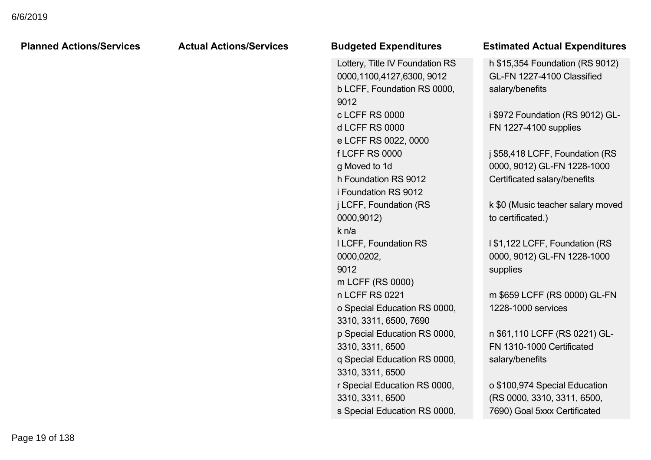| <b>Planned Actions/Services</b> | <b>Actual Actions/Services</b> | <b>Budgeted Expenditures</b>    | <b>Estimated Actual Expenditures</b> |
|---------------------------------|--------------------------------|---------------------------------|--------------------------------------|
|                                 |                                | Lottery, Title IV Foundation RS | h \$15,354 Foundation (RS 9012)      |
|                                 |                                | 0000,1100,4127,6300, 9012       | GL-FN 1227-4100 Classified           |
|                                 |                                | b LCFF, Foundation RS 0000,     | salary/benefits                      |
|                                 |                                | 9012                            |                                      |
|                                 |                                | c LCFF RS 0000                  | i \$972 Foundation (RS 9012) GL-     |
|                                 |                                | <b>d LCFF RS 0000</b>           | FN 1227-4100 supplies                |
|                                 |                                | e LCFF RS 0022, 0000            |                                      |
|                                 |                                | <b>fLCFF RS 0000</b>            | j \$58,418 LCFF, Foundation (RS      |
|                                 |                                | g Moved to 1d                   | 0000, 9012) GL-FN 1228-1000          |
|                                 |                                | h Foundation RS 9012            | Certificated salary/benefits         |
|                                 |                                | i Foundation RS 9012            |                                      |
|                                 |                                | j LCFF, Foundation (RS          | k \$0 (Music teacher salary moved    |
|                                 |                                | 0000,9012)                      | to certificated.)                    |
|                                 |                                | k n/a                           |                                      |
|                                 |                                | I LCFF, Foundation RS           | 1\$1,122 LCFF, Foundation (RS        |
|                                 |                                | 0000,0202,                      | 0000, 9012) GL-FN 1228-1000          |
|                                 |                                | 9012                            | supplies                             |
|                                 |                                | m LCFF (RS 0000)                |                                      |
|                                 |                                | n LCFF RS 0221                  | m \$659 LCFF (RS 0000) GL-FN         |
|                                 |                                | o Special Education RS 0000,    | 1228-1000 services                   |
|                                 |                                | 3310, 3311, 6500, 7690          |                                      |
|                                 |                                | p Special Education RS 0000,    | n \$61,110 LCFF (RS 0221) GL-        |
|                                 |                                | 3310, 3311, 6500                | FN 1310-1000 Certificated            |
|                                 |                                | q Special Education RS 0000,    | salary/benefits                      |
|                                 |                                | 3310, 3311, 6500                |                                      |
|                                 |                                | r Special Education RS 0000,    | o \$100,974 Special Education        |
|                                 |                                | 3310, 3311, 6500                | (RS 0000, 3310, 3311, 6500,          |
|                                 |                                | s Special Education RS 0000,    | 7690) Goal 5xxx Certificated         |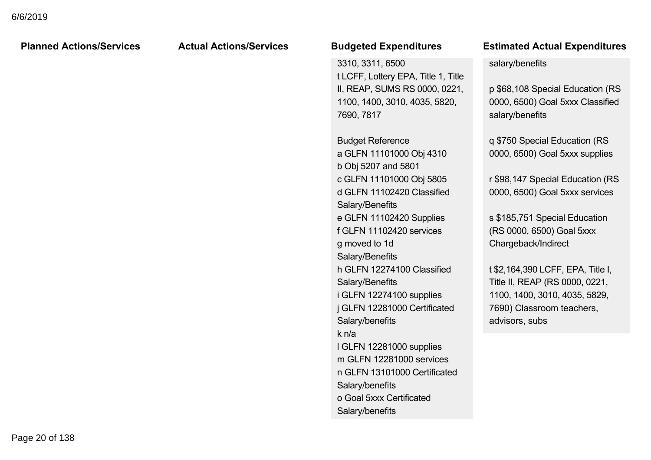|                                 | <b>Actual Actions/Services</b> | <b>Budgeted Expenditures</b>                                                                                                                                                                                                                                                                                                                                                                                                                                                                                                            | <b>Estimated Actual Expenditures</b>                                                                                                                                                                                                                                                                                                                                                                                                                                                            |
|---------------------------------|--------------------------------|-----------------------------------------------------------------------------------------------------------------------------------------------------------------------------------------------------------------------------------------------------------------------------------------------------------------------------------------------------------------------------------------------------------------------------------------------------------------------------------------------------------------------------------------|-------------------------------------------------------------------------------------------------------------------------------------------------------------------------------------------------------------------------------------------------------------------------------------------------------------------------------------------------------------------------------------------------------------------------------------------------------------------------------------------------|
| <b>Planned Actions/Services</b> |                                | 3310, 3311, 6500<br>t LCFF, Lottery EPA, Title 1, Title<br>II, REAP, SUMS RS 0000, 0221,<br>1100, 1400, 3010, 4035, 5820,<br>7690, 7817<br><b>Budget Reference</b><br>a GLFN 11101000 Obj 4310<br>b Obj 5207 and 5801<br>c GLFN 11101000 Obj 5805<br>d GLFN 11102420 Classified<br>Salary/Benefits<br>e GLFN 11102420 Supplies<br>f GLFN 11102420 services<br>g moved to 1d<br>Salary/Benefits<br>h GLFN 12274100 Classified<br>Salary/Benefits<br>i GLFN 12274100 supplies<br>j GLFN 12281000 Certificated<br>Salary/benefits<br>k n/a | salary/benefits<br>p \$68,108 Special Education (RS<br>0000, 6500) Goal 5xxx Classified<br>salary/benefits<br>q \$750 Special Education (RS<br>0000, 6500) Goal 5xxx supplies<br>r \$98,147 Special Education (RS<br>0000, 6500) Goal 5xxx services<br>s \$185,751 Special Education<br>(RS 0000, 6500) Goal 5xxx<br>Chargeback/Indirect<br>t \$2,164,390 LCFF, EPA, Title I,<br>Title II, REAP (RS 0000, 0221,<br>1100, 1400, 3010, 4035, 5829,<br>7690) Classroom teachers,<br>advisors, subs |
|                                 |                                | I GLFN 12281000 supplies<br>m GLFN 12281000 services<br>n GLFN 13101000 Certificated<br>Salary/benefits<br>o Goal 5xxx Certificated<br>Salary/benefits                                                                                                                                                                                                                                                                                                                                                                                  |                                                                                                                                                                                                                                                                                                                                                                                                                                                                                                 |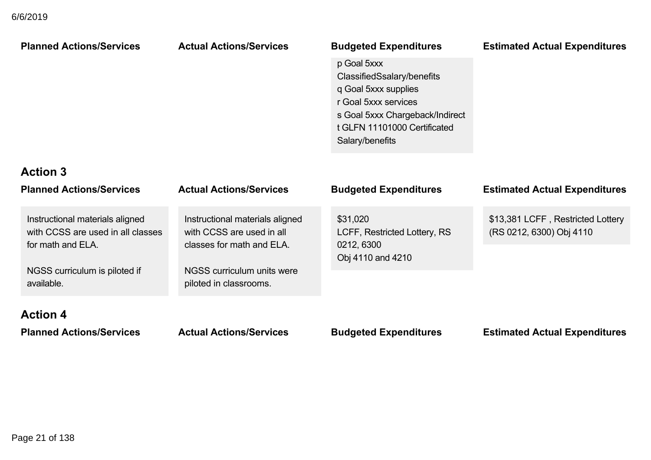| <b>Planned Actions/Services</b>                                                                                                          | <b>Actual Actions/Services</b>                                                                                                                    | <b>Budgeted Expenditures</b><br>p Goal 5xxx<br>ClassifiedSsalary/benefits<br>q Goal 5xxx supplies<br>r Goal 5xxx services<br>s Goal 5xxx Chargeback/Indirect<br>t GLFN 11101000 Certificated<br>Salary/benefits | <b>Estimated Actual Expenditures</b>                          |
|------------------------------------------------------------------------------------------------------------------------------------------|---------------------------------------------------------------------------------------------------------------------------------------------------|-----------------------------------------------------------------------------------------------------------------------------------------------------------------------------------------------------------------|---------------------------------------------------------------|
| <b>Action 3</b><br><b>Planned Actions/Services</b>                                                                                       | <b>Actual Actions/Services</b>                                                                                                                    | <b>Budgeted Expenditures</b>                                                                                                                                                                                    | <b>Estimated Actual Expenditures</b>                          |
| Instructional materials aligned<br>with CCSS are used in all classes<br>for math and ELA.<br>NGSS curriculum is piloted if<br>available. | Instructional materials aligned<br>with CCSS are used in all<br>classes for math and ELA.<br>NGSS curriculum units were<br>piloted in classrooms. | \$31,020<br>LCFF, Restricted Lottery, RS<br>0212, 6300<br>Obj 4110 and 4210                                                                                                                                     | \$13,381 LCFF, Restricted Lottery<br>(RS 0212, 6300) Obj 4110 |
| <b>Action 4</b><br><b>Planned Actions/Services</b>                                                                                       | <b>Actual Actions/Services</b>                                                                                                                    | <b>Budgeted Expenditures</b>                                                                                                                                                                                    | <b>Estimated Actual Expenditures</b>                          |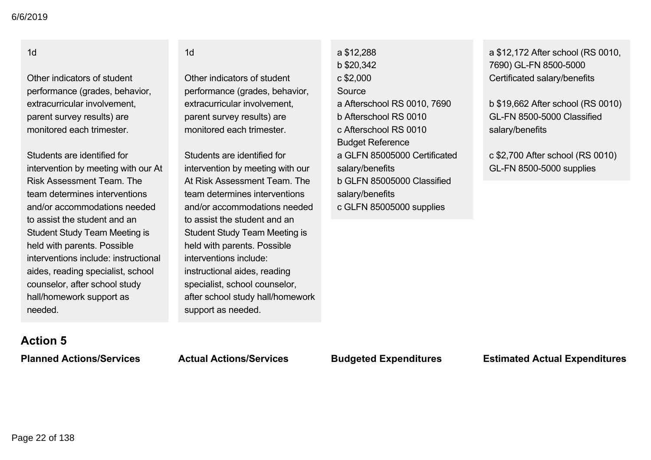## 1d

Other indicators of student performance (grades, behavior, extracurricular involvement, parent survey results) are monitored each trimester.

Students are identified for intervention by meeting with our At Risk Assessment Team. The team determines interventions and/or accommodations needed to assist the student and an Student Study Team Meeting is held with parents. Possible interventions include: instructional aides, reading specialist, school counselor, after school study hall/homework support as needed.

#### 1d

Other indicators of student performance (grades, behavior, extracurricular involvement, parent survey results) are monitored each trimester.

Students are identified for intervention by meeting with our At Risk Assessment Team. The team determines interventions and/or accommodations needed to assist the student and an Student Study Team Meeting is held with parents. Possible interventions include: instructional aides, reading specialist, school counselor, after school study hall/homework support as needed.

a \$12,288 b \$20,342 c \$2,000 Source a Afterschool RS 0010, 7690 b Afterschool RS 0010 c Afterschool RS 0010 Budget Reference a GLFN 85005000 Certificated salary/benefits b GLFN 85005000 Classified salary/benefits c GLFN 85005000 supplies

a \$12,172 After school (RS 0010, 7690) GL-FN 8500-5000 Certificated salary/benefits

b \$19,662 After school (RS 0010) GL-FN 8500-5000 Classified salary/benefits

c \$2,700 After school (RS 0010) **GL-FN 8500-5000 supplies** 

## **Action 5**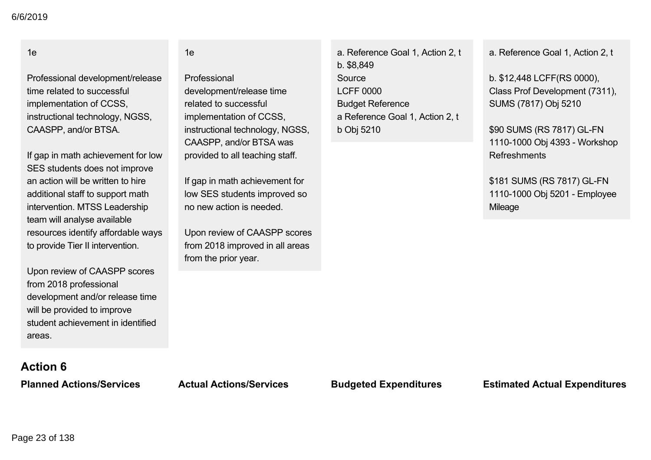### 1e

Professional development/release time related to successful implementation of CCSS, instructional technology, NGSS, CAASPP, and/or BTSA.

If gap in math achievement for low SES students does not improve an action will be written to hire additional staff to support math intervention. MTSS Leadership team will analyse available resources identify affordable ways to provide Tier II intervention.

Upon review of CAASPP scores from 2018 professional development and/or release time will be provided to improve student achievement in identified areas.

#### 1e

Professional development/release time related to successful implementation of CCSS, instructional technology, NGSS, CAASPP, and/or BTSA was provided to all teaching staff.

If gap in math achievement for low SES students improved so no new action is needed.

Upon review of CAASPP scores from 2018 improved in all areas from the prior year.

a. Reference Goal 1, Action 2, t b. \$8,849 Source LCFF 0000 Budget Reference a Reference Goal 1, Action 2, t b Obj 5210

a. Reference Goal 1, Action 2, t

b. \$12,448 LCFF(RS 0000), Class Prof Development (7311), SUMS (7817) Obj 5210

\$90 SUMS (RS 7817) GL-FN 1110-1000 Obj 4393 - Workshop Refreshments

\$181 SUMS (RS 7817) GL-FN 1110-1000 Obj 5201 - Employee Mileage

# **Action 6**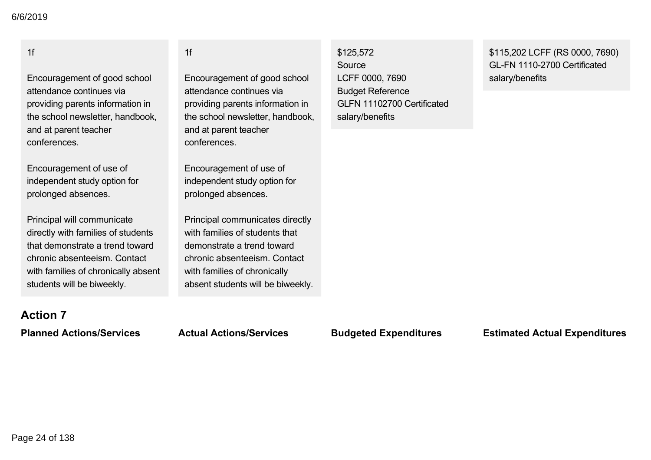## 1f

Encouragement of good school attendance continues via providing parents information in the school newsletter, handbook, and at parent teacher conferences.

Encouragement of use of independent study option for prolonged absences.

Principal will communicate directly with families of students that demonstrate a trend toward chronic absenteeism. Contact with families of chronically absent students will be biweekly.

### 1f

Encouragement of good school attendance continues via providing parents information in the school newsletter, handbook, and at parent teacher conferences.

Encouragement of use of independent study option for prolonged absences.

Principal communicates directly with families of students that demonstrate a trend toward chronic absenteeism. Contact with families of chronically absent students will be biweekly.

## \$125,572 Source LCFF 0000, 7690 Budget Reference GLFN 11102700 Certificated salary/benefits

\$115,202 LCFF (RS 0000, 7690) GL-FN 1110-2700 Certificated salary/benefits

# **Action 7**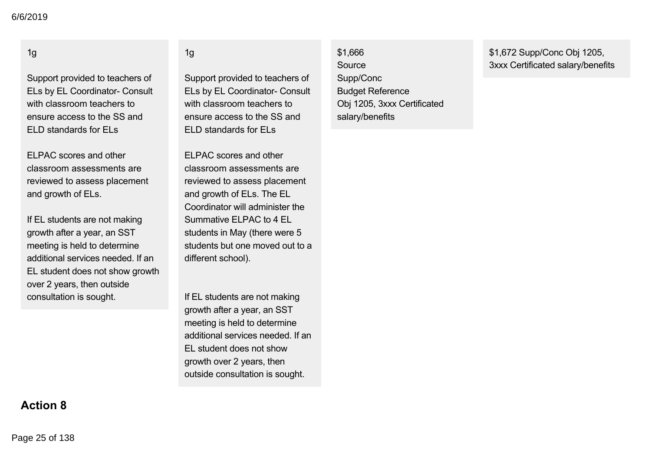## 1g

Support provided to teachers of ELs by EL Coordinator- Consult with classroom teachers to ensure access to the SS and ELD standards for ELs

ELPAC scores and other classroom assessments are reviewed to assess placement and growth of ELs.

If EL students are not making growth after a year, an SST meeting is held to determine additional services needed. If an EL student does not show growth over 2 years, then outside consultation is sought.

### 1g

Support provided to teachers of ELs by EL Coordinator- Consult with classroom teachers to ensure access to the SS and ELD standards for ELs

ELPAC scores and other classroom assessments are reviewed to assess placement and growth of ELs. The EL Coordinator will administer the Summative ELPAC to 4 EL students in May (there were 5 students but one moved out to a different school).

If EL students are not making growth after a year, an SST meeting is held to determine additional services needed. If an EL student does not show growth over 2 years, then outside consultation is sought.

\$1,666 Source Supp/Conc Budget Reference Obj 1205, 3xxx Certificated salary/benefits

\$1,672 Supp/Conc Obj 1205, 3xxx Certificated salary/benefits

# **Action 8**

Page 25 of 138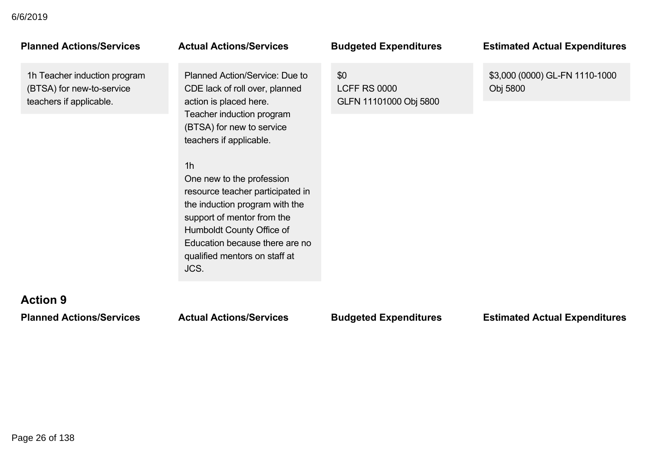1h Teacher induction program (BTSA) for new-to-service teachers if applicable.

Planned Action/Service: Due to CDE lack of roll over, planned action is placed here. Teacher induction program (BTSA) for new to service teachers if applicable.

## 1h

One new to the profession resource teacher participated in the induction program with the support of mentor from the Humboldt County Office of Education because there are no qualified mentors on staff at JCS.

\$0 LCFF RS 0000 GLFN 11101000 Obj 5800

### **Planned Actions/Services Actual Actions/Services Budgeted Expenditures Estimated Actual Expenditures**

\$3,000 (0000) GL-FN 1110-1000 Obj 5800

## **Action 9**

### **Planned Actions/Services Actual Actions/Services Budgeted Expenditures Estimated Actual Expenditures**

Page 26 of 138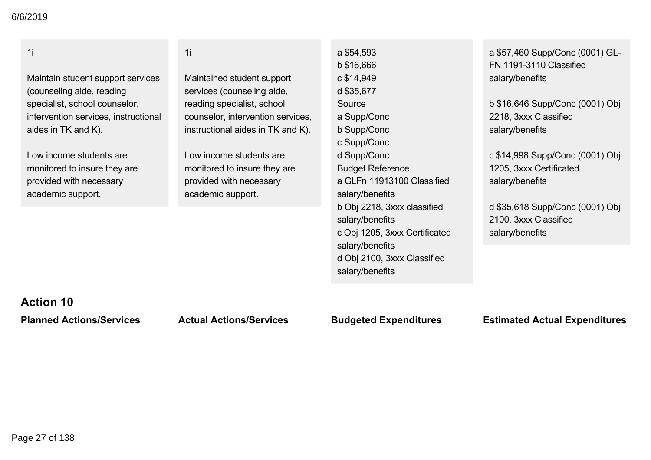| FN 1191-3110 Classified<br>salary/benefits<br>b \$16,646 Supp/Conc (0001) Obj<br>2218, 3xxx Classified<br>salary/benefits |
|---------------------------------------------------------------------------------------------------------------------------|
|                                                                                                                           |
|                                                                                                                           |
|                                                                                                                           |
|                                                                                                                           |
|                                                                                                                           |
|                                                                                                                           |
|                                                                                                                           |
| c \$14,998 Supp/Conc (0001) Obj                                                                                           |
| 1205, 3xxx Certificated                                                                                                   |
| a GLFn 11913100 Classified<br>salary/benefits                                                                             |
|                                                                                                                           |
| b Obj 2218, 3xxx classified<br>d \$35,618 Supp/Conc (0001) Obj                                                            |
| 2100, 3xxx Classified                                                                                                     |
| c Obj 1205, 3xxx Certificated<br>salary/benefits                                                                          |
|                                                                                                                           |
| d Obj 2100, 3xxx Classified                                                                                               |
|                                                                                                                           |
|                                                                                                                           |
|                                                                                                                           |
|                                                                                                                           |

## **Action 10**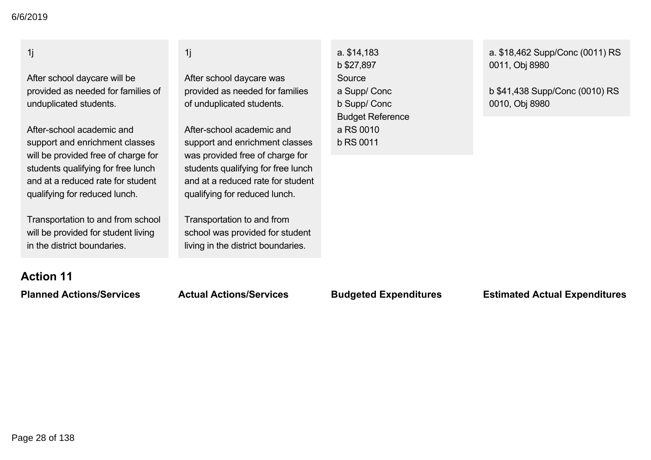## 1j

After school daycare will be provided as needed for families of unduplicated students.

After-school academic and support and enrichment classes will be provided free of charge for students qualifying for free lunch and at a reduced rate for student qualifying for reduced lunch.

Transportation to and from school will be provided for student living in the district boundaries.

### 1j

After school daycare was provided as needed for families of unduplicated students.

After-school academic and support and enrichment classes was provided free of charge for students qualifying for free lunch and at a reduced rate for student qualifying for reduced lunch.

Transportation to and from school was provided for student living in the district boundaries.

a. \$14,183 b \$27,897 **Source** a Supp/ Conc b Supp/ Conc Budget Reference a RS 0010 b RS 0011

a. \$18,462 Supp/Conc (0011) RS 0011, Obj 8980

b \$41,438 Supp/Conc (0010) RS 0010, Obj 8980

# **Action 11**

## **Planned Actions/Services Actual Actions/Services Budgeted Expenditures Estimated Actual Expenditures**

Page 28 of 138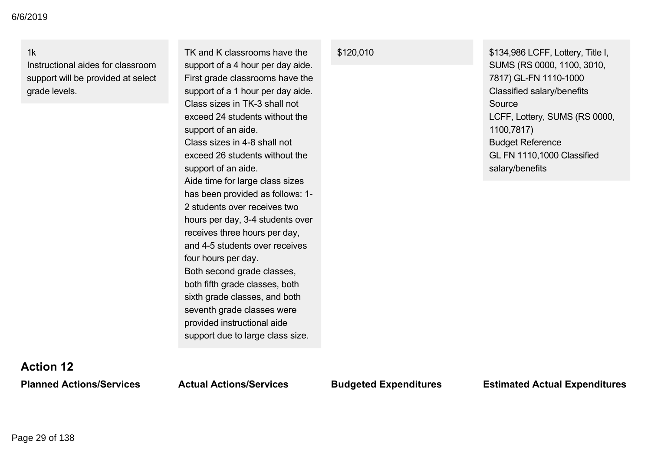1k

Instructional aides for classroom support will be provided at select grade levels.

TK and K classrooms have the support of a 4 hour per day aide. First grade classrooms have the support of a 1 hour per day aide. Class sizes in TK-3 shall not exceed 24 students without the support of an aide. Class sizes in 4-8 shall not exceed 26 students without the support of an aide. Aide time for large class sizes has been provided as follows: 1 2 students over receives two hours per day, 3-4 students over receives three hours per day, and 4-5 students over receives four hours per day. Both second grade classes, both fifth grade classes, both sixth grade classes, and both seventh grade classes were provided instructional aide support due to large class size.

\$120,010 \$134,986 LCFF, Lottery, Title I, SUMS (RS 0000, 1100, 3010, 7817) GL-FN 1110-1000 Classified salary/benefits Source LCFF, Lottery, SUMS (RS 0000, 1100,7817) Budget Reference GL FN 1110,1000 Classified salary/benefits

## **Action 12**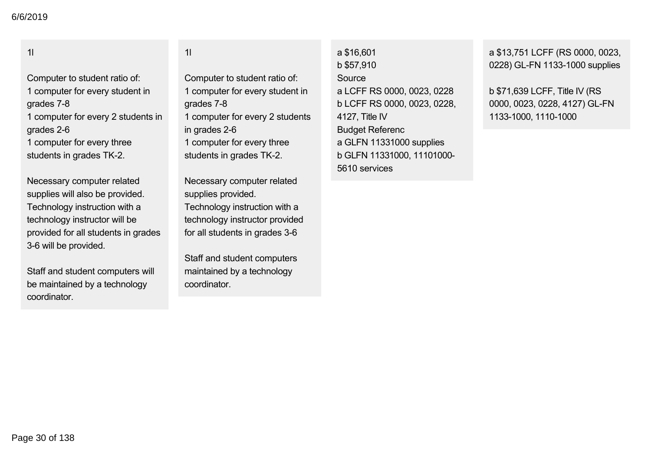## 1l

Computer to student ratio of: 1 computer for every student in grades 7-8 1 computer for every 2 students in grades 26 1 computer for every three students in grades TK-2.

Necessary computer related supplies will also be provided. Technology instruction with a technology instructor will be provided for all students in grades 3-6 will be provided.

Staff and student computers will be maintained by a technology coordinator.

1l

Computer to student ratio of: 1 computer for every student in grades 7-8 1 computer for every 2 students in grades 2-6 1 computer for every three students in grades TK-2.

Necessary computer related supplies provided. Technology instruction with a technology instructor provided for all students in grades 3-6

Staff and student computers maintained by a technology coordinator.

a \$16,601 b \$57,910 Source a LCFF RS 0000, 0023, 0228 b LCFF RS 0000, 0023, 0228, 4127, Title IV Budget Referenc a GLFN 11331000 supplies b GLFN 11331000, 11101000 5610 services

a \$13,751 LCFF (RS 0000, 0023, 0228) GL-FN 1133-1000 supplies

b \$71,639 LCFF, Title IV (RS 0000, 0023, 0228, 4127) GL-FN 1133-1000, 1110-1000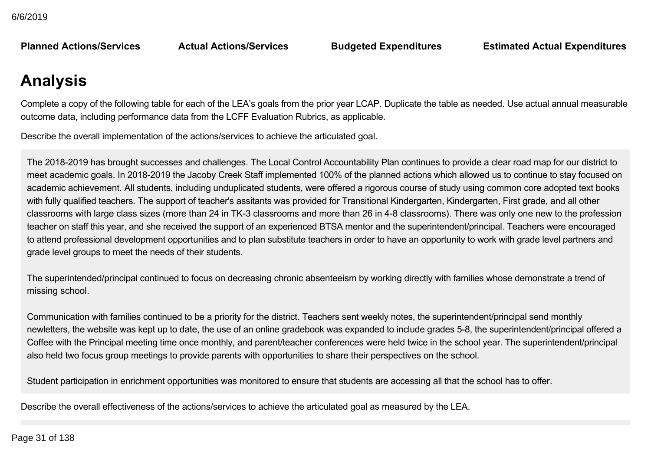**Planned Actions/Services** 

**Planned Actions/Services Actual Actions/Services Budgeted Expenditures Estimated Actual Expenditures**

## **Analysis**

Complete a copy of the following table for each of the LEA's goals from the prior year LCAP. Duplicate the table as needed. Use actual annual measurable outcome data, including performance data from the LCFF Evaluation Rubrics, as applicable.

Describe the overall implementation of the actions/services to achieve the articulated goal.

The 2018-2019 has brought successes and challenges. The Local Control Accountability Plan continues to provide a clear road map for our district to meet academic goals. In 2018-2019 the Jacoby Creek Staff implemented 100% of the planned actions which allowed us to continue to stay focused on academic achievement. All students, including unduplicated students, were offered a rigorous course of study using common core adopted text books with fully qualified teachers. The support of teacher's assitants was provided for Transitional Kindergarten, Kindergarten, First grade, and all other classrooms with large class sizes (more than 24 in TK-3 classrooms and more than 26 in 4-8 classrooms). There was only one new to the profession teacher on staff this year, and she received the support of an experienced BTSA mentor and the superintendent/principal. Teachers were encouraged to attend professional development opportunities and to plan substitute teachers in order to have an opportunity to work with grade level partners and grade level groups to meet the needs of their students.

The superintended/principal continued to focus on decreasing chronic absenteeism by working directly with families whose demonstrate a trend of missing school.

Communication with families continued to be a priority for the district. Teachers sent weekly notes, the superintendent/principal send monthly newletters, the website was kept up to date, the use of an online gradebook was expanded to include grades 5-8, the superintendent/principal offered a Coffee with the Principal meeting time once monthly, and parent/teacher conferences were held twice in the school year. The superintendent/principal also held two focus group meetings to provide parents with opportunities to share their perspectives on the school.

Student participation in enrichment opportunities was monitored to ensure that students are accessing all that the school has to offer.

Describe the overall effectiveness of the actions/services to achieve the articulated goal as measured by the LEA.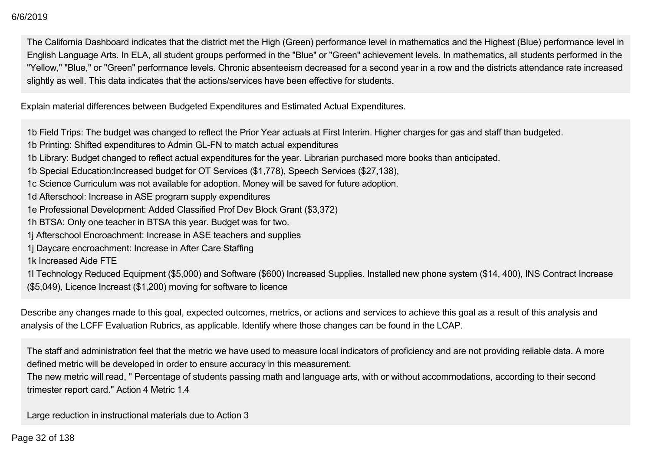The California Dashboard indicates that the district met the High (Green) performance level in mathematics and the Highest (Blue) performance level in English Language Arts. In ELA, all student groups performed in the "Blue" or "Green" achievement levels. In mathematics, all students performed in the "Yellow," "Blue," or "Green" performance levels. Chronic absenteeism decreased for a second year in a row and the districts attendance rate increased slightly as well. This data indicates that the actions/services have been effective for students.

Explain material differences between Budgeted Expenditures and Estimated Actual Expenditures.

1b Field Trips: The budget was changed to reflect the Prior Year actuals at First Interim. Higher charges for gas and staff than budgeted.

1b Printing: Shifted expenditures to Admin GL-FN to match actual expenditures

1b Library: Budget changed to reflect actual expenditures for the year. Librarian purchased more books than anticipated.

1b Special Education:Increased budget for OT Services (\$1,778), Speech Services (\$27,138),

- 1c Science Curriculum was not available for adoption. Money will be saved for future adoption.
- 1d Afterschool: Increase in ASE program supply expenditures
- 1e Professional Development: Added Classified Prof Dev Block Grant (\$3,372)
- 1h BTSA: Only one teacher in BTSA this year. Budget was for two.
- 1j Afterschool Encroachment: Increase in ASE teachers and supplies
- 1j Daycare encroachment: Increase in After Care Staffing
- 1k Increased Aide FTE

1l Technology Reduced Equipment (\$5,000) and Software (\$600) Increased Supplies. Installed new phone system (\$14, 400), INS Contract Increase (\$5,049), Licence Increast (\$1,200) moving for software to licence

Describe any changes made to this goal, expected outcomes, metrics, or actions and services to achieve this goal as a result of this analysis and analysis of the LCFF Evaluation Rubrics, as applicable. Identify where those changes can be found in the LCAP.

The staff and administration feel that the metric we have used to measure local indicators of proficiency and are not providing reliable data. A more defined metric will be developed in order to ensure accuracy in this measurement.

The new metric will read, " Percentage of students passing math and language arts, with or without accommodations, according to their second trimester report card." Action 4 Metric 1.4

Large reduction in instructional materials due to Action 3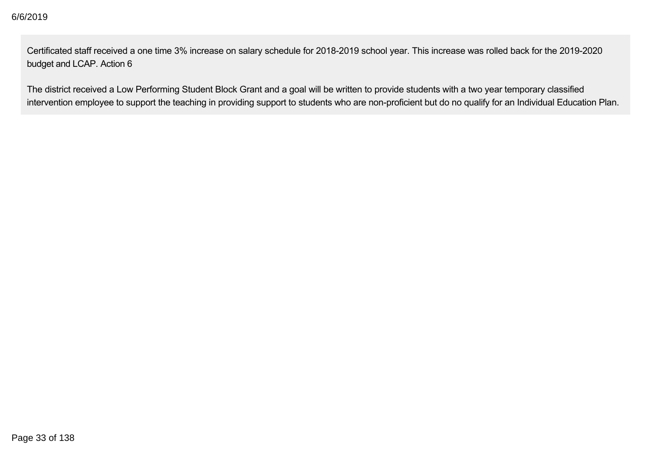Certificated staff received a one time 3% increase on salary schedule for 2018-2019 school year. This increase was rolled back for the 2019-2020 budget and LCAP. Action 6

The district received a Low Performing Student Block Grant and a goal will be written to provide students with a two year temporary classified intervention employee to support the teaching in providing support to students who are non-proficient but do no qualify for an Individual Education Plan.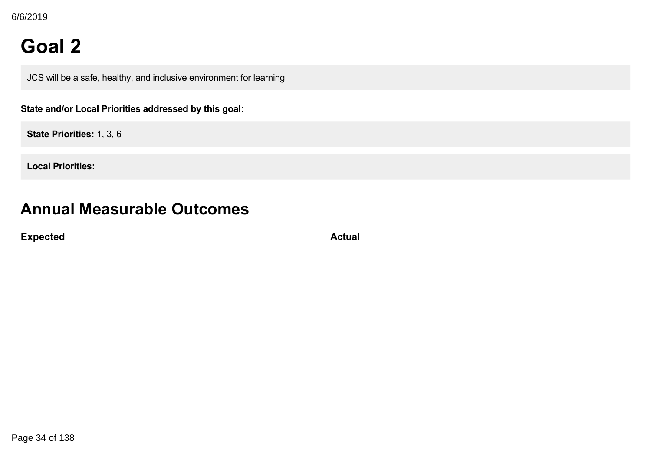## **Goal 2**

JCS will be a safe, healthy, and inclusive environment for learning

**State and/or Local Priorities addressed by this goal:**

**State Priorities:** 1, 3, 6

**Local Priorities:**

## **Annual Measurable Outcomes**

**Expected Actual**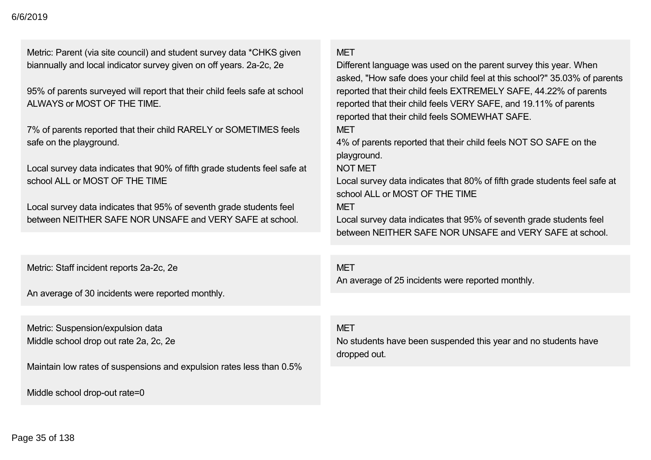Metric: Parent (via site council) and student survey data \*CHKS given biannually and local indicator survey given on off years. 2a-2c, 2e

95% of parents surveyed will report that their child feels safe at school ALWAYS or MOST OF THE TIME.

7% of parents reported that their child RARELY or SOMETIMES feels safe on the playground.

Local survey data indicates that 90% of fifth grade students feel safe at school ALL or MOST OF THE TIME

Local survey data indicates that 95% of seventh grade students feel between NEITHER SAFE NOR UNSAFE and VERY SAFE at school.

Metric: Staff incident reports 2a-2c, 2e

An average of 30 incidents were reported monthly.

Metric: Suspension/expulsion data Middle school drop out rate 2a, 2c, 2e

Maintain low rates of suspensions and expulsion rates less than 0.5%

Middle school drop-out rate=0

## **MFT**

Different language was used on the parent survey this year. When asked, "How safe does your child feel at this school?" 35.03% of parents reported that their child feels EXTREMELY SAFE, 44.22% of parents reported that their child feels VERY SAFE, and 19.11% of parents reported that their child feels SOMEWHAT SAFE.

**MFT** 

4% of parents reported that their child feels NOT SO SAFE on the playground.

## NOT MET

Local survey data indicates that 80% of fifth grade students feel safe at school ALL or MOST OF THE TIME

## **MFT**

Local survey data indicates that 95% of seventh grade students feel between NEITHER SAFE NOR UNSAFE and VERY SAFE at school.

## **MFT**

An average of 25 incidents were reported monthly.

### **MFT**

No students have been suspended this year and no students have dropped out.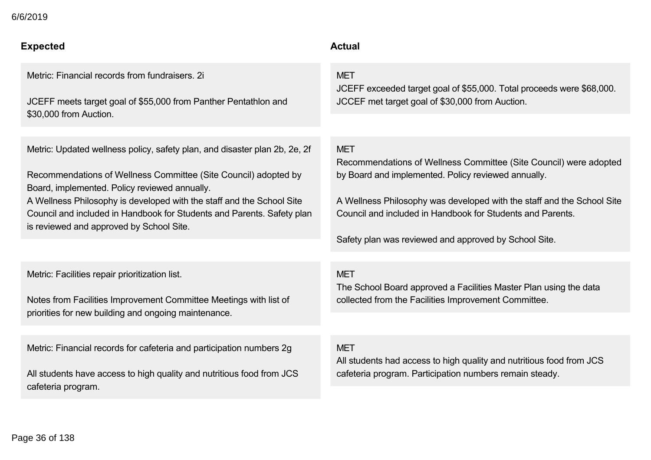## **Expected Actual**

Metric: Financial records from fundraisers. 2i

JCEFF meets target goal of \$55,000 from Panther Pentathlon and \$30,000 from Auction.

Metric: Updated wellness policy, safety plan, and disaster plan 2b, 2e, 2f

Recommendations of Wellness Committee (Site Council) adopted by Board, implemented. Policy reviewed annually.

A Wellness Philosophy is developed with the staff and the School Site Council and included in Handbook for Students and Parents. Safety plan is reviewed and approved by School Site.

Metric: Facilities repair prioritization list.

Notes from Facilities Improvement Committee Meetings with list of priorities for new building and ongoing maintenance.

Metric: Financial records for cafeteria and participation numbers 2g

All students have access to high quality and nutritious food from JCS cafeteria program.

## **MFT**

JCEFF exceeded target goal of \$55,000. Total proceeds were \$68,000. JCCEF met target goal of \$30,000 from Auction.

## **MFT**

Recommendations of Wellness Committee (Site Council) were adopted by Board and implemented. Policy reviewed annually.

A Wellness Philosophy was developed with the staff and the School Site Council and included in Handbook for Students and Parents.

Safety plan was reviewed and approved by School Site.

## **MFT**

The School Board approved a Facilities Master Plan using the data collected from the Facilities Improvement Committee.

### MET

All students had access to high quality and nutritious food from JCS cafeteria program. Participation numbers remain steady.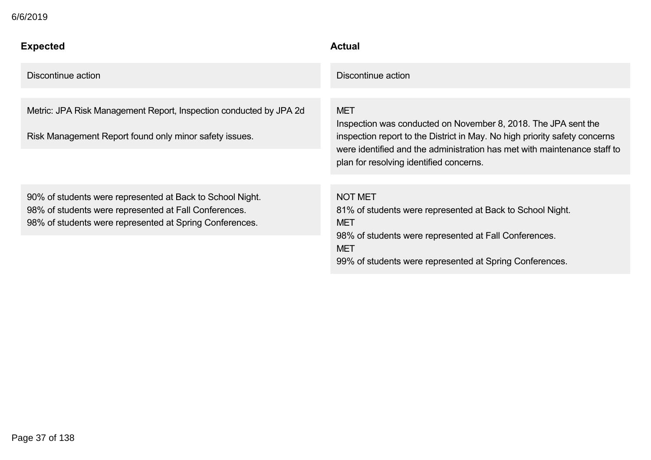| <b>Expected</b>                                                                                                                                                               | <b>Actual</b>                                                                                                                                                                                                                                                                     |
|-------------------------------------------------------------------------------------------------------------------------------------------------------------------------------|-----------------------------------------------------------------------------------------------------------------------------------------------------------------------------------------------------------------------------------------------------------------------------------|
| Discontinue action                                                                                                                                                            | Discontinue action                                                                                                                                                                                                                                                                |
| Metric: JPA Risk Management Report, Inspection conducted by JPA 2d<br>Risk Management Report found only minor safety issues.                                                  | <b>MET</b><br>Inspection was conducted on November 8, 2018. The JPA sent the<br>inspection report to the District in May. No high priority safety concerns<br>were identified and the administration has met with maintenance staff to<br>plan for resolving identified concerns. |
| 90% of students were represented at Back to School Night.<br>98% of students were represented at Fall Conferences.<br>98% of students were represented at Spring Conferences. | <b>NOT MET</b><br>81% of students were represented at Back to School Night.<br><b>MET</b><br>98% of students were represented at Fall Conferences.<br><b>MET</b><br>99% of students were represented at Spring Conferences.                                                       |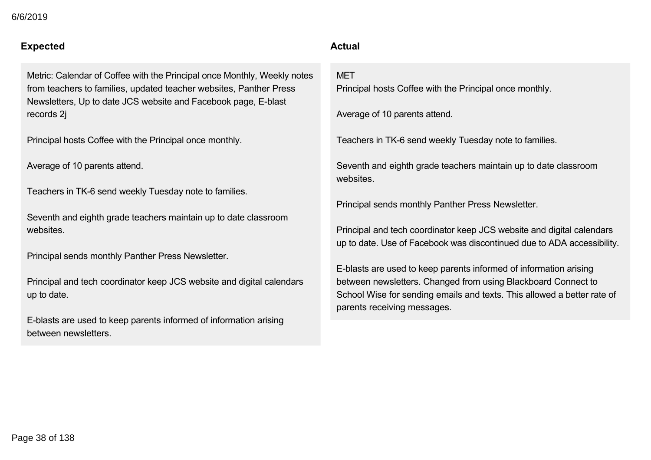### **Expected Actual**

Metric: Calendar of Coffee with the Principal once Monthly, Weekly notes from teachers to families, updated teacher websites, Panther Press Newsletters, Up to date JCS website and Facebook page, E-blast records 2j

Principal hosts Coffee with the Principal once monthly.

Average of 10 parents attend.

Teachers in TK-6 send weekly Tuesday note to families.

Seventh and eighth grade teachers maintain up to date classroom websites.

Principal sends monthly Panther Press Newsletter.

Principal and tech coordinator keep JCS website and digital calendars up to date.

Eblasts are used to keep parents informed of information arising between newsletters.

## 99% of students were represented at Spring Conferences.

### **MFT**

Principal hosts Coffee with the Principal once monthly.

Average of 10 parents attend.

Teachers in TK-6 send weekly Tuesday note to families.

Seventh and eighth grade teachers maintain up to date classroom websites.

Principal sends monthly Panther Press Newsletter.

Principal and tech coordinator keep JCS website and digital calendars up to date. Use of Facebook was discontinued due to ADA accessibility.

Eblasts are used to keep parents informed of information arising between newsletters. Changed from using Blackboard Connect to School Wise for sending emails and texts. This allowed a better rate of parents receiving messages.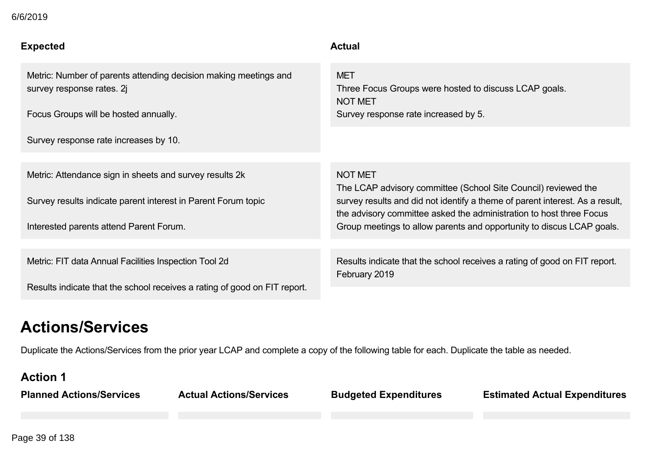| 6/6/2019 |  |
|----------|--|
|----------|--|

| <b>Expected</b>                                                                                                                                                     | <b>Actual</b>                                                                                                                                                                                                                                                                                                    |
|---------------------------------------------------------------------------------------------------------------------------------------------------------------------|------------------------------------------------------------------------------------------------------------------------------------------------------------------------------------------------------------------------------------------------------------------------------------------------------------------|
| Metric: Number of parents attending decision making meetings and<br>survey response rates. 2<br>Focus Groups will be hosted annually.                               | <b>MET</b><br>Three Focus Groups were hosted to discuss LCAP goals.<br><b>NOT MET</b><br>Survey response rate increased by 5.                                                                                                                                                                                    |
| Survey response rate increases by 10.                                                                                                                               |                                                                                                                                                                                                                                                                                                                  |
| Metric: Attendance sign in sheets and survey results 2k<br>Survey results indicate parent interest in Parent Forum topic<br>Interested parents attend Parent Forum. | <b>NOT MET</b><br>The LCAP advisory committee (School Site Council) reviewed the<br>survey results and did not identify a theme of parent interest. As a result,<br>the advisory committee asked the administration to host three Focus<br>Group meetings to allow parents and opportunity to discus LCAP goals. |
| Metric: FIT data Annual Facilities Inspection Tool 2d<br>Results indicate that the school receives a rating of good on FIT report.                                  | Results indicate that the school receives a rating of good on FIT report.<br>February 2019                                                                                                                                                                                                                       |

## **Actions/Services**

Duplicate the Actions/Services from the prior year LCAP and complete a copy of the following table for each. Duplicate the table as needed.

### **Action 1**

**Planned Actions/Services Actual Actions/Services Budgeted Expenditures Estimated Actual Expenditures**

Page 39 of 138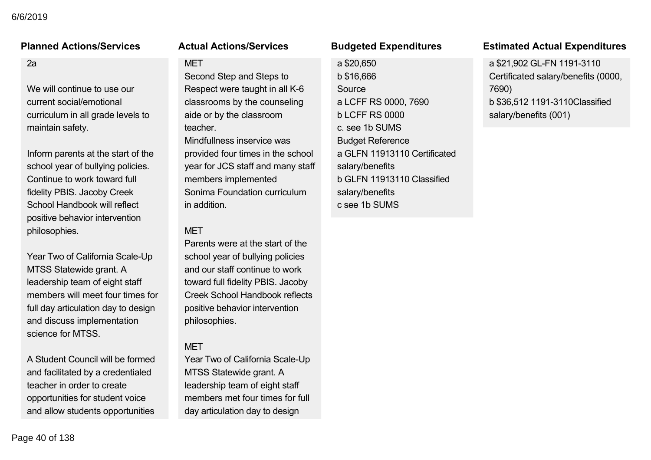### $2a$

We will continue to use our current social/emotional curriculum in all grade levels to maintain safety.

Inform parents at the start of the school year of bullying policies. Continue to work toward full fidelity PBIS. Jacoby Creek School Handbook will reflect positive behavior intervention philosophies.

Year Two of California Scale-Up MTSS Statewide grant. A leadership team of eight staff members will meet four times for full day articulation day to design and discuss implementation science for MTSS.

A Student Council will be formed and facilitated by a credentialed teacher in order to create opportunities for student voice and allow students opportunities

### **MFT**

Second Step and Steps to Respect were taught in all K-6 classrooms by the counseling aide or by the classroom teacher. Mindfullness inservice was provided four times in the school year for JCS staff and many staff members implemented Sonima Foundation curriculum in addition.

### **MFT**

Parents were at the start of the school year of bullying policies and our staff continue to work toward full fidelity PBIS. Jacoby Creek School Handbook reflects positive behavior intervention philosophies.

### MET

Year Two of California Scale-Up MTSS Statewide grant. A leadership team of eight staff members met four times for full day articulation day to design

a \$20,650 b \$16,666 Source a LCFF RS 0000, 7690 b LCFF RS 0000 c. see 1b SUMS Budget Reference a GLFN 11913110 Certificated salary/benefits b GLFN 11913110 Classified salary/benefits c see 1b SUMS

### **Planned Actions/Services Actual Actions/Services Budgeted Expenditures Estimated Actual Expenditures**

a \$21,902 GL-FN 1191-3110 Certificated salary/benefits (0000, 7690) b \$36,512 11913110Classified salary/benefits (001)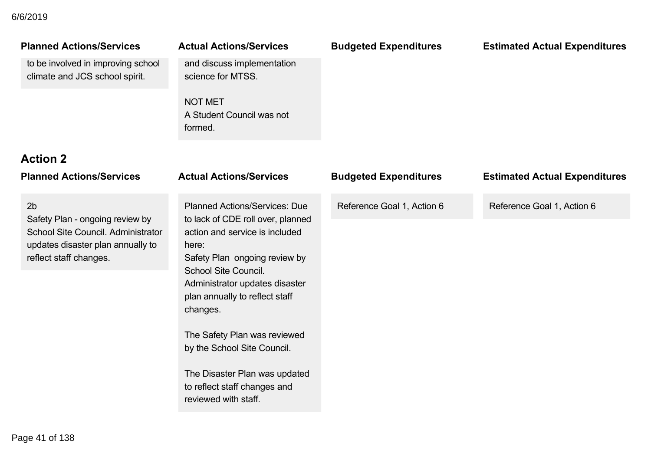## and facilitated by a credentialed 6/6/2019

| <b>Planned Actions/Services</b><br>to be involved in improving school<br>climate and JCS school spirit.                                                | <b>Actual Actions/Services</b><br>and discuss implementation<br>science for MTSS.<br><b>NOT MET</b><br>A Student Council was not<br>formed.                                                                                                                                                                                                                                                                                  | <b>Budgeted Expenditures</b> | <b>Estimated Actual Expenditures</b> |
|--------------------------------------------------------------------------------------------------------------------------------------------------------|------------------------------------------------------------------------------------------------------------------------------------------------------------------------------------------------------------------------------------------------------------------------------------------------------------------------------------------------------------------------------------------------------------------------------|------------------------------|--------------------------------------|
| <b>Action 2</b><br><b>Planned Actions/Services</b>                                                                                                     | <b>Actual Actions/Services</b>                                                                                                                                                                                                                                                                                                                                                                                               | <b>Budgeted Expenditures</b> | <b>Estimated Actual Expenditures</b> |
| 2 <sub>b</sub><br>Safety Plan - ongoing review by<br>School Site Council. Administrator<br>updates disaster plan annually to<br>reflect staff changes. | <b>Planned Actions/Services: Due</b><br>to lack of CDE roll over, planned<br>action and service is included<br>here:<br>Safety Plan ongoing review by<br><b>School Site Council.</b><br>Administrator updates disaster<br>plan annually to reflect staff<br>changes.<br>The Safety Plan was reviewed<br>by the School Site Council.<br>The Disaster Plan was updated<br>to reflect staff changes and<br>reviewed with staff. | Reference Goal 1, Action 6   | Reference Goal 1, Action 6           |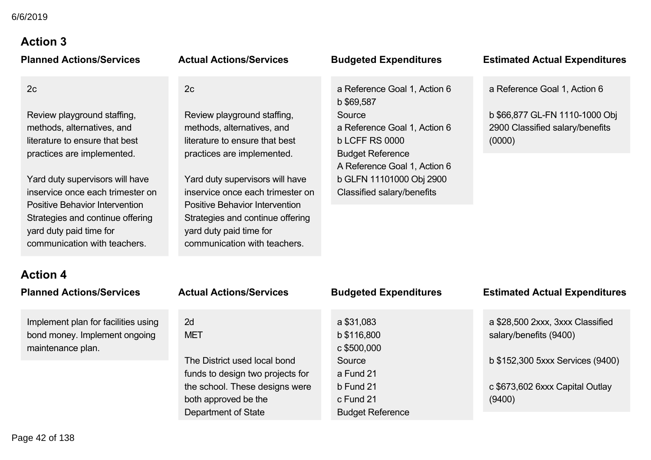# **Action 3**

| <b>Planned Actions/Services</b>       | <b>Actual Actions/Services</b>        | <b>Budgeted Expenditures</b>                            | <b>Estimated Actual Expenditures</b> |
|---------------------------------------|---------------------------------------|---------------------------------------------------------|--------------------------------------|
| 2c                                    | 2c                                    | a Reference Goal 1, Action 6<br>b \$69,587              | a Reference Goal 1, Action 6         |
| Review playground staffing,           | Review playground staffing,           | Source                                                  | b \$66,877 GL-FN 1110-1000 Obj       |
| methods, alternatives, and            | methods, alternatives, and            | a Reference Goal 1, Action 6                            | 2900 Classified salary/benefits      |
| literature to ensure that best        | literature to ensure that best        | <b>b LCFF RS 0000</b>                                   | (0000)                               |
| practices are implemented.            | practices are implemented.            | <b>Budget Reference</b><br>A Reference Goal 1, Action 6 |                                      |
| Yard duty supervisors will have       | Yard duty supervisors will have       | b GLFN 11101000 Obj 2900                                |                                      |
| inservice once each trimester on      | inservice once each trimester on      | Classified salary/benefits                              |                                      |
| <b>Positive Behavior Intervention</b> | <b>Positive Behavior Intervention</b> |                                                         |                                      |
| Strategies and continue offering      | Strategies and continue offering      |                                                         |                                      |
| yard duty paid time for               | yard duty paid time for               |                                                         |                                      |
| communication with teachers.          | communication with teachers.          |                                                         |                                      |

## **Action 4 Planned Actions/Services**

Implement plan for facilities us bond money. Implement ongo maintenance plan.

|                                                                               | a \$31,083                                          | a \$28,500 2xxx, 3xxx Classified          |
|-------------------------------------------------------------------------------|-----------------------------------------------------|-------------------------------------------|
| using<br>2d<br>oing<br><b>MET</b>                                             | b \$116,800<br>c \$500,000                          | salary/benefits (9400)                    |
| The District used local bond<br>funds to design two projects for              | Source<br>a Fund 21                                 | b \$152,300 5xxx Services (9400)          |
| the school. These designs were<br>both approved be the<br>Department of State | $b$ Fund 21<br>c Fund 21<br><b>Budget Reference</b> | c \$673,602 6xxx Capital Outlay<br>(9400) |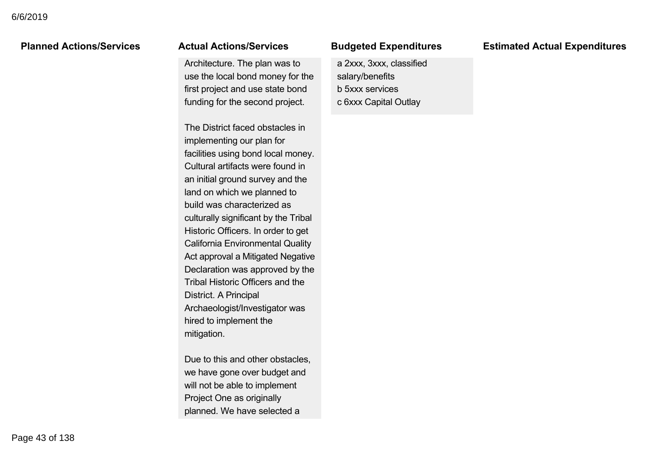### both approved be the Culture Politicial State of State State State State State State State State State State State State State State State State State State State State State State State State State State State State State State State State St

Architecture. The plan was to use the local bond money for the first project and use state bond funding for the second project.

The District faced obstacles in implementing our plan for facilities using bond local money. Cultural artifacts were found in an initial ground survey and the land on which we planned to build was characterized as culturally significant by the Tribal Historic Officers. In order to get California Environmental Quality Act approval a Mitigated Negative Declaration was approved by the Tribal Historic Officers and the District. A Principal Archaeologist/Investigator was hired to implement the mitigation.

Due to this and other obstacles. we have gone over budget and will not be able to implement Project One as originally planned. We have selected a

### c Fund 21 augeted Experi

a 2xxx, 3xxx, classified salary/benefits b 5xxx services c 6xxx Capital Outlay

### **Planned Actions/Services Actual Actions/Services Budgeted Expenditures Estimated Actual Expenditures** (9400)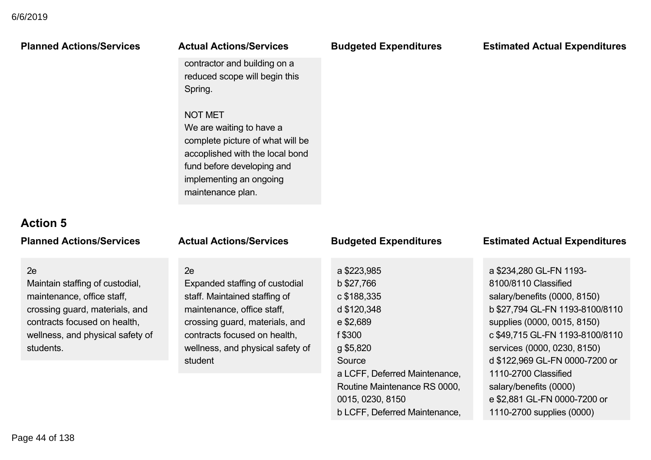| <b>Planned Actions/Services</b>                                                                                                                                                        | <b>Actual Actions/Services</b>                                                                                                                                                                                       | <b>Budgeted Expenditures</b>                                                                                       | <b>Estimated Actual Expenditures</b>                                                                                                                                                                                                                  |
|----------------------------------------------------------------------------------------------------------------------------------------------------------------------------------------|----------------------------------------------------------------------------------------------------------------------------------------------------------------------------------------------------------------------|--------------------------------------------------------------------------------------------------------------------|-------------------------------------------------------------------------------------------------------------------------------------------------------------------------------------------------------------------------------------------------------|
|                                                                                                                                                                                        | contractor and building on a<br>reduced scope will begin this<br>Spring.                                                                                                                                             |                                                                                                                    |                                                                                                                                                                                                                                                       |
|                                                                                                                                                                                        | <b>NOT MET</b><br>We are waiting to have a<br>complete picture of what will be<br>accoplished with the local bond<br>fund before developing and<br>implementing an ongoing<br>maintenance plan.                      |                                                                                                                    |                                                                                                                                                                                                                                                       |
| <b>Action 5</b>                                                                                                                                                                        |                                                                                                                                                                                                                      |                                                                                                                    |                                                                                                                                                                                                                                                       |
| <b>Planned Actions/Services</b>                                                                                                                                                        | <b>Actual Actions/Services</b>                                                                                                                                                                                       | <b>Budgeted Expenditures</b>                                                                                       | <b>Estimated Actual Expenditures</b>                                                                                                                                                                                                                  |
| 2e<br>Maintain staffing of custodial,<br>maintenance, office staff,<br>crossing guard, materials, and<br>contracts focused on health,<br>wellness, and physical safety of<br>students. | 2e<br>Expanded staffing of custodial<br>staff. Maintained staffing of<br>maintenance, office staff,<br>crossing guard, materials, and<br>contracts focused on health,<br>wellness, and physical safety of<br>student | a \$223,985<br>b \$27,766<br>c \$188,335<br>d \$120,348<br>e \$2,689<br>f \$300<br>g \$5,820<br>Source             | a \$234,280 GL-FN 1193-<br>8100/8110 Classified<br>salary/benefits (0000, 8150)<br>b \$27,794 GL-FN 1193-8100/8110<br>supplies (0000, 0015, 8150)<br>c \$49,715 GL-FN 1193-8100/8110<br>services (0000, 0230, 8150)<br>d \$122,969 GL-FN 0000-7200 or |
|                                                                                                                                                                                        |                                                                                                                                                                                                                      | a LCFF, Deferred Maintenance,<br>Routine Maintenance RS 0000,<br>0015, 0230, 8150<br>b LCFF, Deferred Maintenance, | 1110-2700 Classified<br>salary/benefits (0000)<br>e \$2,881 GL-FN 0000-7200 or<br>1110-2700 supplies (0000)                                                                                                                                           |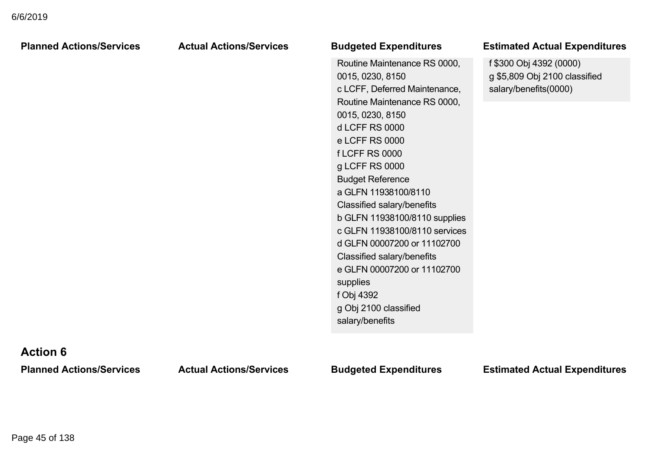| <b>Planned Actions/Services</b> | <b>Actual Actions/Services</b> | <b>Budgeted Expenditures</b>                                                                                                                                                                                                                                                                                                                                                                                                                                                                                                                    | <b>Estimated Actual Expenditures</b>                                              |
|---------------------------------|--------------------------------|-------------------------------------------------------------------------------------------------------------------------------------------------------------------------------------------------------------------------------------------------------------------------------------------------------------------------------------------------------------------------------------------------------------------------------------------------------------------------------------------------------------------------------------------------|-----------------------------------------------------------------------------------|
|                                 |                                | Routine Maintenance RS 0000,<br>0015, 0230, 8150<br>c LCFF, Deferred Maintenance,<br>Routine Maintenance RS 0000,<br>0015, 0230, 8150<br><b>d LCFF RS 0000</b><br>e LCFF RS 0000<br><b>fLCFF RS 0000</b><br>g LCFF RS 0000<br><b>Budget Reference</b><br>a GLFN 11938100/8110<br>Classified salary/benefits<br>b GLFN 11938100/8110 supplies<br>c GLFN 11938100/8110 services<br>d GLFN 00007200 or 11102700<br>Classified salary/benefits<br>e GLFN 00007200 or 11102700<br>supplies<br>f Obj 4392<br>g Obj 2100 classified<br>salary/benefits | f \$300 Obj 4392 (0000)<br>g \$5,809 Obj 2100 classified<br>salary/benefits(0000) |

## **Action 6**

**Planned Actions/Services Actual Actions/Services Budgeted Expenditures Estimated Actual Expenditures**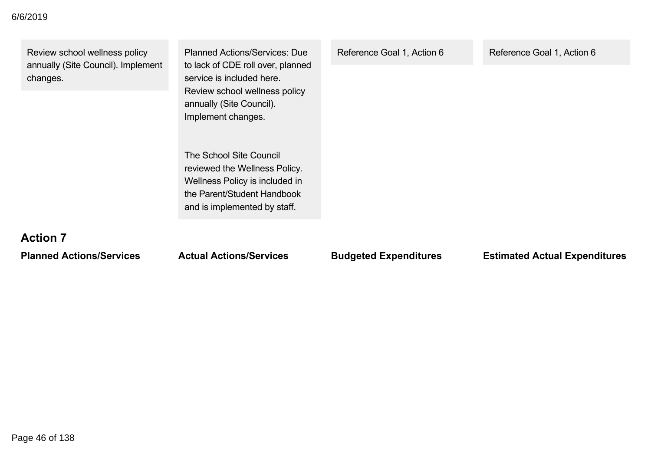| Review school wellness policy<br>annually (Site Council). Implement<br>changes. | <b>Planned Actions/Services: Due</b><br>to lack of CDE roll over, planned<br>service is included here.<br>Review school wellness policy<br>annually (Site Council).<br>Implement changes. | Reference Goal 1, Action 6 | Reference Goal 1, Action 6 |
|---------------------------------------------------------------------------------|-------------------------------------------------------------------------------------------------------------------------------------------------------------------------------------------|----------------------------|----------------------------|
| <b>Action 7</b>                                                                 | The School Site Council<br>reviewed the Wellness Policy.<br>Wellness Policy is included in<br>the Parent/Student Handbook<br>and is implemented by staff.                                 |                            |                            |

**Planned Actions/Services Actual Actions/Services Budgeted Expenditures Estimated Actual Expenditures**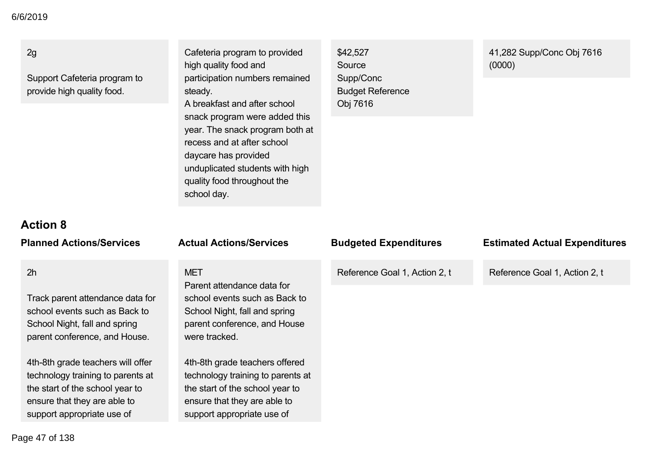### 2g

Support Cafeteria program to provide high quality food.

### Cafeteria program to provided high quality food and participation numbers remained steady. A breakfast and after school snack program were added this year. The snack program both at recess and at after school daycare has provided unduplicated students with high

quality food throughout the

support appropriate use of

school day.

\$42,527 Source Supp/Conc Budget Reference Obj 7616

### 41,282 Supp/Conc Obj 7616 (0000)

## **Action 8**

**Planned Actions/Services Actual Actions/Service** 

### 2h

Track parent attendance data for school events such as Back to School Night, fall and spring parent conference, and House.

4th-8th grade teachers will offer technology training to parents at the start of the school year to ensure that they are able to support appropriate use of

## **MET** Parent attendance data school events such as B School Night, fall and spi parent conference, and I were tracked. 4th-8th grade teachers offered technology training to parents at the start of the school year to ensure that they are able to

| ЭS                             | <b>Budgeted Expenditures</b>  | <b>Estimated Actual Expenditures</b> |
|--------------------------------|-------------------------------|--------------------------------------|
| for<br>ack to<br>ring<br>House | Reference Goal 1, Action 2, t | Reference Goal 1, Action 2, t        |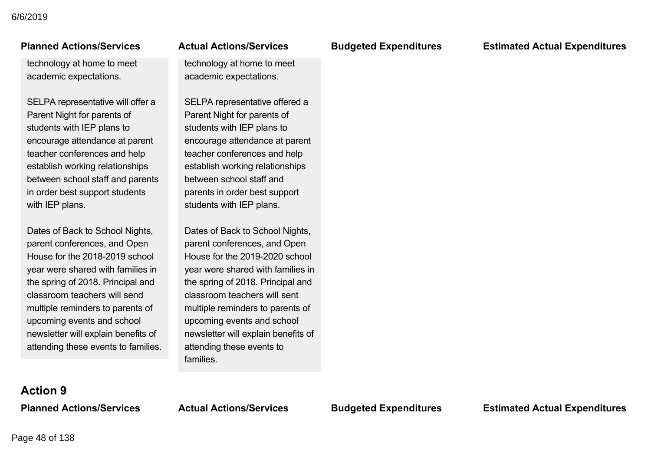### ensure that they are able to ianned Actions/Service

technology at home to meet academic expectations.

SELPA representative will offer a Parent Night for parents of students with IEP plans to encourage attendance at parent teacher conferences and help establish working relationships between school staff and parents in order best support students with IEP plans.

Dates of Back to School Nights, parent conferences, and Open House for the 2018-2019 school year were shared with families in the spring of 2018. Principal and classroom teachers will send multiple reminders to parents of upcoming events and school newsletter will explain benefits of attending these events to families.

### ensure that they are able to support alternative use of the set of the set of the set of the set of the set of the set of the set of the set of the set of the set of the set of the set of the set of the set of the set of the set of the set of the set

technology at home to meet academic expectations.

SELPA representative offered a Parent Night for parents of students with IEP plans to encourage attendance at parent teacher conferences and help establish working relationships between school staff and parents in order best support students with IEP plans.

Dates of Back to School Nights, parent conferences, and Open House for the 2019-2020 school year were shared with families in the spring of 2018. Principal and classroom teachers will sent multiple reminders to parents of upcoming events and school newsletter will explain benefits of attending these events to families.

**Planned Actions/Services Actual Actions/Services Budgeted Expenditures Estimated Actual Expenditures**

# **Action 9**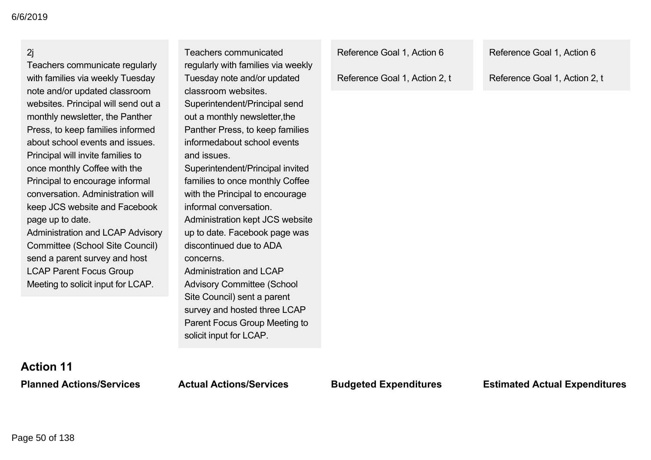### 2j

Teachers communicate regularly with families via weekly Tuesday note and/or updated classroom websites. Principal will send out a monthly newsletter, the Panther Press, to keep families informed about school events and issues. Principal will invite families to once monthly Coffee with the Principal to encourage informal conversation. Administration will keep JCS website and Facebook page up to date.

Administration and LCAP Advisory Committee (School Site Council) send a parent survey and host LCAP Parent Focus Group Meeting to solicit input for LCAP.

regularly with families via weekly Tuesday note and/or updated classroom websites. Superintendent/Principal send out a monthly newsletter,the Panther Press, to keep families informedabout school events and issues. Superintendent/Principal invited families to once monthly Coffee with the Principal to encourage informal conversation. Administration kept JCS website up to date. Facebook page was discontinued due to ADA concerns. Administration and LCAP Advisory Committee (School Site Council) sent a parent survey and hosted three LCAP Parent Focus Group Meeting to solicit input for LCAP.

Teachers communicated

Reference Goal 1, Action 6

Reference Goal 1, Action 2, t

Reference Goal 1, Action 6

Reference Goal 1, Action 2, t

# **Action 11**

**Planned Actions/Services Actual Actions/Services Budgeted Expenditures Estimated Actual Expenditures**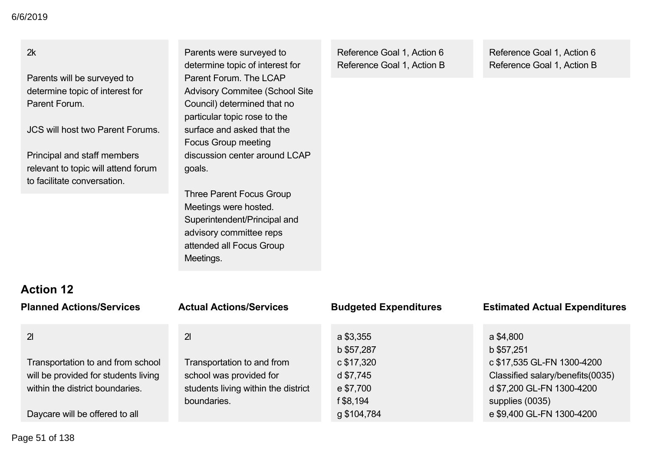Parents will be surveyed to determine topic of interest for Parent Forum.

JCS will host two Parent Forums.

Principal and staff members relevant to topic will attend forum to facilitate conversation.

Parents were surveyed to determine topic of interest for Parent Forum. The LCAP Advisory Commitee (School Site Council) determined that no particular topic rose to the surface and asked that the Focus Group meeting discussion center around LCAP goals.

Three Parent Focus Group Meetings were hosted. Superintendent/Principal and advisory committee reps attended all Focus Group Meetings.

Reference Goal 1, Action 6 Reference Goal 1, Action B Reference Goal 1, Action 6 Reference Goal 1, Action B

# **Action 12**

| <b>Planned Actions/Services</b>                                                                              | <b>Actual Actions/Services</b>                                                                              | <b>Budgeted Expenditures</b>                      | <b>Estimated Actual Expenditures</b>                                                                           |
|--------------------------------------------------------------------------------------------------------------|-------------------------------------------------------------------------------------------------------------|---------------------------------------------------|----------------------------------------------------------------------------------------------------------------|
| 21                                                                                                           | 21                                                                                                          | a \$3,355<br>b \$57,287                           | a \$4,800<br>b \$57,251                                                                                        |
| Transportation to and from school<br>will be provided for students living<br>within the district boundaries. | Transportation to and from<br>school was provided for<br>students living within the district<br>boundaries. | c \$17,320<br>d \$7,745<br>e \$7,700<br>f \$8,194 | c \$17,535 GL-FN 1300-4200<br>Classified salary/benefits(0035)<br>d \$7,200 GL-FN 1300-4200<br>supplies (0035) |
| Daycare will be offered to all                                                                               |                                                                                                             | g \$104,784                                       | e \$9,400 GL-FN 1300-4200                                                                                      |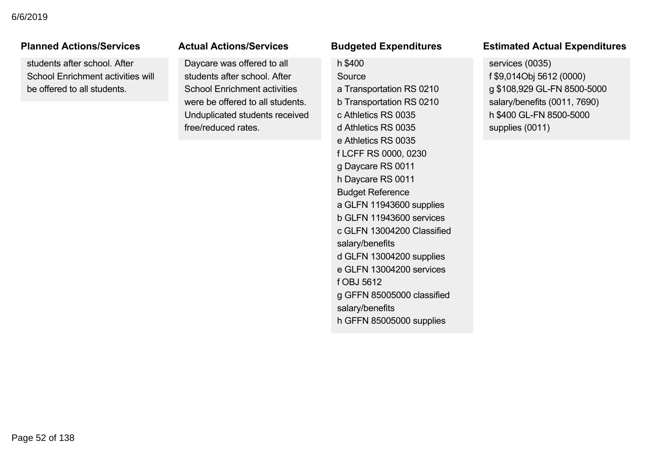### **Planned Actions/Services**

students after school. After School Enrichment activities will be offered to all students.

### **Actual Actions/Services**

Daycare was offered to all students after school. After School Enrichment activities were be offered to all students. Unduplicated students received free/reduced rates.

### f \$8,194 uuyeteu t

### h \$400

Source a Transportation RS 0210 b Transportation RS 0210 c Athletics RS 0035 d Athletics RS 0035 e Athletics RS 0035 f LCFF RS 0000, 0230 g Daycare RS 0011 h Daycare RS 0011 Budget Reference a GLFN 11943600 supplies b GLFN 11943600 services c GLFN 13004200 Classified salary/benefits d GLFN 13004200 supplies e GLFN 13004200 services f OBJ 5612 g GFFN 85005000 classified salary/benefits h GFFN 85005000 supplies

### **Planned Actions/Services Actual Actions/Services Budgeted Expenditures Estimated Actual Expenditures** supplies (0035) sumated Actual Experit

services (0035) f \$9,014Obj 5612 (0000) g \$108,929 GL-FN 8500-5000 salary/benefits (0011, 7690) h \$400 GL-FN 8500-5000 supplies (0011)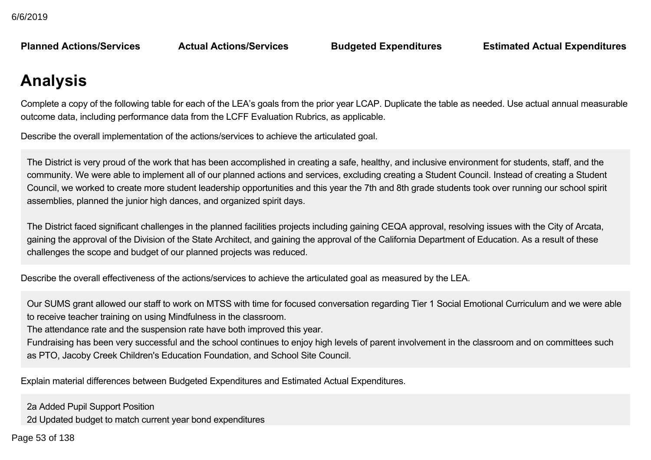**Budgeted Expenditures** 

**Planned Actions/Services Actual Actions/Services Budgeted Expenditures Estimated Actual Expenditures**

# **Analysis**

Complete a copy of the following table for each of the LEA's goals from the prior year LCAP. Duplicate the table as needed. Use actual annual measurable outcome data, including performance data from the LCFF Evaluation Rubrics, as applicable.

Describe the overall implementation of the actions/services to achieve the articulated goal.

The District is very proud of the work that has been accomplished in creating a safe, healthy, and inclusive environment for students, staff, and the community. We were able to implement all of our planned actions and services, excluding creating a Student Council. Instead of creating a Student Council, we worked to create more student leadership opportunities and this year the 7th and 8th grade students took over running our school spirit assemblies, planned the junior high dances, and organized spirit days.

The District faced significant challenges in the planned facilities projects including gaining CEQA approval, resolving issues with the City of Arcata, gaining the approval of the Division of the State Architect, and gaining the approval of the California Department of Education. As a result of these challenges the scope and budget of our planned projects was reduced.

Describe the overall effectiveness of the actions/services to achieve the articulated goal as measured by the LEA.

Our SUMS grant allowed our staff to work on MTSS with time for focused conversation regarding Tier 1 Social Emotional Curriculum and we were able to receive teacher training on using Mindfulness in the classroom.

The attendance rate and the suspension rate have both improved this year.

Fundraising has been very successful and the school continues to enjoy high levels of parent involvement in the classroom and on committees such as PTO, Jacoby Creek Children's Education Foundation, and School Site Council.

Explain material differences between Budgeted Expenditures and Estimated Actual Expenditures.

2a Added Pupil Support Position

2d Updated budget to match current year bond expenditures

 $2e^{\frac{2}{3}}$ ef 120 2l Increased Fuel Cost Page 53 of 138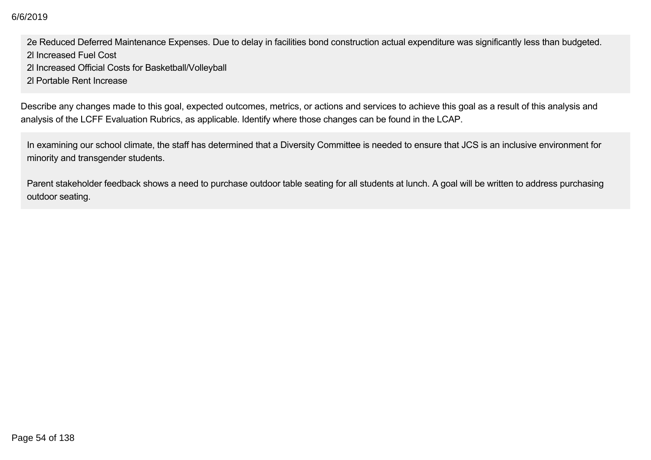2a Added Pupil Support Position 6/6/2019

2e Reduced Deferred Maintenance Expenses. Due to delay in facilities bond construction actual expenditure was significantly less than budgeted. 2l Increased Fuel Cost

2l Increased Official Costs for Basketball/Volleyball

2l Portable Rent Increase

Describe any changes made to this goal, expected outcomes, metrics, or actions and services to achieve this goal as a result of this analysis and analysis of the LCFF Evaluation Rubrics, as applicable. Identify where those changes can be found in the LCAP.

In examining our school climate, the staff has determined that a Diversity Committee is needed to ensure that JCS is an inclusive environment for minority and transgender students.

Parent stakeholder feedback shows a need to purchase outdoor table seating for all students at lunch. A goal will be written to address purchasing outdoor seating.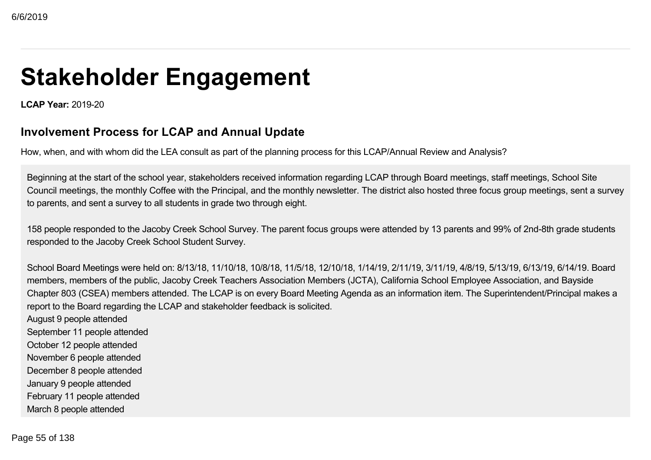# **Stakeholder Engagement**

**LCAP Year: 2019-20** 

### **Involvement Process for LCAP and Annual Update**

How, when, and with whom did the LEA consult as part of the planning process for this LCAP/Annual Review and Analysis?

Beginning at the start of the school year, stakeholders received information regarding LCAP through Board meetings, staff meetings, School Site Council meetings, the monthly Coffee with the Principal, and the monthly newsletter. The district also hosted three focus group meetings, sent a survey to parents, and sent a survey to all students in grade two through eight.

158 people responded to the Jacoby Creek School Survey. The parent focus groups were attended by 13 parents and 99% of 2nd-8th grade students responded to the Jacoby Creek School Student Survey.

School Board Meetings were held on: 8/13/18, 11/10/18, 10/8/18, 11/5/18, 12/10/18, 1/14/19, 2/11/19, 3/11/19, 4/8/19, 5/13/19, 6/13/19, 6/14/19. Board members, members of the public, Jacoby Creek Teachers Association Members (JCTA), California School Employee Association, and Bayside Chapter 803 (CSEA) members attended. The LCAP is on every Board Meeting Agenda as an information item. The Superintendent/Principal makes a report to the Board regarding the LCAP and stakeholder feedback is solicited.

August 9 people attended September 11 people attended October 12 people attended November 6 people attended December 8 people attended January 9 people attended February 11 people attended March 8 people attended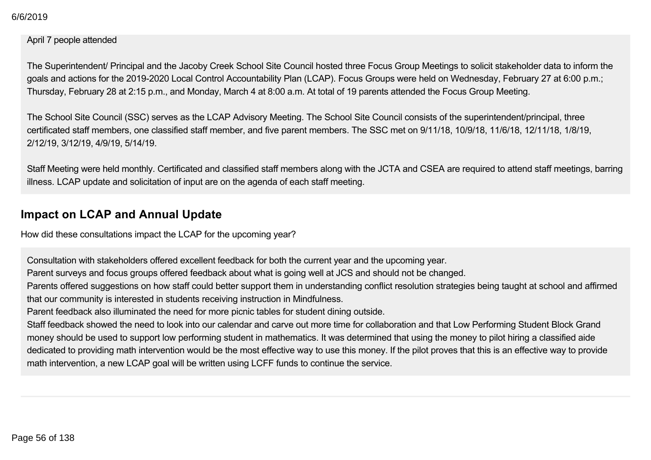February 11 people attended 6/6/2019

### April 7 people attended

The Superintendent/ Principal and the Jacoby Creek School Site Council hosted three Focus Group Meetings to solicit stakeholder data to inform the goals and actions for the 2019-2020 Local Control Accountability Plan (LCAP). Focus Groups were held on Wednesday, February 27 at 6:00 p.m.; Thursday, February 28 at 2:15 p.m., and Monday, March 4 at 8:00 a.m. At total of 19 parents attended the Focus Group Meeting.

The School Site Council (SSC) serves as the LCAP Advisory Meeting. The School Site Council consists of the superintendent/principal, three certificated staff members, one classified staff member, and five parent members. The SSC met on 9/11/18, 10/9/18, 11/6/18, 12/11/18, 1/8/19, 2/12/19, 3/12/19, 4/9/19, 5/14/19.

Staff Meeting were held monthly. Certificated and classified staff members along with the JCTA and CSEA are required to attend staff meetings, barring illness. LCAP update and solicitation of input are on the agenda of each staff meeting.

### **Impact on LCAP and Annual Update**

How did these consultations impact the LCAP for the upcoming year?

Consultation with stakeholders offered excellent feedback for both the current year and the upcoming year.

Parent surveys and focus groups offered feedback about what is going well at JCS and should not be changed.

Parents offered suggestions on how staff could better support them in understanding conflict resolution strategies being taught at school and affirmed that our community is interested in students receiving instruction in Mindfulness.

Parent feedback also illuminated the need for more picnic tables for student dining outside.

Staff feedback showed the need to look into our calendar and carve out more time for collaboration and that Low Performing Student Block Grand money should be used to support low performing student in mathematics. It was determined that using the money to pilot hiring a classified aide dedicated to providing math intervention would be the most effective way to use this money. If the pilot proves that this is an effective way to provide math intervention, a new LCAP goal will be written using LCFF funds to continue the service.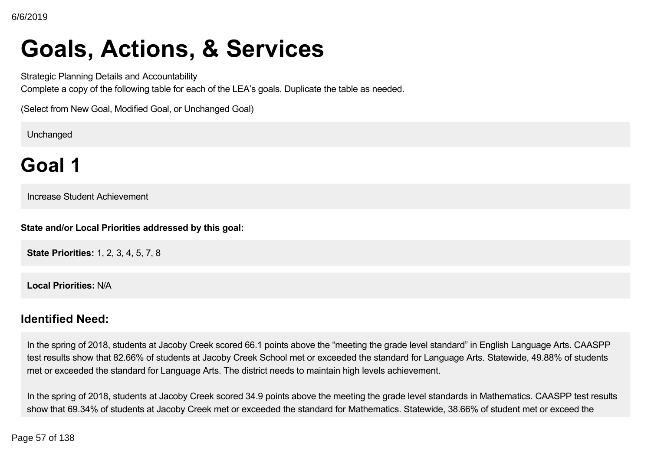# **Goals, Actions, & Services**

Strategic Planning Details and Accountability

Complete a copy of the following table for each of the LEA's goals. Duplicate the table as needed.

(Select from New Goal, Modified Goal, or Unchanged Goal)

Unchanged

# **Goal 1**

Increase Student Achievement

**State and/or Local Priorities addressed by this goal:**

**State Priorities:** 1, 2, 3, 4, 5, 7, 8

**Local Priorities:** N/A

### **Identified Need:**

In the spring of 2018, students at Jacoby Creek scored 66.1 points above the "meeting the grade level standard" in English Language Arts. CAASPP test results show that 82.66% of students at Jacoby Creek School met or exceeded the standard for Language Arts. Statewide, 49.88% of students met or exceeded the standard for Language Arts. The district needs to maintain high levels achievement.

In the spring of 2018, students at Jacoby Creek scored 34.9 points above the meeting the grade level standards in Mathematics. CAASPP test results show that 69.34% of students at Jacoby Creek met or exceeded the standard for Mathematics. Statewide, 38.66% of student met or exceed the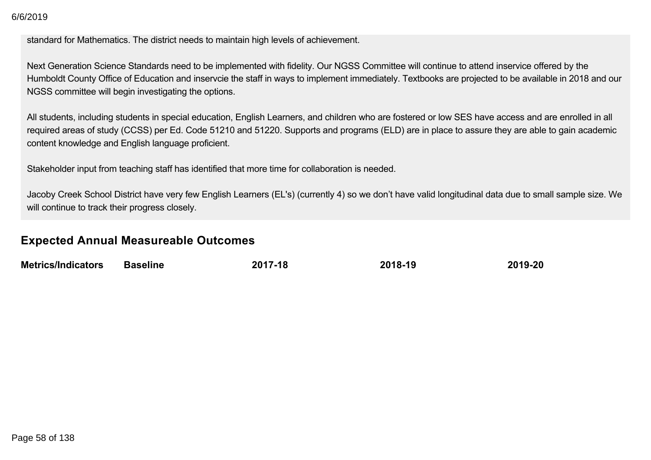standard for Mathematics. The district needs to maintain high levels of achievement.

Next Generation Science Standards need to be implemented with fidelity. Our NGSS Committee will continue to attend inservice offered by the Humboldt County Office of Education and inservcie the staff in ways to implement immediately. Textbooks are projected to be available in 2018 and our NGSS committee will begin investigating the options.

All students, including students in special education, English Learners, and children who are fostered or low SES have access and are enrolled in all required areas of study (CCSS) per Ed. Code 51210 and 51220. Supports and programs (ELD) are in place to assure they are able to gain academic content knowledge and English language proficient.

Stakeholder input from teaching staff has identified that more time for collaboration is needed.

Jacoby Creek School District have very few English Learners (EL's) (currently 4) so we don't have valid longitudinal data due to small sample size. We will continue to track their progress closely.

### **Expected Annual Measureable Outcomes**

| <b>Metrics/Indicators</b> | Baseline | 2017-18 | 2018-19 | 2019-20 |
|---------------------------|----------|---------|---------|---------|
|                           |          |         |         |         |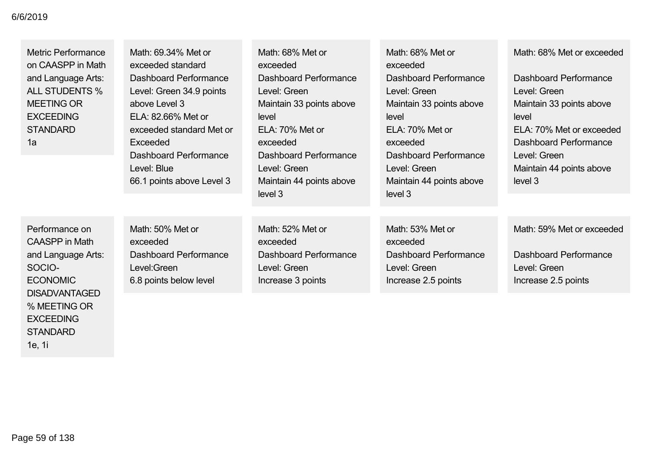Metric Performance on CAASPP in Math and Language Arts: ALL STUDENTS % MEETING OR **EXCEEDING STANDARD** 1a

Math: 69.34% Met or exceeded standard Dashboard Performance Level: Green 34.9 points above Level 3 ELA: 82.66% Met or exceeded standard Met or Exceeded Dashboard Performance Level: Blue 66.1 points above Level 3

Math: 68% Met or exceeded Dashboard Performance Level: Green Maintain 33 points above level ELA: 70% Met or exceeded Dashboard Performance Level: Green Maintain 44 points above level 3

Math: 68% Met or exceeded Dashboard Performance Level: Green Maintain 33 points above level ELA: 70% Met or exceeded Dashboard Performance Level: Green Maintain 44 points above level 3

Math: 68% Met or exceeded

Dashboard Performance Level: Green Maintain 33 points above level ELA: 70% Met or exceeded Dashboard Performance Level: Green Maintain 44 points above level 3

Performance on CAASPP in Math and Language Arts: SOCIO-ECONOMIC DISADVANTAGED % MEETING OR **EXCEEDING** STANDARD 1e, 1i

Math: 50% Met or exceeded Dashboard Performance Level:Green 6.8 points below level

Math: 52% Met or exceeded Dashboard Performance Level: Green Increase 3 points

Math: 53% Met or exceeded Dashboard Performance Level: Green Increase 2.5 points

Math: 59% Met or exceeded

Dashboard Performance Level: Green Increase 2.5 points

Page 59 of 138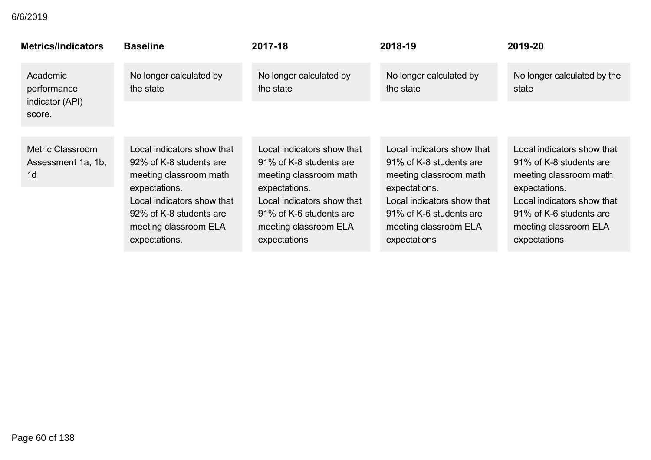| <b>Metrics/Indicators</b>                                       | <b>Baseline</b>                                                                                                                                                                                     | 2017-18                                                                                                                                                                                            | 2018-19                                                                                                                                                                                            | 2019-20                                                                                                                                                                                            |
|-----------------------------------------------------------------|-----------------------------------------------------------------------------------------------------------------------------------------------------------------------------------------------------|----------------------------------------------------------------------------------------------------------------------------------------------------------------------------------------------------|----------------------------------------------------------------------------------------------------------------------------------------------------------------------------------------------------|----------------------------------------------------------------------------------------------------------------------------------------------------------------------------------------------------|
| Academic<br>performance<br>indicator (API)                      | No longer calculated by<br>the state                                                                                                                                                                | No longer calculated by<br>the state                                                                                                                                                               | No longer calculated by<br>the state                                                                                                                                                               | No longer calculated by the<br>state                                                                                                                                                               |
| score.                                                          |                                                                                                                                                                                                     |                                                                                                                                                                                                    |                                                                                                                                                                                                    |                                                                                                                                                                                                    |
| <b>Metric Classroom</b><br>Assessment 1a, 1b,<br>1 <sub>d</sub> | Local indicators show that<br>92% of K-8 students are<br>meeting classroom math<br>expectations.<br>Local indicators show that<br>92% of K-8 students are<br>meeting classroom ELA<br>expectations. | Local indicators show that<br>91% of K-8 students are<br>meeting classroom math<br>expectations.<br>Local indicators show that<br>91% of K-6 students are<br>meeting classroom ELA<br>expectations | Local indicators show that<br>91% of K-8 students are<br>meeting classroom math<br>expectations.<br>Local indicators show that<br>91% of K-6 students are<br>meeting classroom ELA<br>expectations | Local indicators show that<br>91% of K-8 students are<br>meeting classroom math<br>expectations.<br>Local indicators show that<br>91% of K-6 students are<br>meeting classroom ELA<br>expectations |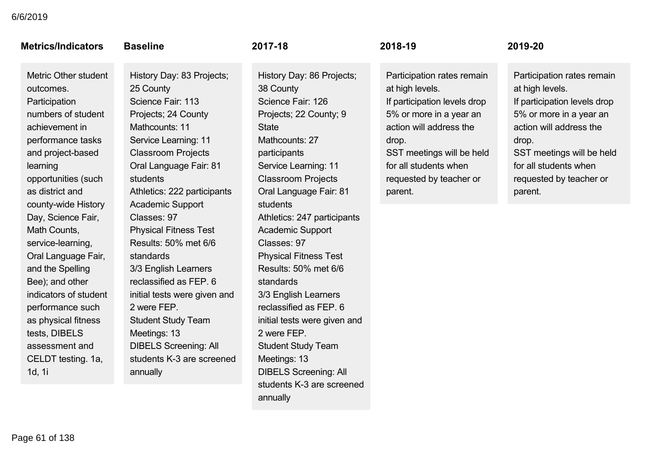| <b>Metrics/Indicators</b>                                                                                                                                                                                                                                                           | <b>Baseline</b>                                                                                                                                                                                                                                                                                                                    | 2017-18                                                                                                                                                                                                                                                                                                                              | 2018-19                                                                                                                                                                                                                                  | 2019-20                                                                                                                                                                                                                                  |
|-------------------------------------------------------------------------------------------------------------------------------------------------------------------------------------------------------------------------------------------------------------------------------------|------------------------------------------------------------------------------------------------------------------------------------------------------------------------------------------------------------------------------------------------------------------------------------------------------------------------------------|--------------------------------------------------------------------------------------------------------------------------------------------------------------------------------------------------------------------------------------------------------------------------------------------------------------------------------------|------------------------------------------------------------------------------------------------------------------------------------------------------------------------------------------------------------------------------------------|------------------------------------------------------------------------------------------------------------------------------------------------------------------------------------------------------------------------------------------|
| <b>Metric Other student</b><br>outcomes.<br>Participation<br>numbers of student<br>achievement in<br>performance tasks<br>and project-based<br>learning<br>opportunities (such<br>as district and                                                                                   | History Day: 83 Projects;<br>25 County<br>Science Fair: 113<br>Projects; 24 County<br>Mathcounts: 11<br>Service Learning: 11<br><b>Classroom Projects</b><br>Oral Language Fair: 81<br>students<br>Athletics: 222 participants                                                                                                     | History Day: 86 Projects;<br>38 County<br>Science Fair: 126<br>Projects; 22 County; 9<br><b>State</b><br>Mathcounts: 27<br>participants<br>Service Learning: 11<br><b>Classroom Projects</b><br>Oral Language Fair: 81                                                                                                               | Participation rates remain<br>at high levels.<br>If participation levels drop<br>5% or more in a year an<br>action will address the<br>drop.<br>SST meetings will be held<br>for all students when<br>requested by teacher or<br>parent. | Participation rates remain<br>at high levels.<br>If participation levels drop<br>5% or more in a year an<br>action will address the<br>drop.<br>SST meetings will be held<br>for all students when<br>requested by teacher or<br>parent. |
| county-wide History<br>Day, Science Fair,<br>Math Counts,<br>service-learning,<br>Oral Language Fair,<br>and the Spelling<br>Bee); and other<br>indicators of student<br>performance such<br>as physical fitness<br>tests, DIBELS<br>assessment and<br>CELDT testing. 1a,<br>1d, 1i | <b>Academic Support</b><br>Classes: 97<br><b>Physical Fitness Test</b><br>Results: 50% met 6/6<br>standards<br>3/3 English Learners<br>reclassified as FEP. 6<br>initial tests were given and<br>2 were FEP.<br><b>Student Study Team</b><br>Meetings: 13<br><b>DIBELS Screening: All</b><br>students K-3 are screened<br>annually | students<br>Athletics: 247 participants<br><b>Academic Support</b><br>Classes: 97<br><b>Physical Fitness Test</b><br>Results: 50% met 6/6<br>standards<br>3/3 English Learners<br>reclassified as FEP. 6<br>initial tests were given and<br>2 were FEP.<br><b>Student Study Team</b><br>Meetings: 13<br><b>DIBELS Screening: All</b> |                                                                                                                                                                                                                                          |                                                                                                                                                                                                                                          |

students K-3 are screened

annually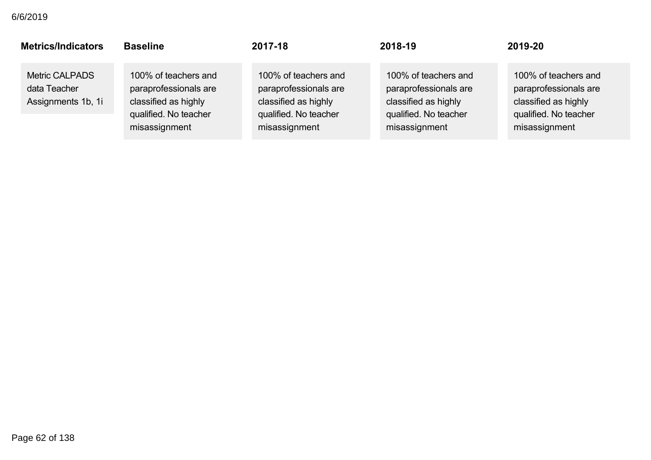| <b>Metrics/Indicators</b>                                   | <b>Baseline</b>                                                                                                 | 2017-18                                                                                                         | 2018-19                                                                                                         | 2019-20                                                                                                         |
|-------------------------------------------------------------|-----------------------------------------------------------------------------------------------------------------|-----------------------------------------------------------------------------------------------------------------|-----------------------------------------------------------------------------------------------------------------|-----------------------------------------------------------------------------------------------------------------|
| <b>Metric CALPADS</b><br>data Teacher<br>Assignments 1b, 1i | 100% of teachers and<br>paraprofessionals are<br>classified as highly<br>qualified. No teacher<br>misassignment | 100% of teachers and<br>paraprofessionals are<br>classified as highly<br>qualified. No teacher<br>misassignment | 100% of teachers and<br>paraprofessionals are<br>classified as highly<br>qualified. No teacher<br>misassignment | 100% of teachers and<br>paraprofessionals are<br>classified as highly<br>qualified. No teacher<br>misassignment |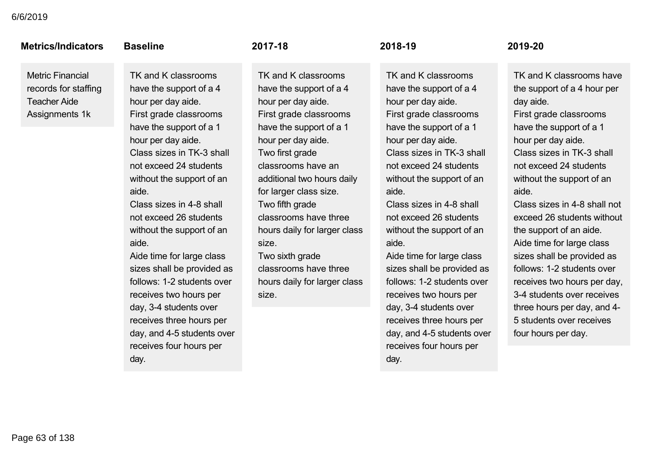### **Metrics/Indicators**

Metric Financial records for staffing Teacher Aide Assignments 1k

### **Raseline**

TK and K classrooms have the support of a 4 hour per day aide. First grade classrooms have the support of a 1 hour per day aide. Class sizes in TK-3 shall not exceed 24 students without the support of an aide.

 $Class sizes in 4-8 shall$ not exceed 26 students without the support of an aide.

Aide time for large class sizes shall be provided as follows: 1-2 students over receives two hours per day, 3-4 students over receives three hours per day, and 4-5 students over receives four hours per day.

### 2017-18

TK and K classrooms have the support of a 4 hour per day aide. First grade classrooms have the support of a 1 hour per day aide. Two first grade classrooms have an additional two hours daily for larger class size. Two fifth grade classrooms have three hours daily for larger class size. Two sixth grade

classrooms have three hours daily for larger class size.

### 2018-19

TK and K classrooms have the support of a 4 hour per day aide. First grade classrooms have the support of a 1 hour per day aide. Class sizes in TK-3 shall not exceed 24 students without the support of an aide.

 $Class sizes in 4-8 shall$ not exceed 26 students without the support of an aide.

Aide time for large class sizes shall be provided as follows: 1-2 students over receives two hours per day, 34 students over receives three hours per day, and 4-5 students over receives four hours per day.

### $2019 - 20$

TK and K classrooms have the support of a 4 hour per day aide.

First grade classrooms have the support of a 1 hour per day aide.

Class sizes in TK-3 shall not exceed 24 students without the support of an aide.

 $Class$  sizes in 4-8 shall not exceed 26 students without the support of an aide. Aide time for large class sizes shall be provided as follows: 1-2 students over receives two hours per day, 34 students over receives three hours per day, and 4 5 students over receives four hours per day.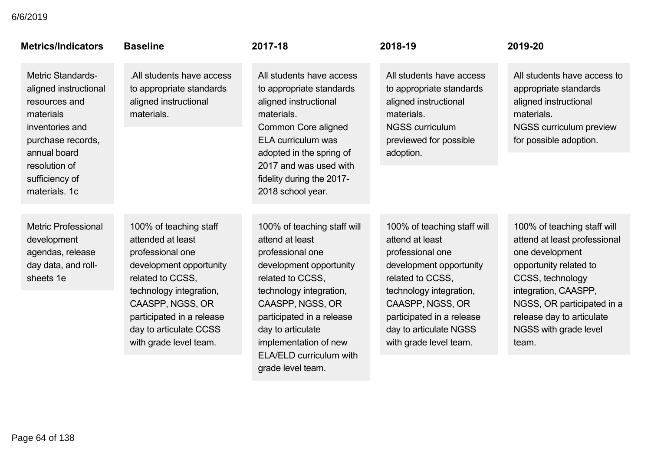| <b>Metrics/Indicators</b>                                                                                                                                                                   | <b>Baseline</b>                                                                                                                                                                                                                                | 2017-18                                                                                                                                                                                                                                                                                            | 2018-19                                                                                                                                                                                                                                           | 2019-20                                                                                                                                                                                                                                           |
|---------------------------------------------------------------------------------------------------------------------------------------------------------------------------------------------|------------------------------------------------------------------------------------------------------------------------------------------------------------------------------------------------------------------------------------------------|----------------------------------------------------------------------------------------------------------------------------------------------------------------------------------------------------------------------------------------------------------------------------------------------------|---------------------------------------------------------------------------------------------------------------------------------------------------------------------------------------------------------------------------------------------------|---------------------------------------------------------------------------------------------------------------------------------------------------------------------------------------------------------------------------------------------------|
| <b>Metric Standards-</b><br>aligned instructional<br>resources and<br>materials<br>inventories and<br>purchase records,<br>annual board<br>resolution of<br>sufficiency of<br>materials, 1c | .All students have access<br>to appropriate standards<br>aligned instructional<br>materials.                                                                                                                                                   | All students have access<br>to appropriate standards<br>aligned instructional<br>materials.<br><b>Common Core aligned</b><br>ELA curriculum was<br>adopted in the spring of<br>2017 and was used with<br>fidelity during the 2017-<br>2018 school year.                                            | All students have access<br>to appropriate standards<br>aligned instructional<br>materials.<br><b>NGSS curriculum</b><br>previewed for possible<br>adoption.                                                                                      | All students have access to<br>appropriate standards<br>aligned instructional<br>materials.<br>NGSS curriculum preview<br>for possible adoption.                                                                                                  |
| <b>Metric Professional</b><br>development<br>agendas, release<br>day data, and roll-<br>sheets 1e                                                                                           | 100% of teaching staff<br>attended at least<br>professional one<br>development opportunity<br>related to CCSS.<br>technology integration,<br>CAASPP, NGSS, OR<br>participated in a release<br>day to articulate CCSS<br>with grade level team. | 100% of teaching staff will<br>attend at least<br>professional one<br>development opportunity<br>related to CCSS,<br>technology integration,<br>CAASPP, NGSS, OR<br>participated in a release<br>day to articulate<br>implementation of new<br><b>ELA/ELD curriculum with</b><br>grade level team. | 100% of teaching staff will<br>attend at least<br>professional one<br>development opportunity<br>related to CCSS,<br>technology integration,<br>CAASPP, NGSS, OR<br>participated in a release<br>day to articulate NGSS<br>with grade level team. | 100% of teaching staff will<br>attend at least professional<br>one development<br>opportunity related to<br>CCSS, technology<br>integration, CAASPP,<br>NGSS, OR participated in a<br>release day to articulate<br>NGSS with grade level<br>team. |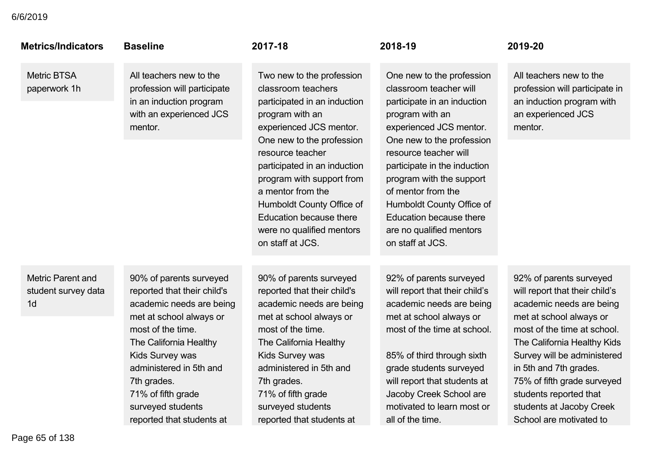| <b>Metrics/Indicators</b>                                         | <b>Baseline</b>                                                                                                                                                                                                                                                                                   | 2017-18                                                                                                                                                                                                                                                                                                                                                                          | 2018-19                                                                                                                                                                                                                                                                                                                                                                          | 2019-20                                                                                                                                                                                                                                                                                                                                                 |
|-------------------------------------------------------------------|---------------------------------------------------------------------------------------------------------------------------------------------------------------------------------------------------------------------------------------------------------------------------------------------------|----------------------------------------------------------------------------------------------------------------------------------------------------------------------------------------------------------------------------------------------------------------------------------------------------------------------------------------------------------------------------------|----------------------------------------------------------------------------------------------------------------------------------------------------------------------------------------------------------------------------------------------------------------------------------------------------------------------------------------------------------------------------------|---------------------------------------------------------------------------------------------------------------------------------------------------------------------------------------------------------------------------------------------------------------------------------------------------------------------------------------------------------|
| <b>Metric BTSA</b><br>paperwork 1h                                | All teachers new to the<br>profession will participate<br>in an induction program<br>with an experienced JCS<br>mentor.                                                                                                                                                                           | Two new to the profession<br>classroom teachers<br>participated in an induction<br>program with an<br>experienced JCS mentor.<br>One new to the profession<br>resource teacher<br>participated in an induction<br>program with support from<br>a mentor from the<br>Humboldt County Office of<br><b>Education because there</b><br>were no qualified mentors<br>on staff at JCS. | One new to the profession<br>classroom teacher will<br>participate in an induction<br>program with an<br>experienced JCS mentor.<br>One new to the profession<br>resource teacher will<br>participate in the induction<br>program with the support<br>of mentor from the<br>Humboldt County Office of<br>Education because there<br>are no qualified mentors<br>on staff at JCS. | All teachers new to the<br>profession will participate in<br>an induction program with<br>an experienced JCS<br>mentor.                                                                                                                                                                                                                                 |
| <b>Metric Parent and</b><br>student survey data<br>1 <sub>d</sub> | 90% of parents surveyed<br>reported that their child's<br>academic needs are being<br>met at school always or<br>most of the time.<br>The California Healthy<br>Kids Survey was<br>administered in 5th and<br>7th grades.<br>71% of fifth grade<br>surveyed students<br>reported that students at | 90% of parents surveyed<br>reported that their child's<br>academic needs are being<br>met at school always or<br>most of the time.<br>The California Healthy<br>Kids Survey was<br>administered in 5th and<br>7th grades.<br>71% of fifth grade<br>surveyed students<br>reported that students at                                                                                | 92% of parents surveyed<br>will report that their child's<br>academic needs are being<br>met at school always or<br>most of the time at school.<br>85% of third through sixth<br>grade students surveyed<br>will report that students at<br>Jacoby Creek School are<br>motivated to learn most or<br>all of the time.                                                            | 92% of parents surveyed<br>will report that their child's<br>academic needs are being<br>met at school always or<br>most of the time at school.<br>The California Healthy Kids<br>Survey will be administered<br>in 5th and 7th grades.<br>75% of fifth grade surveyed<br>students reported that<br>students at Jacoby Creek<br>School are motivated to |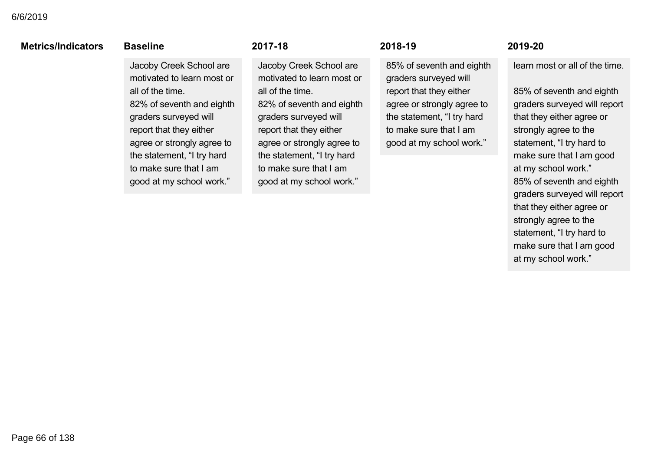### **Metrics/Indicators**

### **Baseline**  $rac{1}{2}$

Jacoby Creek School are motivated to learn most or all of the time. 82% of seventh and eighth graders surveyed will report that they either agree or strongly agree to the statement, "I try hard to make sure that I am good at my school work."

### $2017 - 18$  $\frac{1}{2}$

Jacoby Creek School are motivated to learn most or all of the time. 82% of seventh and eighth graders surveyed will report that they either agree or strongly agree to the statement, "I try hard to make sure that I am good at my school work."

### $2018 - 19$  $\mathbf{v}$  is the time.

85% of seventh and eighth graders surveyed will report that they either agree or strongly agree to the statement, "I try hard to make sure that I am good at my school work."

### $2019 - 20$  $\frac{1}{2}$  are motivated to  $\frac{1}{2}$

learn most or all of the time.

85% of seventh and eighth graders surveyed will report that they either agree or strongly agree to the statement, "I try hard to make sure that I am good at my school work." 85% of seventh and eighth graders surveyed will report that they either agree or strongly agree to the statement, "I try hard to make sure that I am good at my school work."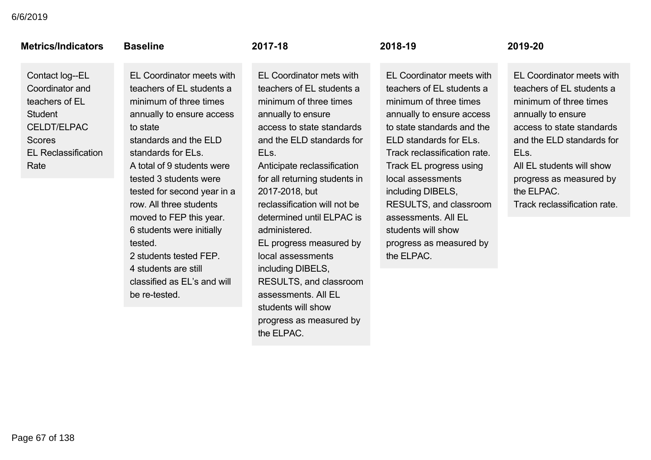| <b>Metrics/Indicators</b>                                                                                                                           | <b>Baseline</b>                                                                                                                                                                                                                  | 2017-18                                                                                                                                                                                                                                             | 2018-19                                                                                                                                                                                                                                               | 2019-20                                                                                                |
|-----------------------------------------------------------------------------------------------------------------------------------------------------|----------------------------------------------------------------------------------------------------------------------------------------------------------------------------------------------------------------------------------|-----------------------------------------------------------------------------------------------------------------------------------------------------------------------------------------------------------------------------------------------------|-------------------------------------------------------------------------------------------------------------------------------------------------------------------------------------------------------------------------------------------------------|--------------------------------------------------------------------------------------------------------|
| Contact log--EL<br>Coordinator and<br>teachers of EL<br><b>Student</b><br><b>CELDT/ELPAC</b><br><b>Scores</b><br><b>EL Reclassification</b><br>Rate | EL Coordinator meets with<br>teachers of EL students a<br>minimum of three times<br>annually to ensure access<br>to state<br>standards and the ELD<br>standards for ELs.<br>A total of 9 students were<br>tested 3 students were | EL Coordinator mets with<br>teachers of EL students a<br>minimum of three times<br>annually to ensure<br>access to state standards<br>and the ELD standards for<br>EL <sub>s.</sub><br>Anticipate reclassification<br>for all returning students in | EL Coordinator meets with<br>teachers of EL students a<br>minimum of three times<br>annually to ensure access<br>to state standards and the<br>ELD standards for ELs.<br>Track reclassification rate.<br>Track EL progress using<br>local assessments | <b>EL Cool</b><br>teachers<br>minimur<br>annually<br>access<br>and the<br>ELs.<br>All EL st<br>progres |
|                                                                                                                                                     | tested for second year in a<br>row. All three students<br>moved to FEP this year.<br>6 students were initially<br>tested.<br>2 students tested FEP.                                                                              | 2017-2018, but<br>reclassification will not be<br>determined until ELPAC is<br>administered.<br>EL progress measured by<br>local assessments                                                                                                        | including DIBELS,<br>RESULTS, and classroom<br>assessments. All EL<br>students will show<br>progress as measured by<br>the ELPAC.                                                                                                                     | the ELP<br>Track re                                                                                    |

4 students are still classified as EL's and will be re-tested.

reclassification will not be determined until ELPAC is administered. EL progress measured by local assessments including DIBELS, RESULTS, and classroom assessments. All EL students will show progress as measured by the ELPAC.

### $2019 - 20$

EL Coordinator meets with teachers of EL students a minimum of three times annually to ensure access to state standards and the ELD standards for ELs. All EL students will show progress as measured by the ELPAC.

Track reclassification rate.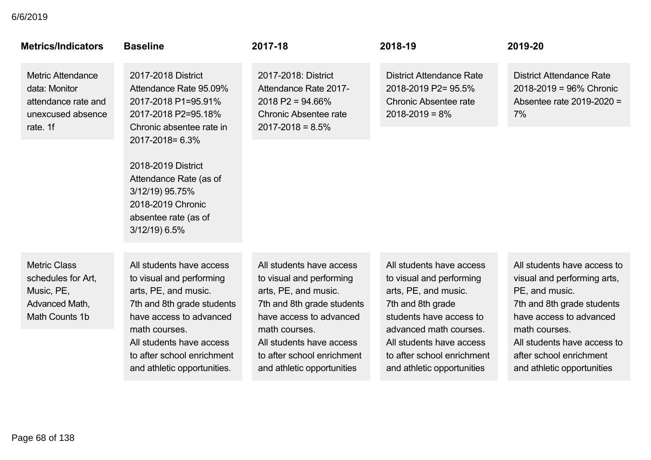| <b>Metrics/Indicators</b>                                                                         | <b>Baseline</b>                                                                                                                                                                                                                                                             | 2017-18                                                                                                                                                                                                                                        | 2018-19                                                                                                                                                                                                                                        | 2019-20                                                                                                                                                                                                                                        |
|---------------------------------------------------------------------------------------------------|-----------------------------------------------------------------------------------------------------------------------------------------------------------------------------------------------------------------------------------------------------------------------------|------------------------------------------------------------------------------------------------------------------------------------------------------------------------------------------------------------------------------------------------|------------------------------------------------------------------------------------------------------------------------------------------------------------------------------------------------------------------------------------------------|------------------------------------------------------------------------------------------------------------------------------------------------------------------------------------------------------------------------------------------------|
| <b>Metric Attendance</b><br>data: Monitor<br>attendance rate and<br>unexcused absence<br>rate. 1f | 2017-2018 District<br>Attendance Rate 95.09%<br>2017-2018 P1=95.91%<br>2017-2018 P2=95.18%<br>Chronic absentee rate in<br>2017-2018 = 6.3%<br>2018-2019 District<br>Attendance Rate (as of<br>3/12/19) 95.75%<br>2018-2019 Chronic<br>absentee rate (as of<br>3/12/19) 6.5% | 2017-2018: District<br>Attendance Rate 2017-<br>$2018$ P2 = 94.66%<br>Chronic Absentee rate<br>$2017 - 2018 = 8.5%$                                                                                                                            | <b>District Attendance Rate</b><br>2018-2019 P2= 95.5%<br><b>Chronic Absentee rate</b><br>$2018 - 2019 = 8\%$                                                                                                                                  | <b>District Attendance Rate</b><br>$2018 - 2019 = 96\%$ Chronic<br>Absentee rate 2019-2020 =<br>7%                                                                                                                                             |
| <b>Metric Class</b><br>schedules for Art,<br>Music, PE,<br>Advanced Math,<br>Math Counts 1b       | All students have access<br>to visual and performing<br>arts, PE, and music.<br>7th and 8th grade students<br>have access to advanced<br>math courses.<br>All students have access<br>to after school enrichment<br>and athletic opportunities.                             | All students have access<br>to visual and performing<br>arts, PE, and music.<br>7th and 8th grade students<br>have access to advanced<br>math courses.<br>All students have access<br>to after school enrichment<br>and athletic opportunities | All students have access<br>to visual and performing<br>arts, PE, and music.<br>7th and 8th grade<br>students have access to<br>advanced math courses.<br>All students have access<br>to after school enrichment<br>and athletic opportunities | All students have access to<br>visual and performing arts,<br>PE, and music.<br>7th and 8th grade students<br>have access to advanced<br>math courses.<br>All students have access to<br>after school enrichment<br>and athletic opportunities |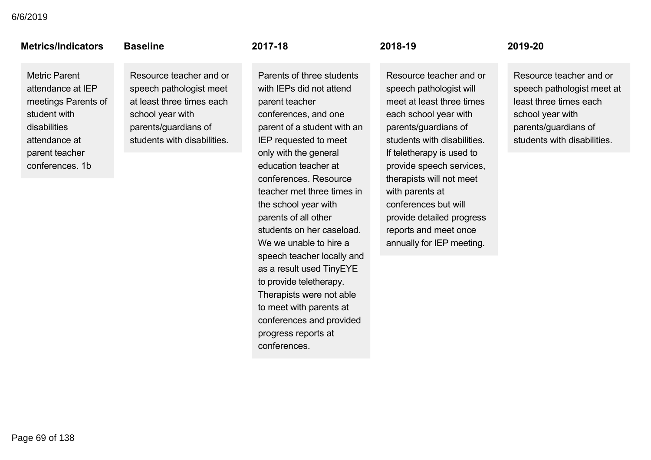### **Metrics/Indicators**

### **Baseline**

Metric Parent attendance at IEP meetings Parents of student with disabilities attendance at parent teacher conferences. 1b

## Resource teacher and or speech pathologist meet at least three times each school year with parents/guardians of

students with disabilities.

 $2017 - 18$ 

Parents of three students with IEPs did not attend parent teacher conferences, and one parent of a student with an IEP requested to meet only with the general education teacher at conferences. Resource teacher met three times in the school year with parents of all other students on her caseload. We we unable to hire a speech teacher locally and as a result used TinyEYE to provide teletherapy. Therapists were not able to meet with parents at conferences and provided progress reports at conferences.

 $2018 - 19$ 

Resource teacher and or speech pathologist will meet at least three times each school year with parents/guardians of students with disabilities. If teletherapy is used to provide speech services, therapists will not meet with parents at conferences but will provide detailed progress reports and meet once annually for IEP meeting.

### $2019 - 20$

Resource teacher and or speech pathologist meet at least three times each school year with parents/guardians of students with disabilities.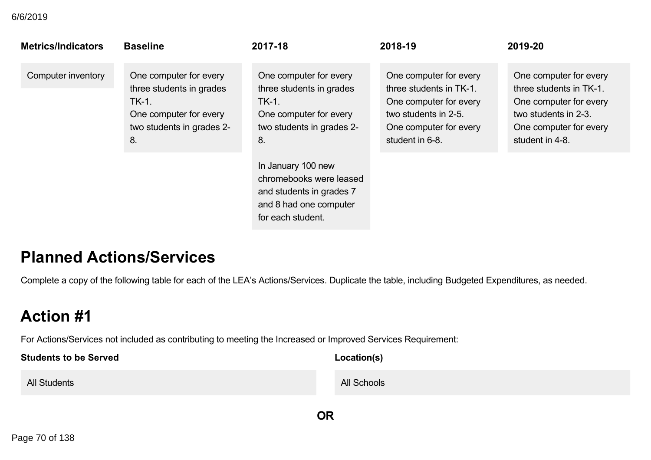| <b>Metrics/Indicators</b> | <b>Baseline</b>                                                                                                          | 2017-18                                                                                                                  | 2018-19                                                                                                                                          | 2019-20                                                                                                                                          |
|---------------------------|--------------------------------------------------------------------------------------------------------------------------|--------------------------------------------------------------------------------------------------------------------------|--------------------------------------------------------------------------------------------------------------------------------------------------|--------------------------------------------------------------------------------------------------------------------------------------------------|
| Computer inventory        | One computer for every<br>three students in grades<br>TK-1.<br>One computer for every<br>two students in grades 2-<br>8. | One computer for every<br>three students in grades<br>TK-1.<br>One computer for every<br>two students in grades 2-<br>8. | One computer for every<br>three students in TK-1.<br>One computer for every<br>two students in 2-5.<br>One computer for every<br>student in 6-8. | One computer for every<br>three students in TK-1.<br>One computer for every<br>two students in 2-3.<br>One computer for every<br>student in 4-8. |
|                           |                                                                                                                          | In January 100 new<br>chromebooks were leased<br>and students in grades 7<br>and 8 had one computer<br>for each student. |                                                                                                                                                  |                                                                                                                                                  |

## **Planned Actions/Services**

Complete a copy of the following table for each of the LEA's Actions/Services. Duplicate the table, including Budgeted Expenditures, as needed.

# **Action #1**

For Actions/Services not included as contributing to meeting the Increased or Improved Services Requirement:

| <b>Students to be Served</b> | Location(s) |
|------------------------------|-------------|
| All Students                 | All Schools |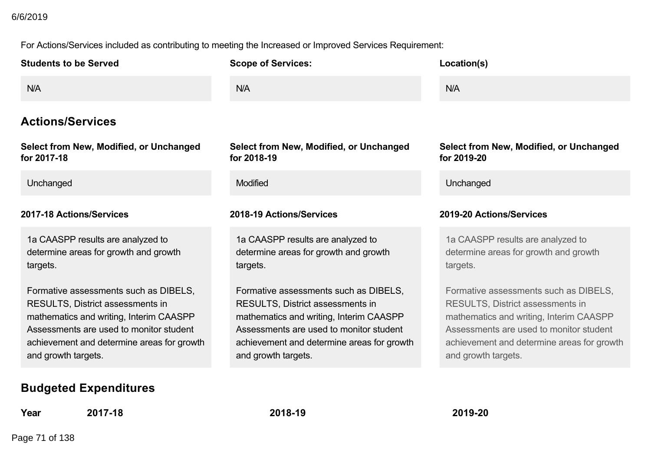For Actions/Services included as contributing to meeting the Increased or Improved Services Requirement:

| <b>Students to be Served</b>                                                                                                                                                                                                                | <b>Scope of Services:</b>                                                                                                                                                                                                                   | Location(s)                                                                                                                                                                                                                                 |
|---------------------------------------------------------------------------------------------------------------------------------------------------------------------------------------------------------------------------------------------|---------------------------------------------------------------------------------------------------------------------------------------------------------------------------------------------------------------------------------------------|---------------------------------------------------------------------------------------------------------------------------------------------------------------------------------------------------------------------------------------------|
| N/A                                                                                                                                                                                                                                         | N/A                                                                                                                                                                                                                                         | N/A                                                                                                                                                                                                                                         |
| <b>Actions/Services</b>                                                                                                                                                                                                                     |                                                                                                                                                                                                                                             |                                                                                                                                                                                                                                             |
| Select from New, Modified, or Unchanged<br>for 2017-18                                                                                                                                                                                      | Select from New, Modified, or Unchanged<br>for 2018-19                                                                                                                                                                                      | <b>Select from New, Modified, or Unchanged</b><br>for 2019-20                                                                                                                                                                               |
| Unchanged                                                                                                                                                                                                                                   | <b>Modified</b>                                                                                                                                                                                                                             | Unchanged                                                                                                                                                                                                                                   |
| 2017-18 Actions/Services                                                                                                                                                                                                                    | 2018-19 Actions/Services                                                                                                                                                                                                                    | 2019-20 Actions/Services                                                                                                                                                                                                                    |
| 1a CAASPP results are analyzed to<br>determine areas for growth and growth<br>targets.                                                                                                                                                      | 1a CAASPP results are analyzed to<br>determine areas for growth and growth<br>targets.                                                                                                                                                      | 1a CAASPP results are analyzed to<br>determine areas for growth and growth<br>targets.                                                                                                                                                      |
| Formative assessments such as DIBELS,<br><b>RESULTS, District assessments in</b><br>mathematics and writing, Interim CAASPP<br>Assessments are used to monitor student<br>achievement and determine areas for growth<br>and growth targets. | Formative assessments such as DIBELS,<br><b>RESULTS, District assessments in</b><br>mathematics and writing, Interim CAASPP<br>Assessments are used to monitor student<br>achievement and determine areas for growth<br>and growth targets. | Formative assessments such as DIBELS,<br><b>RESULTS, District assessments in</b><br>mathematics and writing, Interim CAASPP<br>Assessments are used to monitor student<br>achievement and determine areas for growth<br>and growth targets. |
| <b>Budgeted Expenditures</b>                                                                                                                                                                                                                |                                                                                                                                                                                                                                             |                                                                                                                                                                                                                                             |

**Year 201718 201819 201920**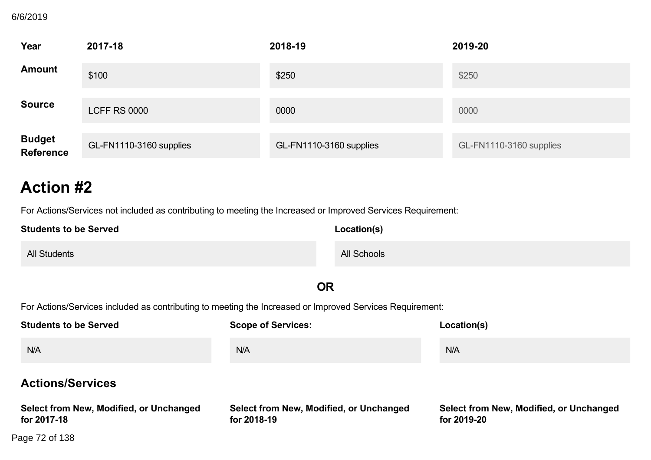### **BUZUTS** 6/6/2019

| Year                        | 2017-18                 | 2018-19                 | 2019-20                 |
|-----------------------------|-------------------------|-------------------------|-------------------------|
| <b>Amount</b>               | \$100                   | \$250                   | \$250                   |
| <b>Source</b>               | <b>LCFF RS 0000</b>     | 0000                    | 0000                    |
| <b>Budget<br/>Reference</b> | GL-FN1110-3160 supplies | GL-FN1110-3160 supplies | GL-FN1110-3160 supplies |

## **Action #2**

For Actions/Services not included as contributing to meeting the Increased or Improved Services Requirement:

| <b>Students to be Served</b> | Location(s) |
|------------------------------|-------------|
| <b>All Students</b>          | All Schools |

### **OR**

For Actions/Services included as contributing to meeting the Increased or Improved Services Requirement:

 $\mathcal{M}$  and  $\mathcal{M}$  are  $\mathcal{M}$  and  $\mathcal{M}$  are  $\mathcal{M}$  and  $\mathcal{M}$  are  $\mathcal{M}$  are  $\mathcal{M}$  and  $\mathcal{M}$  are  $\mathcal{M}$  are  $\mathcal{M}$  are  $\mathcal{M}$  and  $\mathcal{M}$  are  $\mathcal{M}$  are  $\mathcal{M}$  are  $\mathcal{M}$  are  $\mathcal{M}$  are

| <b>Students to be Served</b>                           | <b>Scope of Services:</b>                              | Location(s)                                            |
|--------------------------------------------------------|--------------------------------------------------------|--------------------------------------------------------|
| N/A                                                    | <b>N/A</b>                                             | N/A                                                    |
| <b>Actions/Services</b>                                |                                                        |                                                        |
| Select from New, Modified, or Unchanged<br>for 2017-18 | Select from New, Modified, or Unchanged<br>for 2018-19 | Select from New, Modified, or Unchanged<br>for 2019-20 |
| Page 72 of 138                                         |                                                        |                                                        |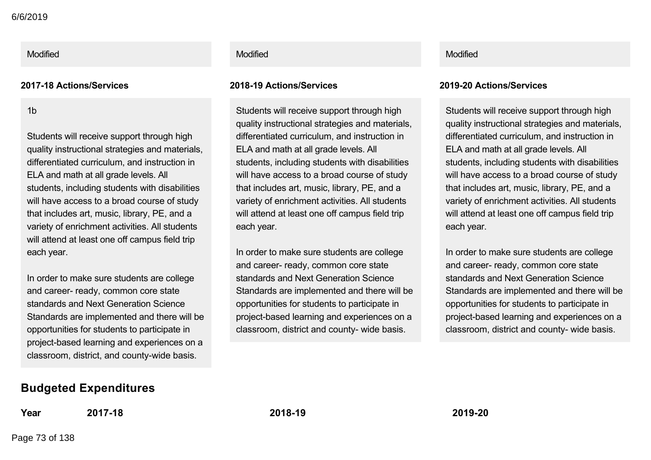### **201718 Actions/Services 201819 Actions/Services 201920 Actions/Services**

1b

Students will receive support through high quality instructional strategies and materials, differentiated curriculum, and instruction in ELA and math at all grade levels. All students, including students with disabilities will have access to a broad course of study that includes art, music, library, PE, and a variety of enrichment activities. All students will attend at least one off campus field trip each year.

In order to make sure students are college and career- ready, common core state standards and Next Generation Science Standards are implemented and there will be opportunities for students to participate in project-based learning and experiences on a classroom, district, and county-wide basis.

### Modified **Modified According to the Modified According to the Modified According to the Modified Modified According to the Modified According to the Modified According to the Modified According to the Modified According to**

Students will receive support through high quality instructional strategies and materials, differentiated curriculum, and instruction in ELA and math at all grade levels. All students, including students with disabilities will have access to a broad course of study that includes art, music, library, PE, and a variety of enrichment activities. All students will attend at least one off campus field trip each year.

In order to make sure students are college and career- ready, common core state standards and Next Generation Science Standards are implemented and there will be opportunities for students to participate in project-based learning and experiences on a classroom, district and county- wide basis.

Students will receive support through high quality instructional strategies and materials, differentiated curriculum, and instruction in ELA and math at all grade levels. All students, including students with disabilities will have access to a broad course of study that includes art, music, library, PE, and a variety of enrichment activities. All students will attend at least one off campus field trip each year.

In order to make sure students are college and career- ready, common core state standards and Next Generation Science Standards are implemented and there will be opportunities for students to participate in project-based learning and experiences on a classroom, district and county- wide basis.

## **Budgeted Expenditures**

**Year 201718 201819 201920**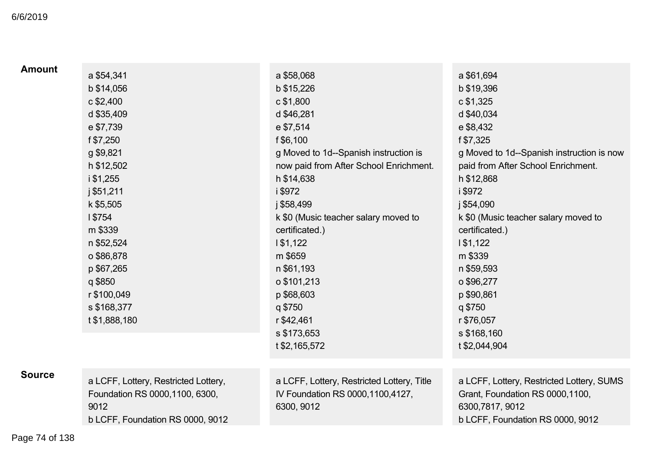## **Budgeted Expenditures** 6/6/2019

| <b>Amount</b> | a \$54,341                                                                      | a \$58,068                                                                                   | a \$61,694                                                                                      |
|---------------|---------------------------------------------------------------------------------|----------------------------------------------------------------------------------------------|-------------------------------------------------------------------------------------------------|
|               | b \$14,056                                                                      | b \$15,226                                                                                   | b \$19,396                                                                                      |
|               | $c$ \$2,400                                                                     | c \$1,800                                                                                    | c \$1,325                                                                                       |
|               | d \$35,409                                                                      | d \$46,281                                                                                   | d \$40,034                                                                                      |
|               | e \$7,739                                                                       | e \$7,514                                                                                    | e \$8,432                                                                                       |
|               | f \$7,250                                                                       | f \$6,100                                                                                    | f \$7,325                                                                                       |
|               | g \$9,821                                                                       | g Moved to 1d--Spanish instruction is                                                        | g Moved to 1d--Spanish instruction is now                                                       |
|               | h \$12,502                                                                      | now paid from After School Enrichment.                                                       | paid from After School Enrichment.                                                              |
|               | i \$1,255                                                                       | h \$14,638                                                                                   | h \$12,868                                                                                      |
|               | j \$51,211                                                                      | i \$972                                                                                      | i \$972                                                                                         |
|               | k \$5,505                                                                       | j \$58,499                                                                                   | j \$54,090                                                                                      |
|               | 1\$754                                                                          | k \$0 (Music teacher salary moved to                                                         | k \$0 (Music teacher salary moved to                                                            |
|               | m \$339                                                                         | certificated.)                                                                               | certificated.)                                                                                  |
|               | n \$52,524                                                                      | 1\$1,122                                                                                     | 1\$1,122                                                                                        |
|               | o \$86,878                                                                      | m \$659                                                                                      | m \$339                                                                                         |
|               | p \$67,265                                                                      | n \$61,193                                                                                   | n \$59,593                                                                                      |
|               | q \$850                                                                         | o \$101,213                                                                                  | o \$96,277                                                                                      |
|               | r \$100,049                                                                     | p \$68,603                                                                                   | p \$90,861                                                                                      |
|               | s \$168,377                                                                     | q \$750                                                                                      | q \$750                                                                                         |
|               | t \$1,888,180                                                                   | r \$42,461                                                                                   | r \$76,057                                                                                      |
|               |                                                                                 | s \$173,653                                                                                  | s \$168,160                                                                                     |
|               |                                                                                 | t \$2,165,572                                                                                | t \$2,044,904                                                                                   |
|               |                                                                                 |                                                                                              |                                                                                                 |
| <b>Source</b> | a LCFF, Lottery, Restricted Lottery,<br>Foundation RS 0000, 1100, 6300,<br>9012 | a LCFF, Lottery, Restricted Lottery, Title<br>IV Foundation RS 0000,1100,4127,<br>6300, 9012 | a LCFF, Lottery, Restricted Lottery, SUMS<br>Grant, Foundation RS 0000,1100,<br>6300,7817, 9012 |
|               | b LCFF, Foundation RS 0000, 9012                                                |                                                                                              | b LCFF, Foundation RS 0000, 9012                                                                |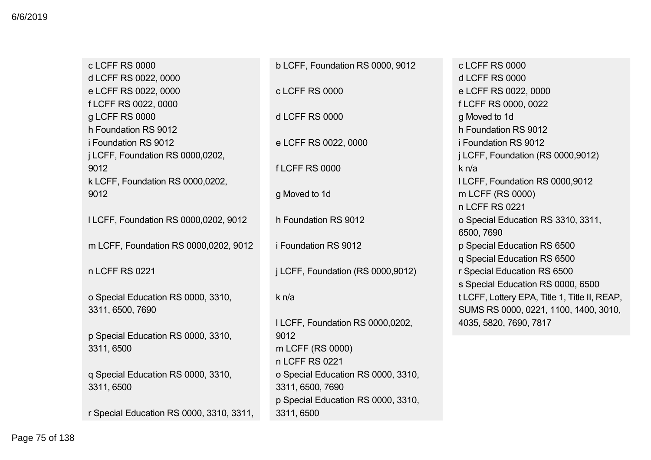c LCFF RS 0000 d LCFF RS 0022, 0000 e LCFF RS 0022, 0000 f LCFF RS 0022, 0000 g LCFF RS 0000 h Foundation RS 9012 i Foundation RS 9012 j LCFF, Foundation RS 0000,0202, 9012 k LCFF, Foundation RS 0000,0202, 9012 l LCFF, Foundation RS 0000,0202, 9012 m LCFF, Foundation RS 0000,0202, 9012 n LCFF RS 0221 o Special Education RS 0000, 3310, 3311, 6500, 7690 p Special Education RS 0000, 3310, 3311, 6500 q Special Education RS 0000, 3310, 3311, 6500 r Special Education RS 0000, 3310, 3311,

b LCFF, Foundation RS 0000, 9012 c LCFF RS 0000 d LCFF RS 0000 e LCFF RS 0022, 0000 f LCFF RS 0000 g Moved to 1d h Foundation RS 9012 i Foundation RS 9012 j LCFF, Foundation (RS 0000,9012) k n/a l LCFF, Foundation RS 0000,0202, 9012 m LCFF (RS 0000) n LCFF RS 0221 o Special Education RS 0000, 3310, 3311, 6500, 7690 p Special Education RS 0000, 3310, 3311, 6500

 $c$  LCFF RS 0000 d LCFF RS 0000 e LCFF RS 0022, 0000 f LCFF RS 0000, 0022 g Moved to 1d h Foundation RS 9012 i Foundation RS 9012 j LCFF, Foundation (RS 0000,9012) k n/a l LCFF, Foundation RS 0000,9012 m LCFF (RS 0000) n LCFF RS 0221 o Special Education RS 3310, 3311, 6500, 7690 p Special Education RS 6500 q Special Education RS 6500 r Special Education RS 6500 s Special Education RS 0000, 6500 t LCFF, Lottery EPA, Title 1, Title II, REAP, SUMS RS 0000, 0221, 1100, 1400, 3010, 4035, 5820, 7690, 7817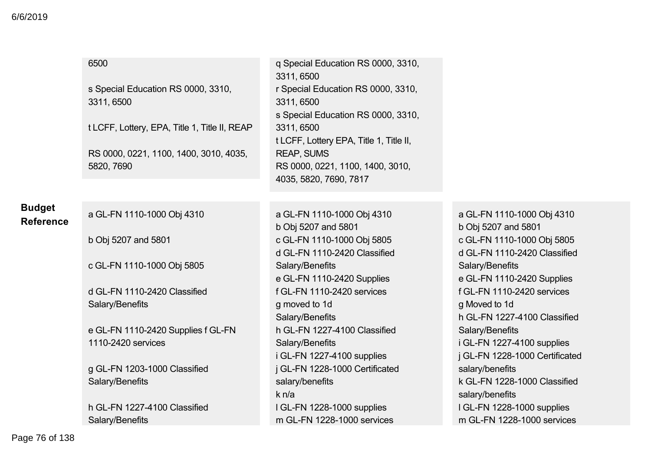|                                   | 6500                                                 | q Special Education RS 0000, 3310,<br>3311, 6500                                            |                                                            |
|-----------------------------------|------------------------------------------------------|---------------------------------------------------------------------------------------------|------------------------------------------------------------|
|                                   | s Special Education RS 0000, 3310,<br>3311, 6500     | r Special Education RS 0000, 3310,<br>3311, 6500                                            |                                                            |
|                                   | t LCFF, Lottery, EPA, Title 1, Title II, REAP        | s Special Education RS 0000, 3310,<br>3311, 6500<br>t LCFF, Lottery EPA, Title 1, Title II, |                                                            |
|                                   | RS 0000, 0221, 1100, 1400, 3010, 4035,<br>5820, 7690 | <b>REAP, SUMS</b><br>RS 0000, 0221, 1100, 1400, 3010,<br>4035, 5820, 7690, 7817             |                                                            |
|                                   |                                                      |                                                                                             |                                                            |
| <b>Budget</b><br><b>Reference</b> | a GL-FN 1110-1000 Obj 4310                           | a GL-FN 1110-1000 Obj 4310<br>b Obj 5207 and 5801                                           | a GL-FN 1110-1000 Obj 4310<br>b Obj 5207 and 5801          |
|                                   | b Obj 5207 and 5801                                  | c GL-FN 1110-1000 Obj 5805<br>d GL-FN 1110-2420 Classified                                  | c GL-FN 1110-1000 Obj 5805<br>d GL-FN 1110-2420 Classified |
|                                   | c GL-FN 1110-1000 Obj 5805                           | Salary/Benefits<br>e GL-FN 1110-2420 Supplies                                               | Salary/Benefits<br>e GL-FN 1110-2420 Supplies              |
|                                   | d GL-FN 1110-2420 Classified                         | f GL-FN 1110-2420 services                                                                  | f GL-FN 1110-2420 services                                 |
|                                   | Salary/Benefits                                      | g moved to 1d                                                                               | g Moved to 1d                                              |
|                                   |                                                      | Salary/Benefits                                                                             | h GL-FN 1227-4100 Classified                               |
|                                   | e GL-FN 1110-2420 Supplies f GL-FN                   | h GL-FN 1227-4100 Classified                                                                | Salary/Benefits                                            |
|                                   | 1110-2420 services                                   | Salary/Benefits                                                                             | i GL-FN 1227-4100 supplies                                 |
|                                   |                                                      | i GL-FN 1227-4100 supplies                                                                  | j GL-FN 1228-1000 Certificated                             |
|                                   | g GL-FN 1203-1000 Classified                         | j GL-FN 1228-1000 Certificated                                                              | salary/benefits                                            |
|                                   | Salary/Benefits                                      | salary/benefits                                                                             | k GL-FN 1228-1000 Classified                               |
|                                   |                                                      | k n/a                                                                                       | salary/benefits                                            |
|                                   | h GL-FN 1227-4100 Classified                         | I GL-FN 1228-1000 supplies                                                                  | I GL-FN 1228-1000 supplies                                 |
|                                   | Salary/Benefits                                      | m GL-FN 1228-1000 services                                                                  | m GL-FN 1228-1000 services                                 |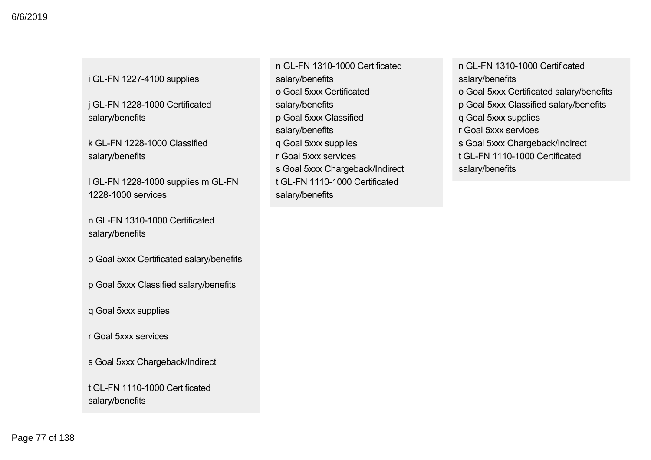### i GL-FN 1227-4100 supplies

Salary/Benefits

j GL-FN 1228-1000 Certificated salary/benefits

k GL-FN 1228-1000 Classified salary/benefits

I GL-FN 1228-1000 supplies m GL-FN 1228-1000 services

n GL-FN 1310-1000 Certificated salary/benefits

o Goal 5xxx Certificated salary/benefits

p Goal 5xxx Classified salary/benefits

q Goal 5xxx supplies

r Goal 5xxx services

s Goal 5xxx Chargeback/Indirect

t GL-FN 1110-1000 Certificated salary/benefits

n GL-FN 1310-1000 Certificated salary/benefits o Goal 5xxx Certificated salary/benefits p Goal 5xxx Classified salary/benefits q Goal 5xxx supplies r Goal 5xxx services s Goal 5xxx Chargeback/Indirect t GL-FN 1110-1000 Certificated salary/benefits

n GL-FN 1310-1000 Certificated salary/benefits o Goal 5xxx Certificated salary/benefits p Goal 5xxx Classified salary/benefits q Goal 5xxx supplies r Goal 5xxx services s Goal 5xxx Chargeback/Indirect t GL-FN 1110-1000 Certificated salary/benefits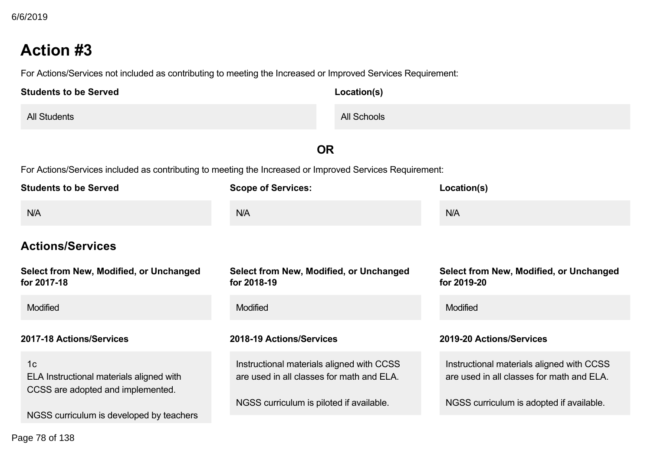For Actions/Services not included as contributing to meeting the Increased or Improved Services Requirement:

| <b>Students to be Served</b> | Location(s) |
|------------------------------|-------------|
| <b>All Students</b>          | All Schools |

**OR**

For Actions/Services included as contributing to meeting the Increased or Improved Services Requirement:

| <b>Students to be Served</b>                                                                    | <b>Scope of Services:</b>                                                              | Location(s)                                                                            |
|-------------------------------------------------------------------------------------------------|----------------------------------------------------------------------------------------|----------------------------------------------------------------------------------------|
| N/A                                                                                             | N/A                                                                                    | N/A                                                                                    |
| <b>Actions/Services</b>                                                                         |                                                                                        |                                                                                        |
| Select from New, Modified, or Unchanged<br>for 2017-18                                          | Select from New, Modified, or Unchanged<br>for 2018-19                                 | Select from New, Modified, or Unchanged<br>for 2019-20                                 |
| <b>Modified</b>                                                                                 | <b>Modified</b>                                                                        | Modified                                                                               |
| 2017-18 Actions/Services                                                                        | 2018-19 Actions/Services                                                               | 2019-20 Actions/Services                                                               |
| 1 <sub>c</sub><br>ELA Instructional materials aligned with<br>CCSS are adopted and implemented. | Instructional materials aligned with CCSS<br>are used in all classes for math and ELA. | Instructional materials aligned with CCSS<br>are used in all classes for math and ELA. |
| NGSS curriculum is developed by teachers                                                        | NGSS curriculum is piloted if available.                                               | NGSS curriculum is adopted if available.                                               |

Page 78 of 138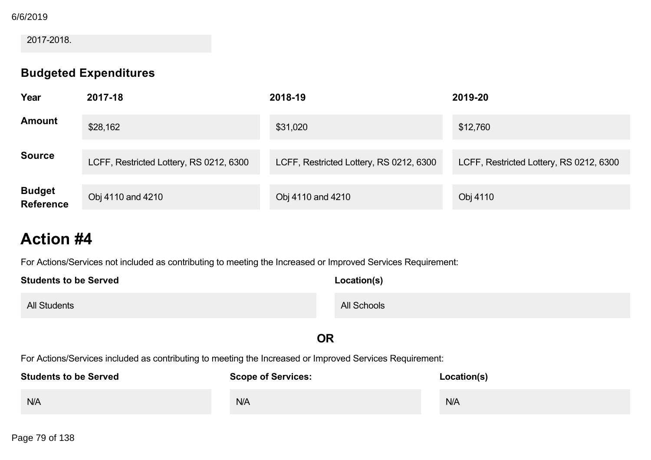### 6/6/2019

### 2017-2018.

## **Budgeted Expenditures**

| Year                              | 2017-18                                 | 2018-19                                 | 2019-20                                 |
|-----------------------------------|-----------------------------------------|-----------------------------------------|-----------------------------------------|
| <b>Amount</b>                     | \$28,162                                | \$31,020                                | \$12,760                                |
| <b>Source</b>                     | LCFF, Restricted Lottery, RS 0212, 6300 | LCFF, Restricted Lottery, RS 0212, 6300 | LCFF, Restricted Lottery, RS 0212, 6300 |
| <b>Budget</b><br><b>Reference</b> | Obj 4110 and 4210                       | Obj 4110 and 4210                       | Obj 4110                                |

# **Action #4**

For Actions/Services not included as contributing to meeting the Increased or Improved Services Requirement:

| <b>Students to be Served</b> | Location(s) |  |
|------------------------------|-------------|--|
| <b>All Students</b>          | All Schools |  |

## **OR**

For Actions/Services included as contributing to meeting the Increased or Improved Services Requirement:

| <b>Students to be Served</b> | <b>Scope of Services:</b> | Location(s) |
|------------------------------|---------------------------|-------------|
| N/A                          | <b>N/A</b>                | N/A         |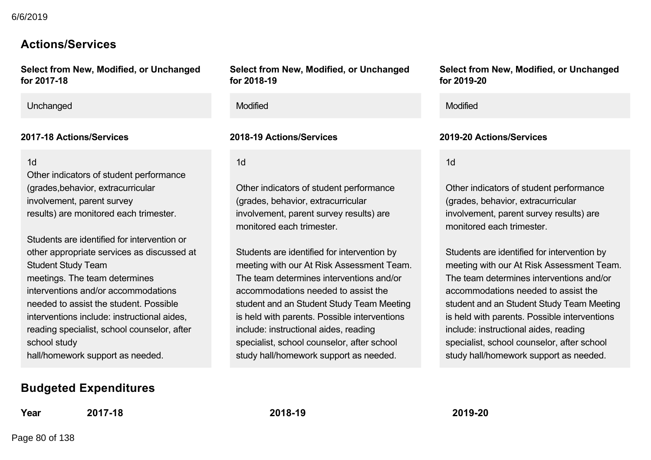## **Actions/Services**

**Select from New, Modified, or Unchanged** for 2017-18

Unchanged Modified Modified

1d

Other indicators of student performance (grades,behavior, extracurricular involvement, parent survey results) are monitored each trimester.

Students are identified for intervention or other appropriate services as discussed at Student Study Team meetings. The team determines interventions and/or accommodations needed to assist the student. Possible interventions include: instructional aides, reading specialist, school counselor, after school study hall/homework support as needed.

## **Budgeted Expenditures**

**Year 201718 201819 201920**

**Select from New, Modified, or Unchanged for 201819**

1d

Other indicators of student performance (grades, behavior, extracurricular involvement, parent survey results) are monitored each trimester.

Students are identified for intervention by meeting with our At Risk Assessment Team. The team determines interventions and/or accommodations needed to assist the student and an Student Study Team Meeting is held with parents. Possible interventions include: instructional aides, reading specialist, school counselor, after school study hall/homework support as needed.

**Select from New, Modified, or Unchanged for 201920**

### **201718 Actions/Services 201819 Actions/Services 201920 Actions/Services**

1d

Other indicators of student performance (grades, behavior, extracurricular involvement, parent survey results) are monitored each trimester.

Students are identified for intervention by meeting with our At Risk Assessment Team. The team determines interventions and/or accommodations needed to assist the student and an Student Study Team Meeting is held with parents. Possible interventions include: instructional aides, reading specialist, school counselor, after school study hall/homework support as needed.

Page 80 of 138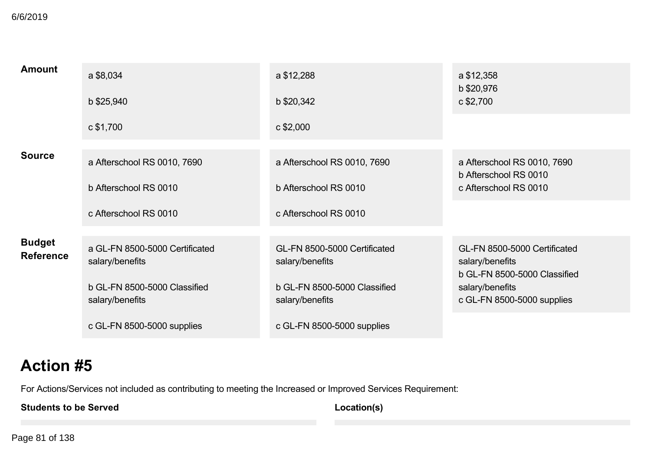**BUZUTS** 6/6/2019

| <b>Amount</b>                     | a \$8,034                                         | a \$12,288                                      | a \$12,358<br>b \$20,976                                                        |
|-----------------------------------|---------------------------------------------------|-------------------------------------------------|---------------------------------------------------------------------------------|
|                                   | b \$25,940                                        | b \$20,342                                      | c \$2,700                                                                       |
|                                   | c \$1,700                                         | $c$ \$2,000                                     |                                                                                 |
| <b>Source</b>                     | a Afterschool RS 0010, 7690                       | a Afterschool RS 0010, 7690                     | a Afterschool RS 0010, 7690<br>b Afterschool RS 0010                            |
|                                   | b Afterschool RS 0010                             | b Afterschool RS 0010                           | c Afterschool RS 0010                                                           |
|                                   | c Afterschool RS 0010                             | c Afterschool RS 0010                           |                                                                                 |
| <b>Budget</b><br><b>Reference</b> | a GL-FN 8500-5000 Certificated<br>salary/benefits | GL-FN 8500-5000 Certificated<br>salary/benefits | GL-FN 8500-5000 Certificated<br>salary/benefits<br>b GL-FN 8500-5000 Classified |
|                                   | b GL-FN 8500-5000 Classified<br>salary/benefits   | b GL-FN 8500-5000 Classified<br>salary/benefits | salary/benefits<br>c GL-FN 8500-5000 supplies                                   |
|                                   | c GL-FN 8500-5000 supplies                        | c GL-FN 8500-5000 supplies                      |                                                                                 |

# **Action #5**

For Actions/Services not included as contributing to meeting the Increased or Improved Services Requirement:

**Students to be Served**

**Location(s)**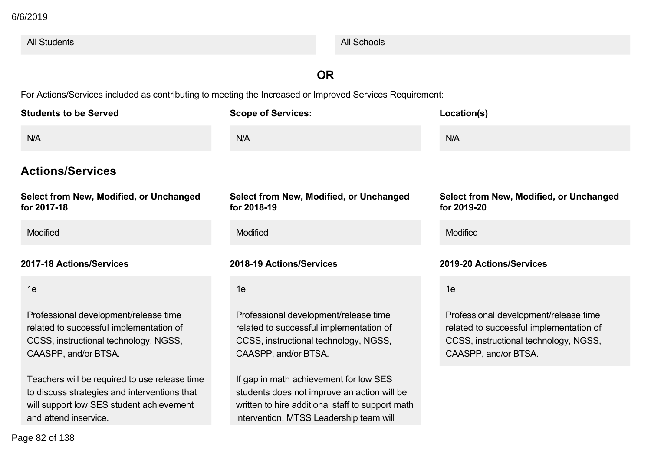| <b>All Students</b>                                                                                                                                                |                                                                                                                                                                                      | <b>All Schools</b> |                                                                                                                                                   |
|--------------------------------------------------------------------------------------------------------------------------------------------------------------------|--------------------------------------------------------------------------------------------------------------------------------------------------------------------------------------|--------------------|---------------------------------------------------------------------------------------------------------------------------------------------------|
|                                                                                                                                                                    | <b>OR</b>                                                                                                                                                                            |                    |                                                                                                                                                   |
| For Actions/Services included as contributing to meeting the Increased or Improved Services Requirement:                                                           |                                                                                                                                                                                      |                    |                                                                                                                                                   |
| <b>Students to be Served</b>                                                                                                                                       | <b>Scope of Services:</b>                                                                                                                                                            |                    | Location(s)                                                                                                                                       |
| N/A                                                                                                                                                                | N/A                                                                                                                                                                                  |                    | N/A                                                                                                                                               |
| <b>Actions/Services</b>                                                                                                                                            |                                                                                                                                                                                      |                    |                                                                                                                                                   |
| Select from New, Modified, or Unchanged<br>for 2017-18                                                                                                             | Select from New, Modified, or Unchanged<br>for 2018-19                                                                                                                               |                    | Select from New, Modified, or Unchanged<br>for 2019-20                                                                                            |
| <b>Modified</b>                                                                                                                                                    | Modified                                                                                                                                                                             |                    | Modified                                                                                                                                          |
| 2017-18 Actions/Services                                                                                                                                           | 2018-19 Actions/Services                                                                                                                                                             |                    | 2019-20 Actions/Services                                                                                                                          |
| 1e                                                                                                                                                                 | 1e                                                                                                                                                                                   |                    | 1e                                                                                                                                                |
| Professional development/release time<br>related to successful implementation of<br>CCSS, instructional technology, NGSS,<br>CAASPP, and/or BTSA.                  | Professional development/release time<br>related to successful implementation of<br>CCSS, instructional technology, NGSS,<br>CAASPP, and/or BTSA.                                    |                    | Professional development/release time<br>related to successful implementation of<br>CCSS, instructional technology, NGSS,<br>CAASPP, and/or BTSA. |
| Teachers will be required to use release time<br>to discuss strategies and interventions that<br>will support low SES student achievement<br>and attend inservice. | If gap in math achievement for low SES<br>students does not improve an action will be<br>written to hire additional staff to support math<br>intervention. MTSS Leadership team will |                    |                                                                                                                                                   |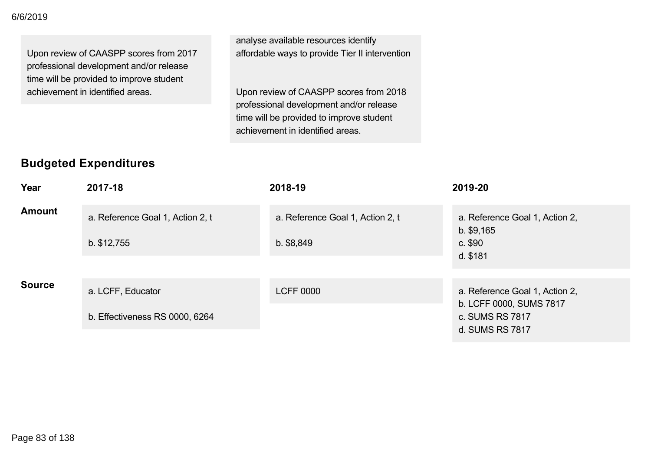Upon review of CAASPP scores from 2017 professional development and/or release time will be provided to improve student achievement in identified areas.

analyse available resources identify affordable ways to provide Tier II intervention

Upon review of CAASPP scores from 2018 professional development and/or release time will be provided to improve student achievement in identified areas.

## **Budgeted Expenditures**

| Year          | 2017-18                          | 2018-19                          | 2019-20                                                   |
|---------------|----------------------------------|----------------------------------|-----------------------------------------------------------|
| <b>Amount</b> | a. Reference Goal 1, Action 2, t | a. Reference Goal 1, Action 2, t | a. Reference Goal 1, Action 2,<br>$b.$ \$9,165            |
|               | $b.$ \$12,755                    | $b.$ \$8,849                     | $c.$ \$90<br>d. \$181                                     |
|               |                                  |                                  |                                                           |
| <b>Source</b> | a. LCFF, Educator                | <b>LCFF 0000</b>                 | a. Reference Goal 1, Action 2,<br>b. LCFF 0000, SUMS 7817 |
|               | b. Effectiveness RS 0000, 6264   |                                  | c. SUMS RS 7817<br>d. SUMS RS 7817                        |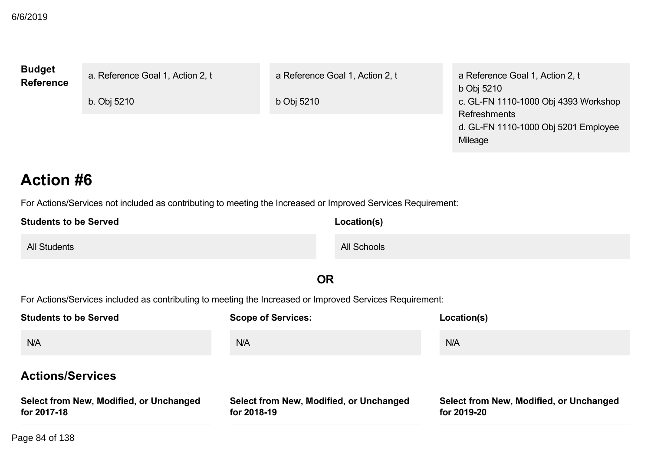| <b>Budget</b><br>Reference | a. Reference Goal 1, Action 2, t | a Reference Goal 1, Action 2, t | a Reference Goal 1, Action 2, t<br>b Obj 5210                   |
|----------------------------|----------------------------------|---------------------------------|-----------------------------------------------------------------|
|                            | b. Obj 5210                      | b Obj 5210                      | c. GL-FN 1110-1000 Obj 4393 Workshop                            |
|                            |                                  |                                 | Refreshments<br>d. GL-FN 1110-1000 Obj 5201 Employee<br>Mileage |

For Actions/Services not included as contributing to meeting the Increased or Improved Services Requirement:

| <b>Students to be Served</b> | Location(s) |
|------------------------------|-------------|
| <b>All Students</b>          | All Schools |

## **OR**

For Actions/Services included as contributing to meeting the Increased or Improved Services Requirement:

| <b>Students to be Served</b>                           | <b>Scope of Services:</b>                              | Location(s)                                            |
|--------------------------------------------------------|--------------------------------------------------------|--------------------------------------------------------|
| N/A                                                    | N/A                                                    | N/A                                                    |
| <b>Actions/Services</b>                                |                                                        |                                                        |
| Select from New, Modified, or Unchanged<br>for 2017-18 | Select from New, Modified, or Unchanged<br>for 2018-19 | Select from New, Modified, or Unchanged<br>for 2019-20 |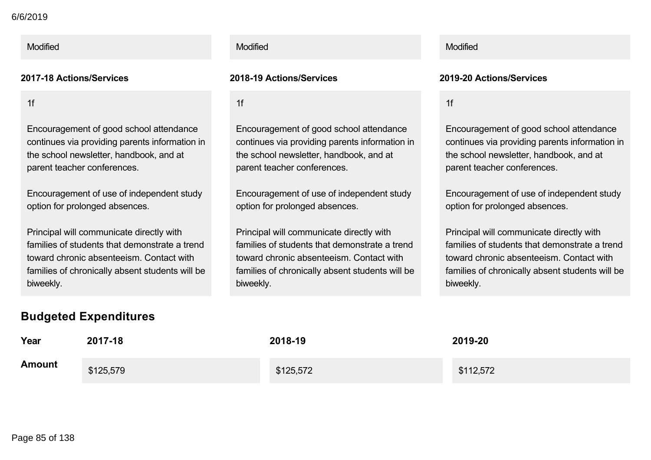### **Select from New, Modified, or Unchanged for 201718** 6/6/2019

1f

Encouragement of good school attendance continues via providing parents information in the school newsletter, handbook, and at parent teacher conferences.

Encouragement of use of independent study option for prolonged absences.

Principal will communicate directly with families of students that demonstrate a trend toward chronic absenteeism. Contact with families of chronically absent students will be biweekly.

## **Budgeted Expenditures**

### **201718 Actions/Services 201819 Actions/Services 201920 Actions/Services**

1f

Encouragement of good school attendance continues via providing parents information in the school newsletter, handbook, and at parent teacher conferences.

Encouragement of use of independent study option for prolonged absences.

Principal will communicate directly with families of students that demonstrate a trend toward chronic absenteeism. Contact with families of chronically absent students will be biweekly.

### Modified Modified Modified

1f

Encouragement of good school attendance continues via providing parents information in the school newsletter, handbook, and at parent teacher conferences.

Encouragement of use of independent study option for prolonged absences.

Principal will communicate directly with families of students that demonstrate a trend toward chronic absenteeism. Contact with families of chronically absent students will be biweekly.

| Year          | 2017-18   | 2018-19   | 2019-20   |
|---------------|-----------|-----------|-----------|
| <b>Amount</b> | \$125,579 | \$125,572 | \$112,572 |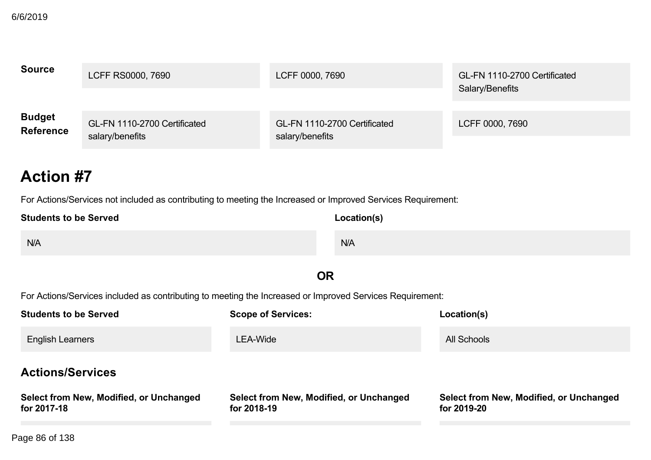| <b>Source</b>    | LCFF RS0000, 7690            | LCFF 0000, 7690              | GL-FN 1110-2700 Certificated<br>Salary/Benefits |
|------------------|------------------------------|------------------------------|-------------------------------------------------|
| <b>Budget</b>    | GL-FN 1110-2700 Certificated | GL-FN 1110-2700 Certificated | LCFF 0000, 7690                                 |
| <b>Reference</b> | salary/benefits              | salary/benefits              |                                                 |

For Actions/Services not included as contributing to meeting the Increased or Improved Services Requirement:

| <b>Students to be Served</b> | Location(s) |
|------------------------------|-------------|
| N/A                          | N/A         |
|                              |             |

## **OR**

For Actions/Services included as contributing to meeting the Increased or Improved Services Requirement:

| <b>Students to be Served</b>                           | <b>Scope of Services:</b>                              | Location(s)                                            |  |  |
|--------------------------------------------------------|--------------------------------------------------------|--------------------------------------------------------|--|--|
| <b>English Learners</b>                                | LEA-Wide                                               | All Schools                                            |  |  |
| <b>Actions/Services</b>                                |                                                        |                                                        |  |  |
| Select from New, Modified, or Unchanged<br>for 2017-18 | Select from New, Modified, or Unchanged<br>for 2018-19 | Select from New, Modified, or Unchanged<br>for 2019-20 |  |  |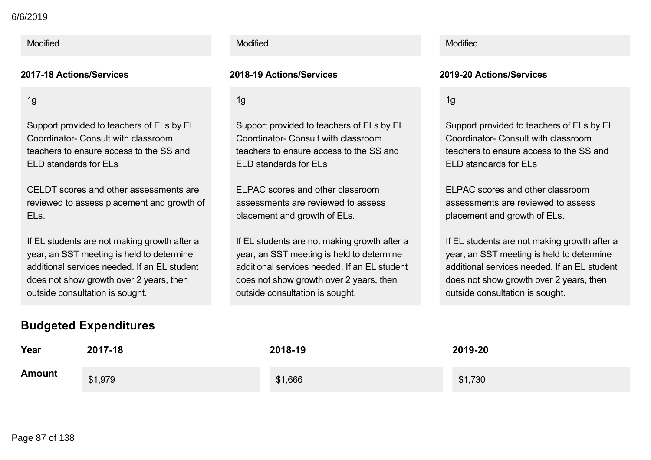### **for 201718** 6/6/2019

### Modified **Modified According to the Modified According to the Modified According to the Modified Modified According to the Modified According to the Modified According to the Modified According to the Modified According to**

1g

Support provided to teachers of ELs by EL Coordinator- Consult with classroom teachers to ensure access to the SS and ELD standards for ELs

CELDT scores and other assessments are reviewed to assess placement and growth of ELs.

If EL students are not making growth after a year, an SST meeting is held to determine additional services needed. If an EL student does not show growth over 2 years, then outside consultation is sought.

## **Budgeted Expenditures**

### 1g

Support provided to teachers of ELs by EL Coordinator- Consult with classroom teachers to ensure access to the SS and ELD standards for ELs

ELPAC scores and other classroom assessments are reviewed to assess placement and growth of ELs.

If EL students are not making growth after a year, an SST meeting is held to determine additional services needed. If an EL student does not show growth over 2 years, then outside consultation is sought.

### **201718 Actions/Services 201819 Actions/Services 201920 Actions/Services**

1g

Support provided to teachers of ELs by EL Coordinator- Consult with classroom teachers to ensure access to the SS and ELD standards for ELs

ELPAC scores and other classroom assessments are reviewed to assess placement and growth of ELs.

If EL students are not making growth after a year, an SST meeting is held to determine additional services needed. If an EL student does not show growth over 2 years, then outside consultation is sought.

| Year          | 2017-18 | 2018-19 | 2019-20 |
|---------------|---------|---------|---------|
| <b>Amount</b> | \$1,979 | \$1,666 | \$1,730 |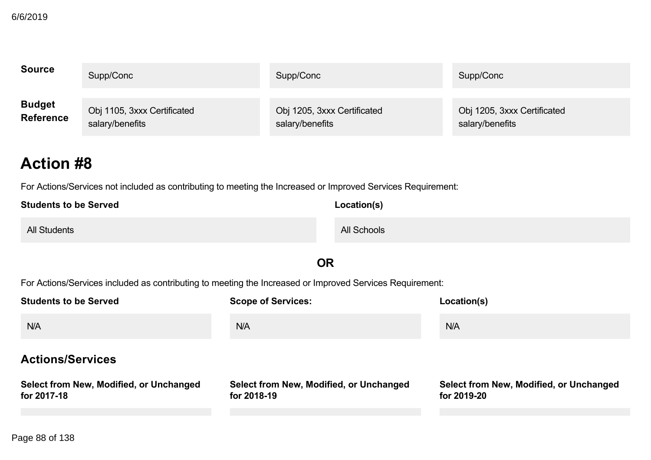| <b>Source</b>    | Supp/Conc                   | Supp/Conc                   | Supp/Conc                   |
|------------------|-----------------------------|-----------------------------|-----------------------------|
| <b>Budget</b>    | Obj 1105, 3xxx Certificated | Obj 1205, 3xxx Certificated | Obj 1205, 3xxx Certificated |
| <b>Reference</b> | salary/benefits             | salary/benefits             | salary/benefits             |

For Actions/Services not included as contributing to meeting the Increased or Improved Services Requirement:

| <b>Students to be Served</b> | Location(s)        |
|------------------------------|--------------------|
| <b>All Students</b>          | <b>All Schools</b> |

## **OR**

For Actions/Services included as contributing to meeting the Increased or Improved Services Requirement:

| <b>Students to be Served</b>                           | <b>Scope of Services:</b>                              | Location(s)                                            |
|--------------------------------------------------------|--------------------------------------------------------|--------------------------------------------------------|
| N/A                                                    | N/A                                                    | N/A                                                    |
| <b>Actions/Services</b>                                |                                                        |                                                        |
| Select from New, Modified, or Unchanged<br>for 2017-18 | Select from New, Modified, or Unchanged<br>for 2018-19 | Select from New, Modified, or Unchanged<br>for 2019-20 |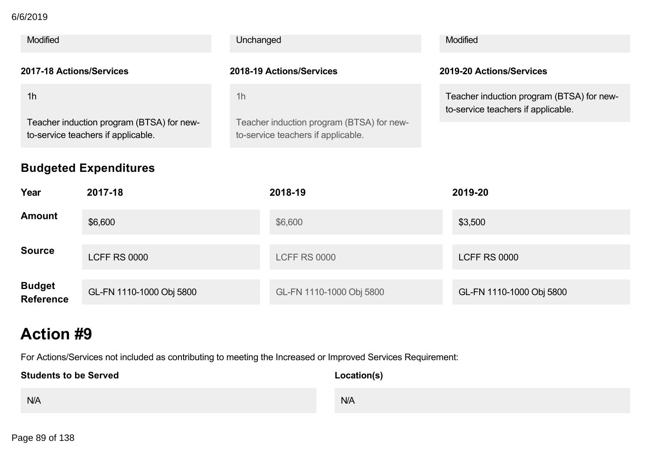### **for 201718** 6/6/2019

| <b>Modified</b>                                                                 |                     | Unchanged      |                                           | Modified                                                                        |  |
|---------------------------------------------------------------------------------|---------------------|----------------|-------------------------------------------|---------------------------------------------------------------------------------|--|
| 2017-18 Actions/Services                                                        |                     |                | 2018-19 Actions/Services                  | 2019-20 Actions/Services                                                        |  |
| 1 <sub>h</sub>                                                                  |                     | 1 <sub>h</sub> | Teacher induction program (BTSA) for new- | Teacher induction program (BTSA) for new-<br>to-service teachers if applicable. |  |
| Teacher induction program (BTSA) for new-<br>to-service teachers if applicable. |                     |                | to-service teachers if applicable.        |                                                                                 |  |
| <b>Budgeted Expenditures</b>                                                    |                     |                |                                           |                                                                                 |  |
| Year                                                                            | 2017-18             |                | 2018-19                                   | 2019-20                                                                         |  |
| <b>Amount</b>                                                                   | \$6,600             |                | \$6,600                                   | \$3,500                                                                         |  |
| <b>Source</b>                                                                   | <b>LCFF RS 0000</b> |                | <b>LCFF RS 0000</b>                       | <b>LCFF RS 0000</b>                                                             |  |

| <b>Budget</b><br><b>Reference</b> | GL-FN 1110-1000 Obj 5800 | GL-FN 1110-1000 Obj 5800 | GL-FN 1110-1000 Obj 5800 |
|-----------------------------------|--------------------------|--------------------------|--------------------------|

# **Action #9**

For Actions/Services not included as contributing to meeting the Increased or Improved Services Requirement:

| <b>Students to be Served</b> | Location(s) |  |
|------------------------------|-------------|--|
| N/A                          | N/A         |  |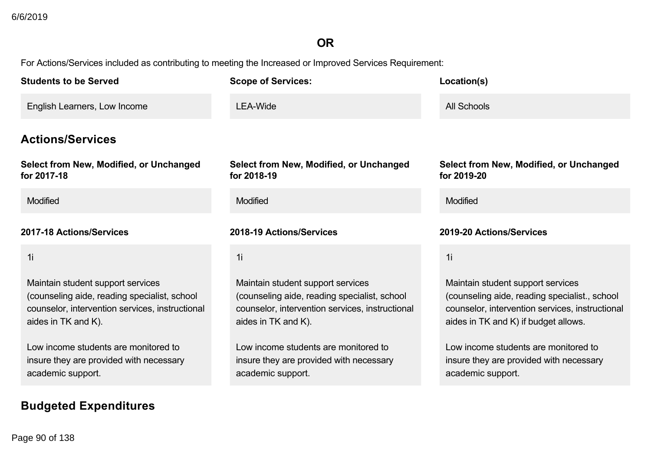## **OR**

For Actions/Services included as contributing to meeting the Increased or Improved Services Requirement:

| <b>Students to be Served</b>                                                                                                                                | <b>Scope of Services:</b>                                                                                                                                   | Location(s)                                                                                                                                                                   |
|-------------------------------------------------------------------------------------------------------------------------------------------------------------|-------------------------------------------------------------------------------------------------------------------------------------------------------------|-------------------------------------------------------------------------------------------------------------------------------------------------------------------------------|
| English Learners, Low Income                                                                                                                                | <b>LEA-Wide</b>                                                                                                                                             | All Schools                                                                                                                                                                   |
| <b>Actions/Services</b>                                                                                                                                     |                                                                                                                                                             |                                                                                                                                                                               |
| Select from New, Modified, or Unchanged<br>for 2017-18                                                                                                      | Select from New, Modified, or Unchanged<br>for 2018-19                                                                                                      | Select from New, Modified, or Unchanged<br>for 2019-20                                                                                                                        |
| Modified                                                                                                                                                    | Modified                                                                                                                                                    | Modified                                                                                                                                                                      |
| 2017-18 Actions/Services                                                                                                                                    | 2018-19 Actions/Services                                                                                                                                    | 2019-20 Actions/Services                                                                                                                                                      |
| 1i                                                                                                                                                          | 1i                                                                                                                                                          | 1i                                                                                                                                                                            |
| Maintain student support services<br>(counseling aide, reading specialist, school<br>counselor, intervention services, instructional<br>aides in TK and K). | Maintain student support services<br>(counseling aide, reading specialist, school<br>counselor, intervention services, instructional<br>aides in TK and K). | Maintain student support services<br>(counseling aide, reading specialist., school<br>counselor, intervention services, instructional<br>aides in TK and K) if budget allows. |
| Low income students are monitored to<br>insure they are provided with necessary<br>academic support.                                                        | Low income students are monitored to<br>insure they are provided with necessary<br>academic support.                                                        | Low income students are monitored to<br>insure they are provided with necessary<br>academic support.                                                                          |

**Budgeted Expenditures**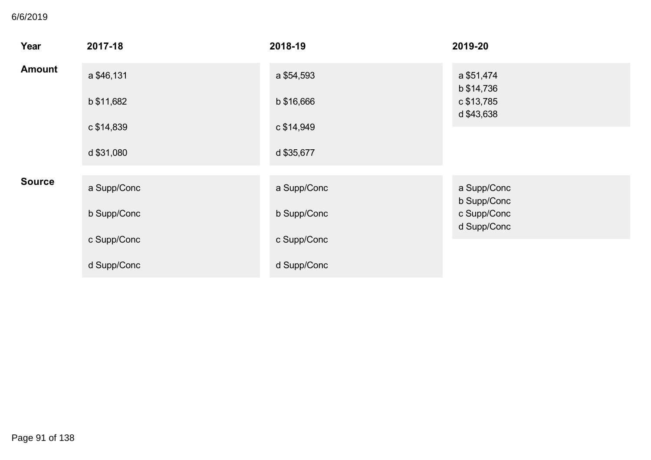## **Budgeted Expenditures** 6/6/2019

| Year          | 2017-18     | 2018-19     | 2019-20                    |
|---------------|-------------|-------------|----------------------------|
| <b>Amount</b> | a \$46,131  | a \$54,593  | a \$51,474<br>b \$14,736   |
|               | b \$11,682  | b \$16,666  | c \$13,785<br>d \$43,638   |
|               | c \$14,839  | c \$14,949  |                            |
|               | d \$31,080  | d \$35,677  |                            |
| <b>Source</b> | a Supp/Conc | a Supp/Conc | a Supp/Conc<br>b Supp/Conc |
|               | b Supp/Conc | b Supp/Conc | c Supp/Conc<br>d Supp/Conc |
|               | c Supp/Conc | c Supp/Conc |                            |
|               | d Supp/Conc | d Supp/Conc |                            |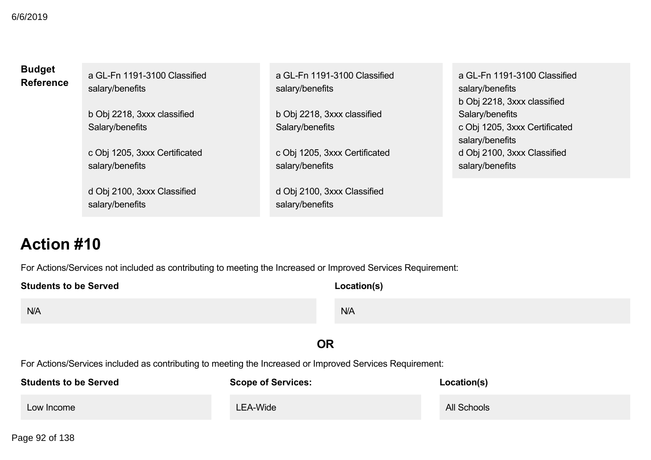| <b>Budget</b>    | a GL-Fn 1191-3100 Classified  | a GL-Fn 1191-3100 Classified  | a GL-Fn 1191-3100 Classified  |
|------------------|-------------------------------|-------------------------------|-------------------------------|
| <b>Reference</b> | salary/benefits               | salary/benefits               | salary/benefits               |
|                  |                               |                               | b Obj 2218, 3xxx classified   |
|                  | b Obj 2218, 3xxx classified   | b Obj 2218, 3xxx classified   | Salary/benefits               |
|                  | Salary/benefits               | Salary/benefits               | c Obj 1205, 3xxx Certificated |
|                  |                               |                               | salary/benefits               |
|                  | c Obj 1205, 3xxx Certificated | c Obj 1205, 3xxx Certificated | d Obj 2100, 3xxx Classified   |
|                  | salary/benefits               | salary/benefits               | salary/benefits               |
|                  |                               |                               |                               |
|                  | d Obj 2100, 3xxx Classified   | d Obj 2100, 3xxx Classified   |                               |
|                  | salary/benefits               | salary/benefits               |                               |
|                  |                               |                               |                               |

For Actions/Services not included as contributing to meeting the Increased or Improved Services Requirement:

| <b>Students to be Served</b> | Location(s) |
|------------------------------|-------------|
| N/A                          | N/A         |
| <b>OR</b>                    |             |

For Actions/Services included as contributing to meeting the Increased or Improved Services Requirement:

| <b>Students to be Served</b> | <b>Scope of Services:</b> | Location(s) |
|------------------------------|---------------------------|-------------|
| Low Income                   | <b>LEA-Wide</b>           | All Schools |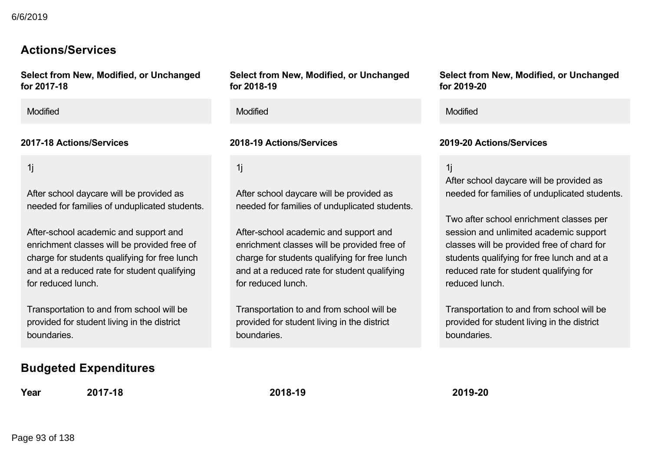## **Actions/Services**

**Select from New, Modified, or Unchanged for 201718**

Modified Modified Modified

1j

After school daycare will be provided as needed for families of unduplicated students.

After-school academic and support and enrichment classes will be provided free of charge for students qualifying for free lunch and at a reduced rate for student qualifying for reduced lunch.

Transportation to and from school will be provided for student living in the district boundaries.

## **Budgeted Expenditures**

**Year 201718 201819 201920**

**Select from New, Modified, or Unchanged for 201819**

1j

After school daycare will be provided as needed for families of unduplicated students.

After-school academic and support and enrichment classes will be provided free of charge for students qualifying for free lunch and at a reduced rate for student qualifying for reduced lunch.

Transportation to and from school will be provided for student living in the district boundaries.

**Select from New, Modified, or Unchanged for 201920**

### **201718 Actions/Services 201819 Actions/Services 201920 Actions/Services**

1j

After school daycare will be provided as needed for families of unduplicated students.

Two after school enrichment classes per session and unlimited academic support classes will be provided free of chard for students qualifying for free lunch and at a reduced rate for student qualifying for reduced lunch.

Transportation to and from school will be provided for student living in the district boundaries.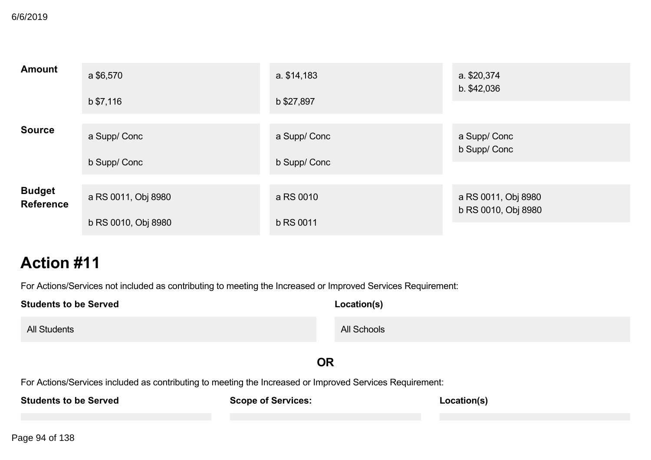| <b>Amount</b>                     | a \$6,570           | a. \$14,183      | a. \$20,374<br>b. \$42,036  |
|-----------------------------------|---------------------|------------------|-----------------------------|
|                                   | b \$7,116           | b \$27,897       |                             |
| <b>Source</b>                     | a Supp/ Conc        | a Supp/Conc      | a Supp/ Conc<br>b Supp/Conc |
|                                   | b Supp/ Conc        | b Supp/Conc      |                             |
| <b>Budget</b><br><b>Reference</b> | a RS 0011, Obj 8980 | a RS 0010        | a RS 0011, Obj 8980         |
|                                   | b RS 0010, Obj 8980 | <b>b RS 0011</b> | b RS 0010, Obj 8980         |

For Actions/Services not included as contributing to meeting the Increased or Improved Services Requirement:

| <b>Students to be Served</b>                                                                             | Location(s)               |             |
|----------------------------------------------------------------------------------------------------------|---------------------------|-------------|
| <b>All Students</b>                                                                                      | All Schools               |             |
|                                                                                                          | <b>OR</b>                 |             |
| For Actions/Services included as contributing to meeting the Increased or Improved Services Requirement: |                           |             |
| <b>Students to be Served</b>                                                                             | <b>Scope of Services:</b> | Location(s) |
|                                                                                                          |                           |             |

Page 94 of 138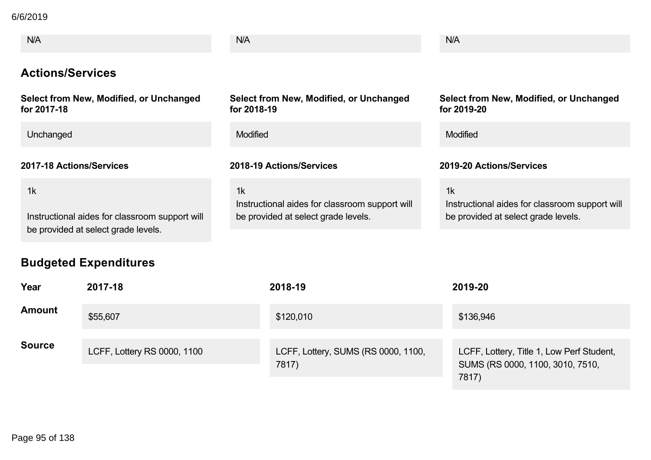**Students to be Served** 6/6/2019

| N/A                                                                                         | <b>N/A</b>                                                                                  | N/A                                                                                         |
|---------------------------------------------------------------------------------------------|---------------------------------------------------------------------------------------------|---------------------------------------------------------------------------------------------|
| <b>Actions/Services</b>                                                                     |                                                                                             |                                                                                             |
| Select from New, Modified, or Unchanged<br>for 2017-18                                      | Select from New, Modified, or Unchanged<br>for 2018-19                                      | Select from New, Modified, or Unchanged<br>for 2019-20                                      |
| Unchanged                                                                                   | <b>Modified</b>                                                                             | <b>Modified</b>                                                                             |
| 2017-18 Actions/Services                                                                    | 2018-19 Actions/Services                                                                    | 2019-20 Actions/Services                                                                    |
| 1k<br>Instructional aides for classroom support will<br>be provided at select grade levels. | 1k<br>Instructional aides for classroom support will<br>be provided at select grade levels. | 1k<br>Instructional aides for classroom support will<br>be provided at select grade levels. |

# **Budgeted Expenditures**

| Year          | 2017-18                     | 2018-19                                      | 2019-20                                                                                |
|---------------|-----------------------------|----------------------------------------------|----------------------------------------------------------------------------------------|
| <b>Amount</b> | \$55,607                    | \$120,010                                    | \$136,946                                                                              |
| <b>Source</b> | LCFF, Lottery RS 0000, 1100 | LCFF, Lottery, SUMS (RS 0000, 1100,<br>7817) | LCFF, Lottery, Title 1, Low Perf Student,<br>SUMS (RS 0000, 1100, 3010, 7510,<br>7817) |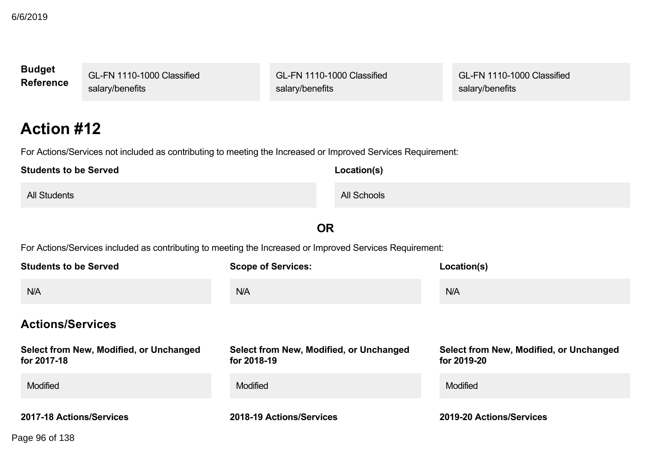| <b>Budget</b><br><b>Reference</b>          | GL-FN 1110-1000 Classified<br>salary/benefits                                                                |                                                        | GL-FN 1110-1000 Classified<br>salary/benefits |  | GL-FN 1110-1000 Classified<br>salary/benefits          |
|--------------------------------------------|--------------------------------------------------------------------------------------------------------------|--------------------------------------------------------|-----------------------------------------------|--|--------------------------------------------------------|
| <b>Action #12</b>                          |                                                                                                              |                                                        |                                               |  |                                                        |
|                                            | For Actions/Services not included as contributing to meeting the Increased or Improved Services Requirement: |                                                        |                                               |  |                                                        |
| <b>Students to be Served</b>               |                                                                                                              |                                                        | Location(s)                                   |  |                                                        |
| <b>All Students</b>                        |                                                                                                              |                                                        | <b>All Schools</b>                            |  |                                                        |
|                                            |                                                                                                              |                                                        | <b>OR</b>                                     |  |                                                        |
|                                            | For Actions/Services included as contributing to meeting the Increased or Improved Services Requirement:     |                                                        |                                               |  |                                                        |
| <b>Students to be Served</b>               |                                                                                                              | <b>Scope of Services:</b>                              |                                               |  | Location(s)                                            |
| N/A                                        |                                                                                                              | N/A                                                    |                                               |  | N/A                                                    |
|                                            | <b>Actions/Services</b>                                                                                      |                                                        |                                               |  |                                                        |
| for 2017-18                                | Select from New, Modified, or Unchanged                                                                      | Select from New, Modified, or Unchanged<br>for 2018-19 |                                               |  | Select from New, Modified, or Unchanged<br>for 2019-20 |
| Modified                                   |                                                                                                              | Modified                                               |                                               |  | Modified                                               |
| 2017-18 Actions/Services<br>Page 96 of 138 |                                                                                                              | 2018-19 Actions/Services                               |                                               |  | 2019-20 Actions/Services                               |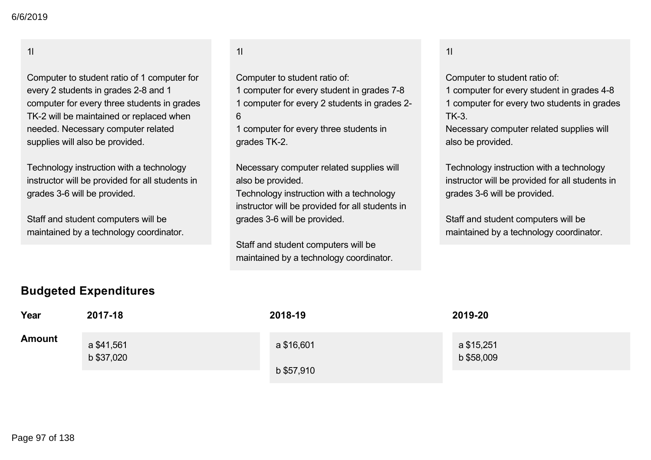### 1l

Computer to student ratio of 1 computer for every 2 students in grades 2-8 and 1 computer for every three students in grades TK-2 will be maintained or replaced when needed. Necessary computer related supplies will also be provided.

Technology instruction with a technology instructor will be provided for all students in grades 3-6 will be provided.

Staff and student computers will be maintained by a technology coordinator.

### 1l

Computer to student ratio of:

- 1 computer for every student in grades 7-8
- 1 computer for every 2 students in grades 2
- 6

1 computer for every three students in grades TK-2.

Necessary computer related supplies will also be provided.

Technology instruction with a technology instructor will be provided for all students in grades 3-6 will be provided.

Staff and student computers will be maintained by a technology coordinator.

### 1l

Computer to student ratio of:

1 computer for every student in grades 4-8

1 computer for every two students in grades  $TK-3$ 

Necessary computer related supplies will also be provided.

Technology instruction with a technology instructor will be provided for all students in grades 3-6 will be provided.

Staff and student computers will be maintained by a technology coordinator.

### **Budgeted Expenditures**

| Year          | 2017-18                  | 2018-19    | 2019-20                  |
|---------------|--------------------------|------------|--------------------------|
| <b>Amount</b> | a \$41,561<br>b \$37,020 | a \$16,601 | a \$15,251<br>b \$58,009 |
|               |                          | b \$57,910 |                          |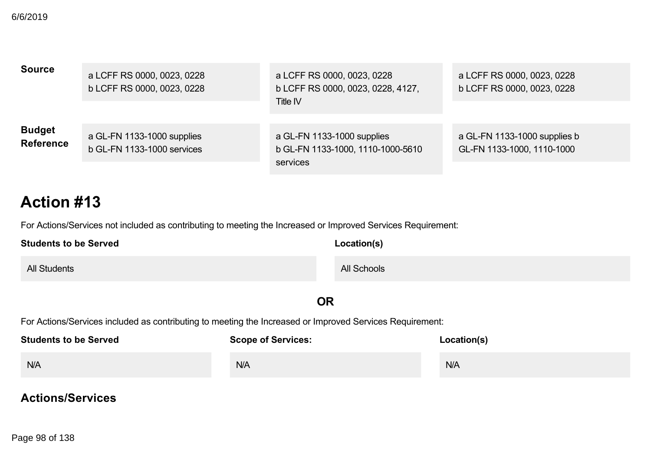| <b>Source</b>                     | a LCFF RS 0000, 0023, 0228<br>b LCFF RS 0000, 0023, 0228 | a LCFF RS 0000, 0023, 0228<br>b LCFF RS 0000, 0023, 0228, 4127,<br>Title IV | a LCFF RS 0000, 0023, 0228<br>b LCFF RS 0000, 0023, 0228   |
|-----------------------------------|----------------------------------------------------------|-----------------------------------------------------------------------------|------------------------------------------------------------|
| <b>Budget</b><br><b>Reference</b> | a GL-FN 1133-1000 supplies<br>b GL-FN 1133-1000 services | a GL-FN 1133-1000 supplies<br>b GL-FN 1133-1000, 1110-1000-5610<br>services | a GL-FN 1133-1000 supplies b<br>GL-FN 1133-1000, 1110-1000 |

For Actions/Services not included as contributing to meeting the Increased or Improved Services Requirement:

| <b>Students to be Served</b> | Location(s) |
|------------------------------|-------------|
| <b>All Students</b>          | All Schools |

**OR**

For Actions/Services included as contributing to meeting the Increased or Improved Services Requirement:

| <b>Students to be Served</b> | <b>Scope of Services:</b> | Location(s) |
|------------------------------|---------------------------|-------------|
| N/A                          | N/A                       | N/A         |

## **Actions/Services**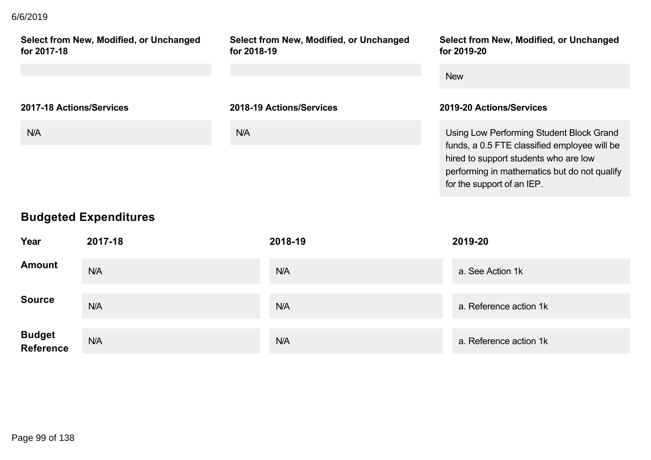## **Actions/Services** 6/6/2019

| Select from New, Modified, or Unchanged<br>for 2017-18 | Select from New, Modified, or Unchanged<br>for 2018-19 | Select from New, Modified, or Unchanged<br>for 2019-20 |
|--------------------------------------------------------|--------------------------------------------------------|--------------------------------------------------------|
|                                                        |                                                        | <b>New</b>                                             |
| 2017-18 Actions/Services                               | 2018-19 Actions/Services                               | 2019-20 Actions/Services                               |
| N/A                                                    | <b>N/A</b>                                             |                                                        |

# **Budgeted Expenditures**

| Year                        | 2017-18 | 2018-19 | 2019-20                |
|-----------------------------|---------|---------|------------------------|
| <b>Amount</b>               | N/A     | N/A     | a. See Action 1k       |
| <b>Source</b>               | N/A     | N/A     | a. Reference action 1k |
| <b>Budget<br/>Reference</b> | N/A     | N/A     | a. Reference action 1k |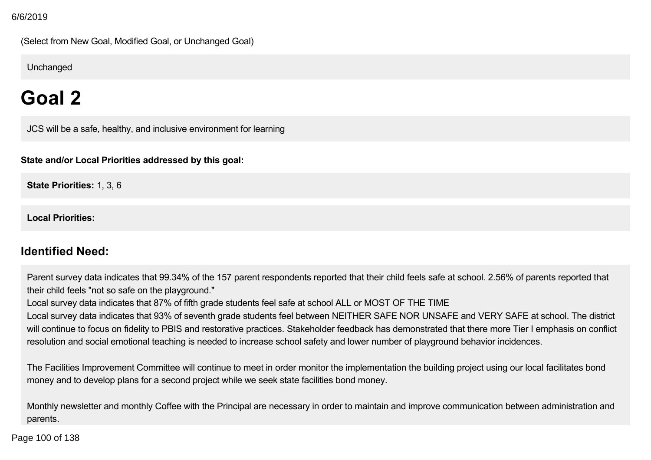(Select from New Goal, Modified Goal, or Unchanged Goal)

**Unchanged** 

# **Goal 2**

JCS will be a safe, healthy, and inclusive environment for learning

**State and/or Local Priorities addressed by this goal:**

**State Priorities:** 1, 3, 6

**Local Priorities:**

## **Identified Need:**

Parent survey data indicates that 99.34% of the 157 parent respondents reported that their child feels safe at school. 2.56% of parents reported that their child feels "not so safe on the playground."

Local survey data indicates that 87% of fifth grade students feel safe at school ALL or MOST OF THE TIME

Local survey data indicates that 93% of seventh grade students feel between NEITHER SAFE NOR UNSAFE and VERY SAFE at school. The district will continue to focus on fidelity to PBIS and restorative practices. Stakeholder feedback has demonstrated that there more Tier I emphasis on conflict resolution and social emotional teaching is needed to increase school safety and lower number of playground behavior incidences.

The Facilities Improvement Committee will continue to meet in order monitor the implementation the building project using our local facilitates bond money and to develop plans for a second project while we seek state facilities bond money.

Monthly newsletter and monthly Coffee with the Principal are necessary in order to maintain and improve communication between administration and parents.

In the Increase parameter  $\frac{1}{2}$  and parent/teacher conferences, the school  $\frac{1}{2}$  and  $\frac{1}{2}$ Page 100 of 138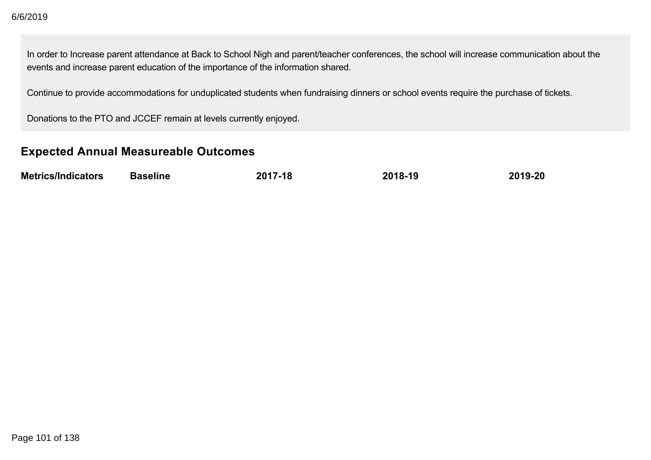In order to Increase parent attendance at Back to School Nigh and parent/teacher conferences, the school will increase communication about the events and increase parent education of the importance of the information shared.

Continue to provide accommodations for unduplicated students when fundraising dinners or school events require the purchase of tickets.

Donations to the PTO and JCCEF remain at levels currently enjoyed.

## **Expected Annual Measureable Outcomes**

| <b>Metrics/Indicators</b> | <b>Baseline</b> | 2017-18 | 2018-19 | 2019-20 |
|---------------------------|-----------------|---------|---------|---------|
|                           |                 |         |         |         |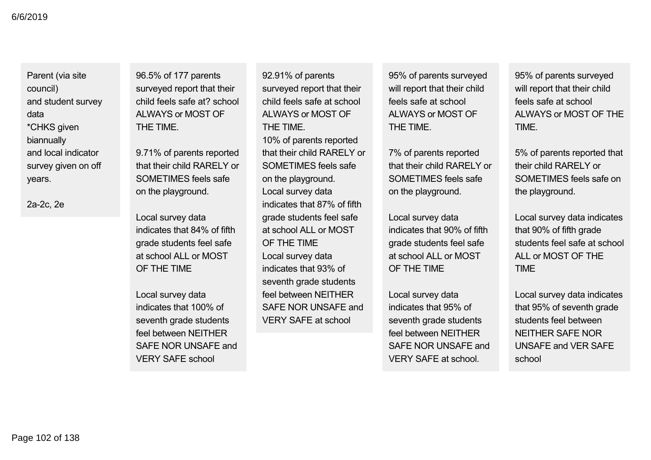Parent (via site council) and student survey data \*CHKS given biannually and local indicator survey given on off years.

2a-2c, 2e

96.5% of 177 parents surveyed report that their child feels safe at? school ALWAYS or MOST OF THE TIME.

9.71% of parents reported that their child RARELY or SOMETIMES feels safe on the playground.

Local survey data indicates that 84% of fifth grade students feel safe at school ALL or MOST OF THE TIME

Local survey data indicates that 100% of seventh grade students feel between NEITHER SAFE NOR UNSAFE and VERY SAFE school

92.91% of parents surveyed report that their child feels safe at school AI WAYS or MOST OF THE TIME. 10% of parents reported that their child RARELY or SOMETIMES feels safe on the playground. Local survey data indicates that 87% of fifth grade students feel safe at school ALL or MOST OF THE TIME Local survey data indicates that 93% of seventh grade students feel between NEITHER SAFE NOR UNSAFE and VERY SAFE at school

95% of parents surveyed will report that their child feels safe at school ALWAYS or MOST OF THE TIME.

7% of parents reported that their child RARELY or SOMETIMES feels safe on the playground.

Local survey data indicates that 90% of fifth grade students feel safe at school ALL or MOST OF THE TIME

Local survey data indicates that 95% of seventh grade students feel between NEITHER SAFE NOR UNSAFE and VERY SAFE at school.

95% of parents surveyed will report that their child feels safe at school ALWAYS or MOST OF THE **TIME** 

5% of parents reported that their child RARELY or SOMETIMES feels safe on the playground.

Local survey data indicates that 90% of fifth grade students feel safe at school ALL or MOST OF THE TIME

Local survey data indicates that 95% of seventh grade students feel between NEITHER SAFE NOR UNSAFE and VER SAFE school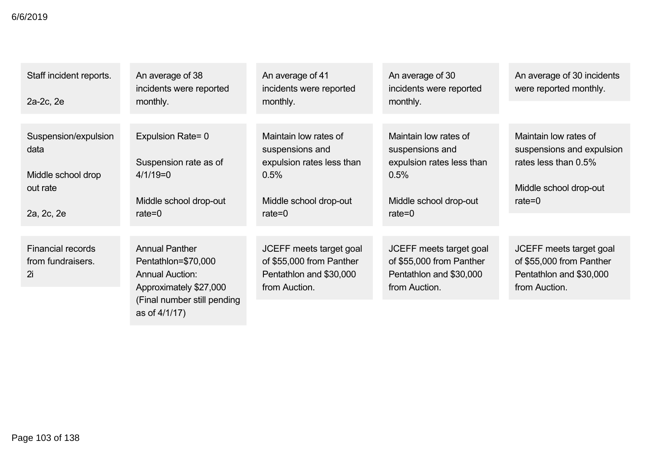| Staff incident reports.<br>2a-2c, 2e                                         | An average of 38<br>incidents were reported<br>monthly.                                                                         | An average of 41<br>incidents were reported<br>monthly.                                                              | An average of 30<br>incidents were reported<br>monthly.                                                              | An average of 30 incidents<br>were reported monthly.                                                              |
|------------------------------------------------------------------------------|---------------------------------------------------------------------------------------------------------------------------------|----------------------------------------------------------------------------------------------------------------------|----------------------------------------------------------------------------------------------------------------------|-------------------------------------------------------------------------------------------------------------------|
|                                                                              |                                                                                                                                 |                                                                                                                      |                                                                                                                      |                                                                                                                   |
| Suspension/expulsion<br>data<br>Middle school drop<br>out rate<br>2a, 2c, 2e | Expulsion Rate= 0<br>Suspension rate as of<br>$4/1/19=0$<br>Middle school drop-out<br>rate= $0$                                 | Maintain low rates of<br>suspensions and<br>expulsion rates less than<br>0.5%<br>Middle school drop-out<br>rate= $0$ | Maintain low rates of<br>suspensions and<br>expulsion rates less than<br>0.5%<br>Middle school drop-out<br>rate= $0$ | Maintain low rates of<br>suspensions and expulsion<br>rates less than 0.5%<br>Middle school drop-out<br>rate= $0$ |
|                                                                              |                                                                                                                                 |                                                                                                                      |                                                                                                                      |                                                                                                                   |
| <b>Financial records</b><br>from fundraisers.<br>2i                          | <b>Annual Panther</b><br>Pentathlon=\$70,000<br><b>Annual Auction:</b><br>Approximately \$27,000<br>(Final number still pending | JCEFF meets target goal<br>of \$55,000 from Panther<br>Pentathlon and \$30,000<br>from Auction.                      | JCEFF meets target goal<br>of \$55,000 from Panther<br>Pentathlon and \$30,000<br>from Auction.                      | JCEFF meets target goal<br>of \$55,000 from Panther<br>Pentathlon and \$30,000<br>from Auction.                   |
|                                                                              | as of 4/1/17)                                                                                                                   |                                                                                                                      |                                                                                                                      |                                                                                                                   |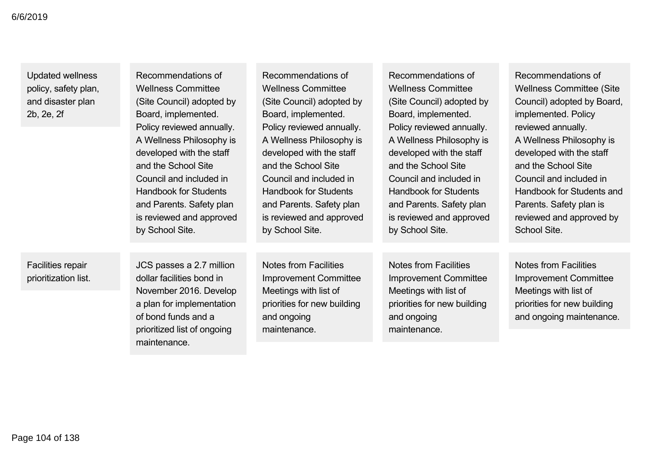Updated wellness policy, safety plan, and disaster plan 2b, 2e, 2f

| Recommendations of<br><b>Wellness Committee</b><br>(Site Council) adopted by<br>Board, implemented.<br>Policy reviewed annually.<br>A Wellness Philosophy is<br>developed with the staff<br>and the School Site<br>Council and included in<br><b>Handbook for Students</b><br>and Parents. Safety plan<br>is reviewed and approved | Recommendations of<br><b>Wellness Committee</b><br>(Site Council) adopted by<br>Board, implemented.<br>Policy reviewed annually.<br>A Wellness Philosophy is<br>developed with the staff<br>and the School Site<br>Council and included in<br><b>Handbook for Students</b><br>and Parents. Safety plan<br>is reviewed and approved | Recommendations of<br><b>Wellness Committee</b><br>(Site Council) adopted by<br>Board, implemented.<br>Policy reviewed annually.<br>A Wellness Philosophy is<br>developed with the staff<br>and the School Site<br>Council and included in<br><b>Handbook for Students</b><br>and Parents. Safety plan<br>is reviewed and approved | Recommendations of<br><b>Wellness Committee (Site)</b><br>Council) adopted by Board,<br>implemented. Policy<br>reviewed annually.<br>A Wellness Philosophy is<br>developed with the staff<br>and the School Site<br>Council and included in<br>Handbook for Students and<br>Parents. Safety plan is<br>reviewed and approved by |
|------------------------------------------------------------------------------------------------------------------------------------------------------------------------------------------------------------------------------------------------------------------------------------------------------------------------------------|------------------------------------------------------------------------------------------------------------------------------------------------------------------------------------------------------------------------------------------------------------------------------------------------------------------------------------|------------------------------------------------------------------------------------------------------------------------------------------------------------------------------------------------------------------------------------------------------------------------------------------------------------------------------------|---------------------------------------------------------------------------------------------------------------------------------------------------------------------------------------------------------------------------------------------------------------------------------------------------------------------------------|
| by School Site.                                                                                                                                                                                                                                                                                                                    | by School Site.                                                                                                                                                                                                                                                                                                                    | by School Site.                                                                                                                                                                                                                                                                                                                    | School Site.                                                                                                                                                                                                                                                                                                                    |
|                                                                                                                                                                                                                                                                                                                                    |                                                                                                                                                                                                                                                                                                                                    |                                                                                                                                                                                                                                                                                                                                    |                                                                                                                                                                                                                                                                                                                                 |
| $\sim$                                                                                                                                                                                                                                                                                                                             |                                                                                                                                                                                                                                                                                                                                    |                                                                                                                                                                                                                                                                                                                                    |                                                                                                                                                                                                                                                                                                                                 |

Facilities repair prioritization list. JCS passes a 2.7 million dollar facilities bond in November 2016. Develop a plan for implementation of bond funds and a prioritized list of ongoing maintenance.

Notes from Facilities Improvement Committee Meetings with list of priorities for new building and ongoing maintenance.

Notes from Facilities Improvement Committee Meetings with list of priorities for new building and ongoing maintenance.

Notes from Facilities Improvement Committee Meetings with list of priorities for new building and ongoing maintenance.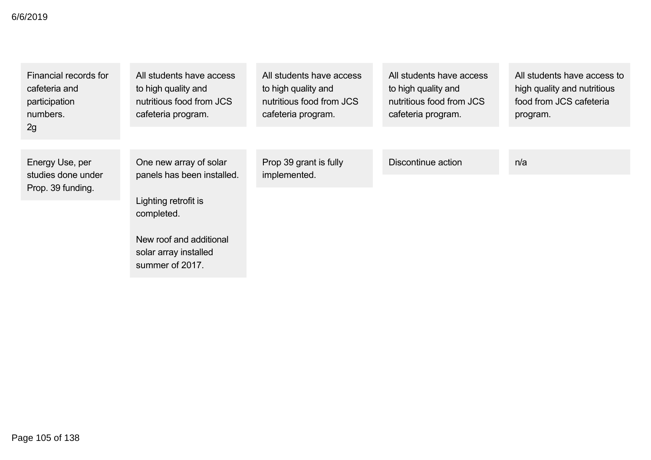| Financial records for<br>cafeteria and<br>participation<br>numbers.<br>2g | All students have access<br>to high quality and<br>nutritious food from JCS<br>cafeteria program.                                                                 | All students have access<br>to high quality and<br>nutritious food from JCS<br>cafeteria program. | All students have access<br>to high quality and<br>nutritious food from JCS<br>cafeteria program. | All students have access to<br>high quality and nutritious<br>food from JCS cafeteria<br>program. |
|---------------------------------------------------------------------------|-------------------------------------------------------------------------------------------------------------------------------------------------------------------|---------------------------------------------------------------------------------------------------|---------------------------------------------------------------------------------------------------|---------------------------------------------------------------------------------------------------|
| Energy Use, per<br>studies done under<br>Prop. 39 funding.                | One new array of solar<br>panels has been installed.<br>Lighting retrofit is<br>completed.<br>New roof and additional<br>solar array installed<br>summer of 2017. | Prop 39 grant is fully<br>implemented.                                                            | Discontinue action                                                                                | n/a                                                                                               |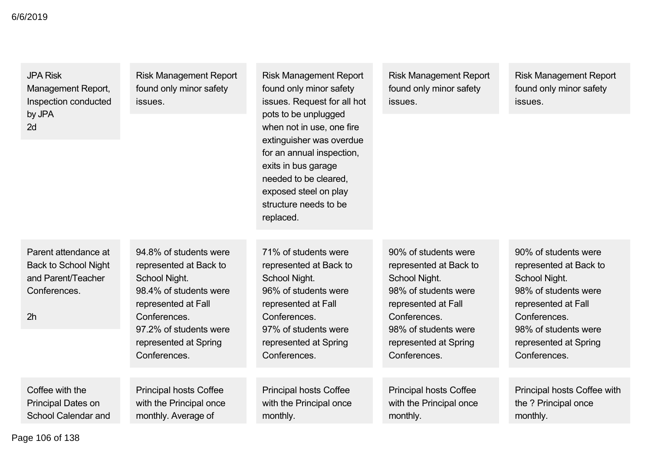JPA Risk Management Report, Inspection conducted by JPA 2d

Risk Management Report found only minor safety issues.

Risk Management Report found only minor safety issues. Request for all hot pots to be unplugged when not in use, one fire extinguisher was overdue for an annual inspection, exits in bus garage needed to be cleared, exposed steel on play structure needs to be replaced.

Risk Management Report found only minor safety issues.

Risk Management Report found only minor safety issues.

Parent attendance at Back to School Night and Parent/Teacher Conferences.

2h

94.8% of students were represented at Back to School Night. 98.4% of students were represented at Fall **Conferences** 97.2% of students were represented at Spring Conferences.

Principal hosts Coffee with the Principal once monthly. Average of

71% of students were represented at Back to School Night. 96% of students were represented at Fall **Conferences** 97% of students were represented at Spring Conferences.

Principal hosts Coffee with the Principal once monthly.

90% of students were represented at Back to School Night. 98% of students were represented at Fall **Conferences** 98% of students were represented at Spring Conferences.

Principal hosts Coffee with the Principal once monthly.

90% of students were represented at Back to School Night. 98% of students were represented at Fall Conferences. 98% of students were represented at Spring Conferences.

Principal hosts Coffee with the ? Principal once monthly.

Page 106 of 138

Coffee with the Principal Dates on School Calendar and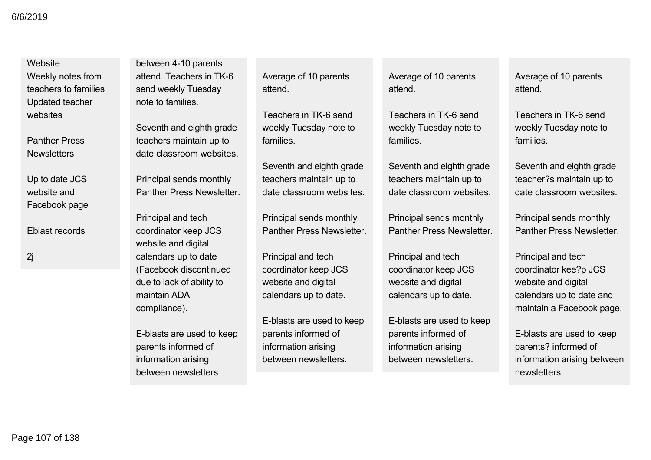### **Website**

Weekly notes from teachers to families Updated teacher websites

Panther Press **Newsletters** 

Up to date JCS website and Facebook page

Eblast records

2j

between 4-10 parents attend. Teachers in TK-6 send weekly Tuesday note to families.

Seventh and eighth grade teachers maintain up to date classroom websites.

Principal sends monthly Panther Press Newsletter.

Principal and tech coordinator keep JCS website and digital calendars up to date (Facebook discontinued due to lack of ability to maintain ADA compliance).

Eblasts are used to keep parents informed of information arising between newsletters

Average of 10 parents attend.

Teachers in TK-6 send weekly Tuesday note to families.

Seventh and eighth grade teachers maintain up to date classroom websites.

Principal sends monthly Panther Press Newsletter.

Principal and tech coordinator keep JCS website and digital calendars up to date.

Eblasts are used to keep parents informed of information arising between newsletters.

Average of 10 parents attend.

Teachers in TK-6 send weekly Tuesday note to families.

Seventh and eighth grade teachers maintain up to date classroom websites.

Principal sends monthly Panther Press Newsletter.

Principal and tech coordinator keep JCS website and digital calendars up to date.

Eblasts are used to keep parents informed of information arising between newsletters.

Average of 10 parents attend.

Teachers in TK-6 send weekly Tuesday note to families.

Seventh and eighth grade teacher?s maintain up to date classroom websites.

Principal sends monthly Panther Press Newsletter.

Principal and tech coordinator kee?p JCS website and digital calendars up to date and maintain a Facebook page.

Eblasts are used to keep parents? informed of information arising between newsletters.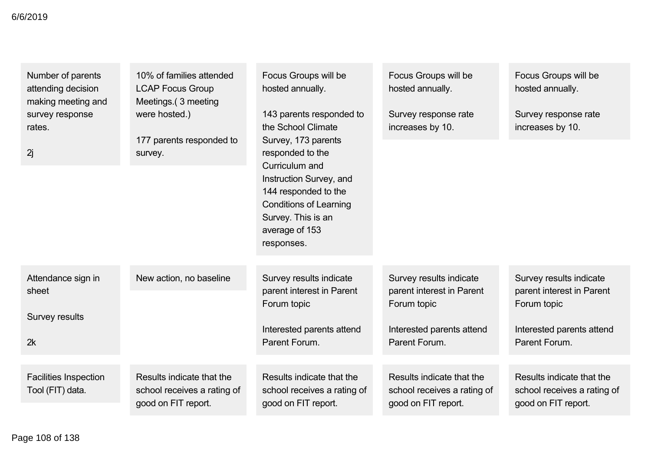| Number of parents<br>attending decision<br>making meeting and | 10% of families attended<br><b>LCAP Focus Group</b><br>Meetings. (3 meeting     | Focus Groups will be<br>hosted annually.                                                                                               | Focus Groups will be<br>hosted annually.                                        | Focus Groups will be<br>hosted annually.                                        |
|---------------------------------------------------------------|---------------------------------------------------------------------------------|----------------------------------------------------------------------------------------------------------------------------------------|---------------------------------------------------------------------------------|---------------------------------------------------------------------------------|
| survey response<br>rates.                                     | were hosted.)<br>177 parents responded to                                       | 143 parents responded to<br>the School Climate<br>Survey, 173 parents                                                                  | Survey response rate<br>increases by 10.                                        | Survey response rate<br>increases by 10.                                        |
| 2j                                                            | survey.                                                                         | responded to the<br>Curriculum and                                                                                                     |                                                                                 |                                                                                 |
|                                                               |                                                                                 | Instruction Survey, and<br>144 responded to the<br><b>Conditions of Learning</b><br>Survey. This is an<br>average of 153<br>responses. |                                                                                 |                                                                                 |
| Attendance sign in<br>sheet                                   | New action, no baseline                                                         | Survey results indicate<br>parent interest in Parent<br>Forum topic                                                                    | Survey results indicate<br>parent interest in Parent<br>Forum topic             | Survey results indicate<br>parent interest in Parent<br>Forum topic             |
| Survey results                                                |                                                                                 | Interested parents attend                                                                                                              | Interested parents attend                                                       | Interested parents attend                                                       |
| 2k                                                            |                                                                                 | Parent Forum.                                                                                                                          | Parent Forum.                                                                   | Parent Forum.                                                                   |
|                                                               |                                                                                 |                                                                                                                                        |                                                                                 |                                                                                 |
| <b>Facilities Inspection</b><br>Tool (FIT) data.              | Results indicate that the<br>school receives a rating of<br>good on FIT report. | Results indicate that the<br>school receives a rating of<br>good on FIT report.                                                        | Results indicate that the<br>school receives a rating of<br>good on FIT report. | Results indicate that the<br>school receives a rating of<br>good on FIT report. |
|                                                               |                                                                                 |                                                                                                                                        |                                                                                 |                                                                                 |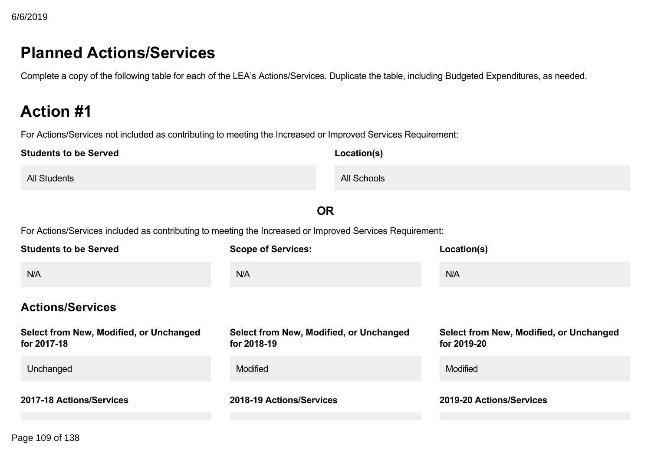# **Planned Actions/Services**

Complete a copy of the following table for each of the LEA's Actions/Services. Duplicate the table, including Budgeted Expenditures, as needed.

# **Action #1**

| <b>Students to be Served</b>                                                                             | Location(s)                          |                                      |
|----------------------------------------------------------------------------------------------------------|--------------------------------------|--------------------------------------|
| <b>All Students</b>                                                                                      | <b>All Schools</b>                   |                                      |
|                                                                                                          | <b>OR</b>                            |                                      |
| For Actions/Services included as contributing to meeting the Increased or Improved Services Requirement: |                                      |                                      |
| <b>Students to be Served</b>                                                                             | <b>Scope of Services:</b>            | Location(s)                          |
| N/A                                                                                                      | N/A                                  | N/A                                  |
| <b>Actions/Services</b>                                                                                  |                                      |                                      |
| Calcat from Nous Modified on Unpleased                                                                   | Calcat from No Modified on Unchanged | Calcat from No Modified on Hookonnad |

| Select from New, Modified, or Unchanged<br>for 2017-18 | Select from New, Modified, or Unchanged<br>for 2018-19 | Select from New, Modified, or Unchanged<br>for 2019-20 |
|--------------------------------------------------------|--------------------------------------------------------|--------------------------------------------------------|
| Unchanged                                              | <b>Modified</b>                                        | <b>Modified</b>                                        |
| 2017-18 Actions/Services                               | 2018-19 Actions/Services                               | 2019-20 Actions/Services                               |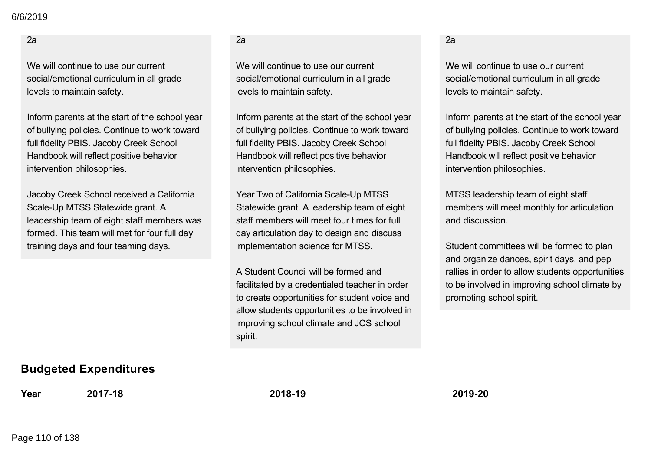2a

We will continue to use our current social/emotional curriculum in all grade levels to maintain safety.

Inform parents at the start of the school year of bullying policies. Continue to work toward full fidelity PBIS. Jacoby Creek School Handbook will reflect positive behavior intervention philosophies.

Jacoby Creek School received a California Scale-Up MTSS Statewide grant. A leadership team of eight staff members was formed. This team will met for four full day training days and four teaming days.

# **Budgeted Expenditures**

**Year 201718 201819 201920**

## $2a$

We will continue to use our current social/emotional curriculum in all grade levels to maintain safety.

Inform parents at the start of the school year of bullying policies. Continue to work toward full fidelity PBIS. Jacoby Creek School Handbook will reflect positive behavior intervention philosophies.

Year Two of California Scale-Up MTSS Statewide grant. A leadership team of eight staff members will meet four times for full day articulation day to design and discuss implementation science for MTSS.

A Student Council will be formed and facilitated by a credentialed teacher in order to create opportunities for student voice and allow students opportunities to be involved in improving school climate and JCS school spirit.

2a

We will continue to use our current social/emotional curriculum in all grade levels to maintain safety.

Inform parents at the start of the school year of bullying policies. Continue to work toward full fidelity PBIS. Jacoby Creek School Handbook will reflect positive behavior intervention philosophies.

MTSS leadership team of eight staff members will meet monthly for articulation and discussion.

Student committees will be formed to plan and organize dances, spirit days, and pep rallies in order to allow students opportunities to be involved in improving school climate by promoting school spirit.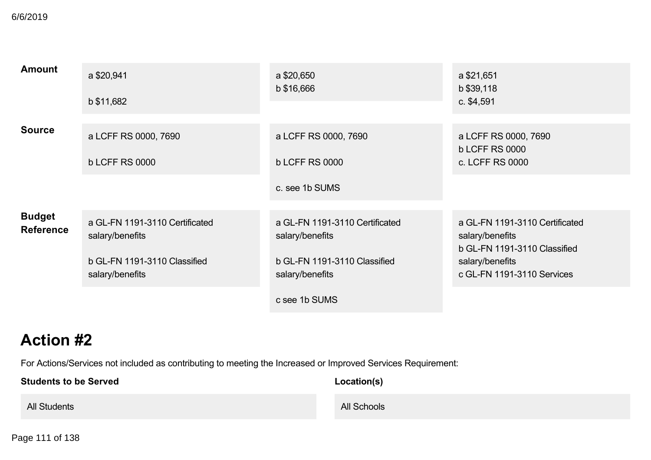| <b>Amount</b>                     | a \$20,941<br>b \$11,682                                                                             | a \$20,650<br>b \$16,666                                                                             | a \$21,651<br>b \$39,118<br>c. \$4,591                                                                                             |
|-----------------------------------|------------------------------------------------------------------------------------------------------|------------------------------------------------------------------------------------------------------|------------------------------------------------------------------------------------------------------------------------------------|
| <b>Source</b>                     | a LCFF RS 0000, 7690<br><b>b LCFF RS 0000</b>                                                        | a LCFF RS 0000, 7690<br><b>b LCFF RS 0000</b>                                                        | a LCFF RS 0000, 7690<br><b>b LCFF RS 0000</b><br>c. LCFF RS 0000                                                                   |
|                                   |                                                                                                      | c. see 1b SUMS                                                                                       |                                                                                                                                    |
| <b>Budget</b><br><b>Reference</b> | a GL-FN 1191-3110 Certificated<br>salary/benefits<br>b GL-FN 1191-3110 Classified<br>salary/benefits | a GL-FN 1191-3110 Certificated<br>salary/benefits<br>b GL-FN 1191-3110 Classified<br>salary/benefits | a GL-FN 1191-3110 Certificated<br>salary/benefits<br>b GL-FN 1191-3110 Classified<br>salary/benefits<br>c GL-FN 1191-3110 Services |
|                                   |                                                                                                      | c see 1b SUMS                                                                                        |                                                                                                                                    |

| <b>Students to be Served</b> | Location(s) |
|------------------------------|-------------|
| <b>All Students</b>          | All Schools |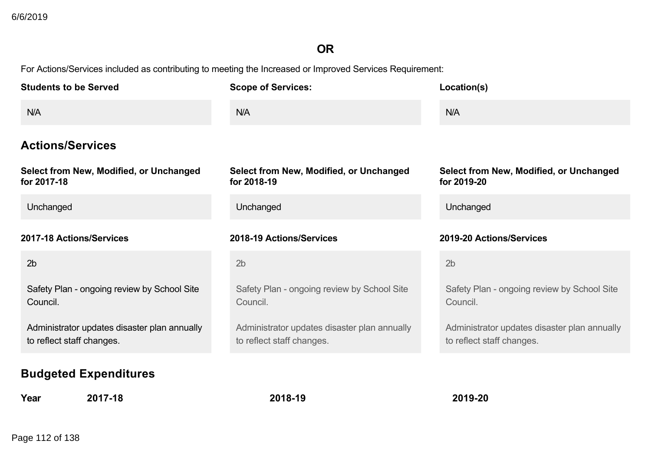# **OR**

For Actions/Services included as contributing to meeting the Increased or Improved Services Requirement:

**Year 201718 201819 201920**

| <b>Students to be Served</b>                                              | <b>Scope of Services:</b>                                                 | Location(s)                                                               |
|---------------------------------------------------------------------------|---------------------------------------------------------------------------|---------------------------------------------------------------------------|
| N/A                                                                       | N/A                                                                       | N/A                                                                       |
| <b>Actions/Services</b>                                                   |                                                                           |                                                                           |
| Select from New, Modified, or Unchanged<br>for 2017-18                    | Select from New, Modified, or Unchanged<br>for 2018-19                    | Select from New, Modified, or Unchanged<br>for 2019-20                    |
| Unchanged                                                                 | Unchanged                                                                 | Unchanged                                                                 |
| 2017-18 Actions/Services                                                  | 2018-19 Actions/Services                                                  | 2019-20 Actions/Services                                                  |
| 2 <sub>b</sub>                                                            | 2 <sub>b</sub>                                                            | 2 <sub>b</sub>                                                            |
| Safety Plan - ongoing review by School Site<br>Council.                   | Safety Plan - ongoing review by School Site<br>Council.                   | Safety Plan - ongoing review by School Site<br>Council.                   |
| Administrator updates disaster plan annually<br>to reflect staff changes. | Administrator updates disaster plan annually<br>to reflect staff changes. | Administrator updates disaster plan annually<br>to reflect staff changes. |
| <b>Budgeted Expenditures</b>                                              |                                                                           |                                                                           |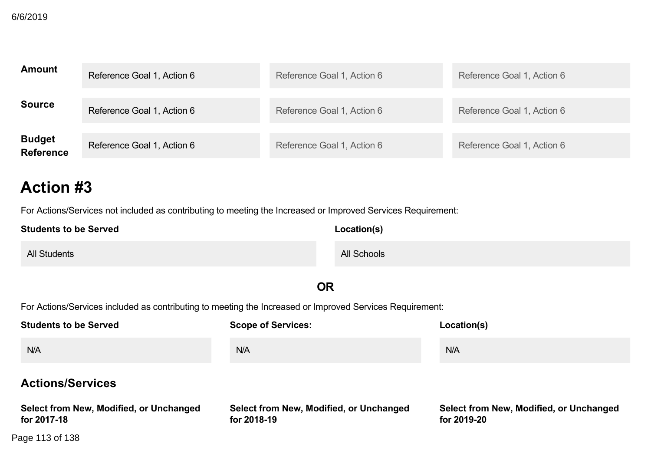| <b>Amount</b>                     | Reference Goal 1, Action 6 | Reference Goal 1, Action 6 | Reference Goal 1, Action 6 |
|-----------------------------------|----------------------------|----------------------------|----------------------------|
| <b>Source</b>                     | Reference Goal 1, Action 6 | Reference Goal 1, Action 6 | Reference Goal 1, Action 6 |
| <b>Budget</b><br><b>Reference</b> | Reference Goal 1, Action 6 | Reference Goal 1, Action 6 | Reference Goal 1, Action 6 |

For Actions/Services not included as contributing to meeting the Increased or Improved Services Requirement:

| <b>Students to be Served</b> | Location(s) |
|------------------------------|-------------|
| <b>All Students</b>          | All Schools |

# **OR**

For Actions/Services included as contributing to meeting the Increased or Improved Services Requirement:

 $U$  and  $U$  and  $U$  and  $U$  and  $U$  and  $U$  and  $U$  and  $U$  and  $U$  and  $U$  and  $U$  and  $U$  and  $U$  and  $U$  and  $U$  and  $U$  and  $U$  and  $U$  and  $U$  and  $U$  and  $U$  and  $U$  and  $U$  and  $U$  and  $U$  and  $U$  and  $U$  and  $U$  a

| <b>Students to be Served</b>                           | <b>Scope of Services:</b>                              | Location(s)                                            |
|--------------------------------------------------------|--------------------------------------------------------|--------------------------------------------------------|
| N/A                                                    | <b>N/A</b>                                             | N/A                                                    |
| <b>Actions/Services</b>                                |                                                        |                                                        |
| Select from New, Modified, or Unchanged<br>for 2017-18 | Select from New, Modified, or Unchanged<br>for 2018-19 | Select from New, Modified, or Unchanged<br>for 2019-20 |
| Page 113 of 138                                        |                                                        |                                                        |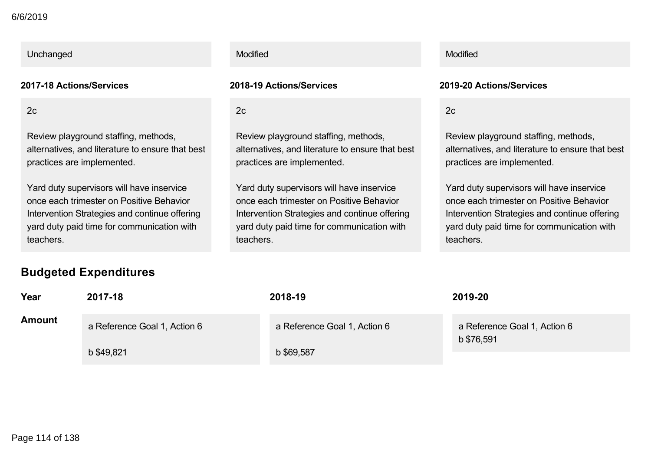## Unchanged **Modified** Modified Modified **Modified** Modified Modified Modified Modern Communication and Modified Modified Modified Communication and Modified Modified Communication and Modified Communication and Modified Com

2c

Review playground staffing, methods, alternatives, and literature to ensure that best practices are implemented.

Yard duty supervisors will have inservice once each trimester on Positive Behavior Intervention Strategies and continue offering yard duty paid time for communication with teachers.

2c

Review playground staffing, methods, alternatives, and literature to ensure that best practices are implemented.

Yard duty supervisors will have inservice once each trimester on Positive Behavior Intervention Strategies and continue offering yard duty paid time for communication with teachers.

## **201718 Actions/Services 201819 Actions/Services 201920 Actions/Services**

2c

Review playground staffing, methods, alternatives, and literature to ensure that best practices are implemented.

Yard duty supervisors will have inservice once each trimester on Positive Behavior Intervention Strategies and continue offering yard duty paid time for communication with teachers.

# **Budgeted Expenditures**

| Year          | 2017-18                      | 2018-19                      | 2019-20                                    |
|---------------|------------------------------|------------------------------|--------------------------------------------|
| <b>Amount</b> | a Reference Goal 1, Action 6 | a Reference Goal 1, Action 6 | a Reference Goal 1, Action 6<br>b \$76,591 |
|               | b \$49,821                   | b \$69,587                   |                                            |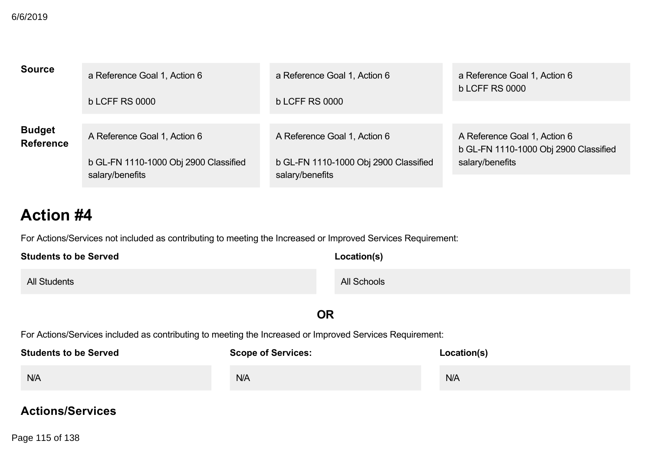| <b>Source</b>                     | a Reference Goal 1, Action 6<br><b>b LCFF RS 0000</b>    | a Reference Goal 1, Action 6<br><b>b LCFF RS 0000</b>    | a Reference Goal 1, Action 6<br><b>b LCFF RS 0000</b>                 |
|-----------------------------------|----------------------------------------------------------|----------------------------------------------------------|-----------------------------------------------------------------------|
|                                   |                                                          |                                                          |                                                                       |
| <b>Budget</b><br><b>Reference</b> | A Reference Goal 1, Action 6                             | A Reference Goal 1, Action 6                             | A Reference Goal 1, Action 6<br>b GL-FN 1110-1000 Obj 2900 Classified |
|                                   | b GL-FN 1110-1000 Obj 2900 Classified<br>salary/benefits | b GL-FN 1110-1000 Obj 2900 Classified<br>salary/benefits | salary/benefits                                                       |

For Actions/Services not included as contributing to meeting the Increased or Improved Services Requirement:

| <b>Students to be Served</b> | Location(s) |
|------------------------------|-------------|
| <b>All Students</b>          | All Schools |

**OR**

For Actions/Services included as contributing to meeting the Increased or Improved Services Requirement:

| <b>Students to be Served</b> | <b>Scope of Services:</b> | Location(s) |
|------------------------------|---------------------------|-------------|
| N/A                          | N/A                       | N/A         |

# **Actions/Services**

**Select from New, Modified, or Unchanged** Page 115 of 138**for 201718**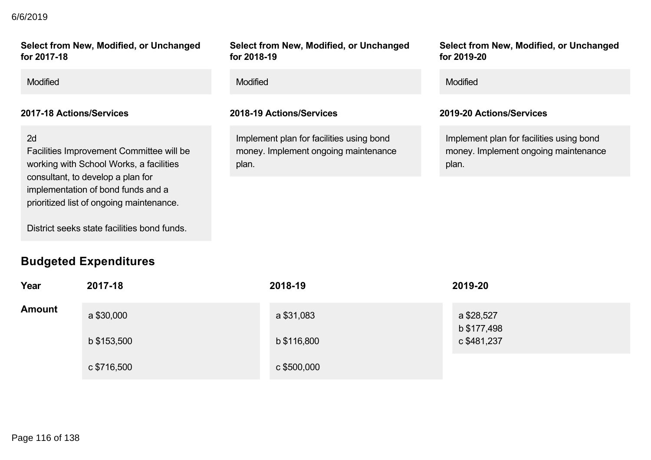# **Actions/Services** 6/6/2019

**Select from New, Modified, or Unchanged for 201718**

Modified Modified Modified

## 2d

Facilities Improvement Committee will be working with School Works, a facilities consultant, to develop a plan for implementation of bond funds and a prioritized list of ongoing maintenance.

District seeks state facilities bond funds.

# **Budgeted Expenditures**

**Select from New, Modified, or Unchanged for 201819**

Implement plan for facilities using bond money. Implement ongoing maintenance plan.

**Select from New, Modified, or Unchanged for 201920**

## **201718 Actions/Services 201819 Actions/Services 201920 Actions/Services**

Implement plan for facilities using bond money. Implement ongoing maintenance plan.

| Year          | 2017-18     | 2018-19     | 2019-20                   |
|---------------|-------------|-------------|---------------------------|
| <b>Amount</b> | a \$30,000  | a \$31,083  | a \$28,527<br>b \$177,498 |
|               | b \$153,500 | b \$116,800 | c \$481,237               |
|               | c \$716,500 | c \$500,000 |                           |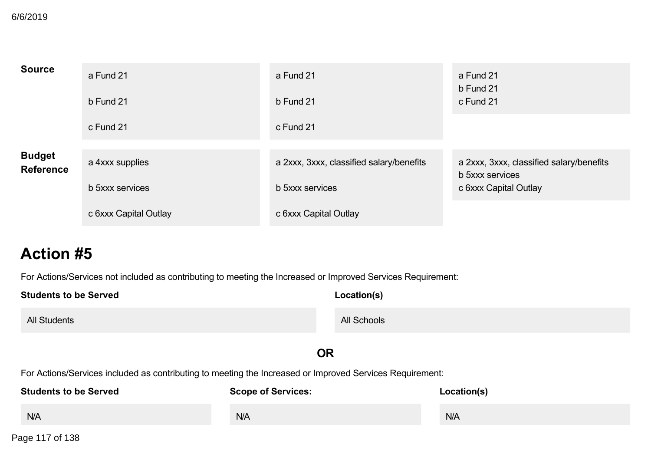| <b>Source</b>                     | a Fund 21             | a Fund 21                                | a Fund 21<br>b Fund 21                   |
|-----------------------------------|-----------------------|------------------------------------------|------------------------------------------|
|                                   | b Fund 21             | b Fund 21                                | c Fund 21                                |
|                                   | c Fund 21             | c Fund 21                                |                                          |
| <b>Budget</b><br><b>Reference</b> | a 4xxx supplies       | a 2xxx, 3xxx, classified salary/benefits | a 2xxx, 3xxx, classified salary/benefits |
|                                   | b 5xxx services       | b 5xxx services                          | b 5xxx services<br>c 6xxx Capital Outlay |
|                                   | c 6xxx Capital Outlay | c 6xxx Capital Outlay                    |                                          |

For Actions/Services not included as contributing to meeting the Increased or Improved Services Requirement:

| <b>Students to be Served</b>                                                                             | Location(s)               |             |  |  |
|----------------------------------------------------------------------------------------------------------|---------------------------|-------------|--|--|
| <b>All Students</b>                                                                                      | All Schools               |             |  |  |
|                                                                                                          | <b>OR</b>                 |             |  |  |
| For Actions/Services included as contributing to meeting the Increased or Improved Services Requirement: |                           |             |  |  |
| <b>Students to be Served</b>                                                                             | <b>Scope of Services:</b> | Location(s) |  |  |
| N/A                                                                                                      | N/A                       | N/A         |  |  |

Page 117 of 138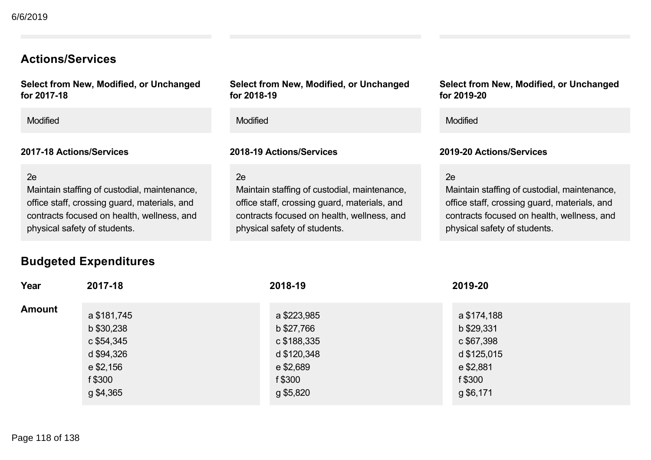# **Actions/Services**

**Select from New, Modified, or Unchanged** for 2017-18

Modified Modified Modified

## **201718 Actions/Services 201819 Actions/Services 201920 Actions/Services**

### $2e$

Maintain staffing of custodial, maintenance, office staff, crossing guard, materials, and contracts focused on health, wellness, and physical safety of students.

## **Select from New, Modified, or Unchanged for 201819**

### 2e

Maintain staffing of custodial, maintenance, office staff, crossing guard, materials, and contracts focused on health, wellness, and physical safety of students.

### **Select from New, Modified, or Unchanged for 201920**

## $2e$

Maintain staffing of custodial, maintenance, office staff, crossing guard, materials, and contracts focused on health, wellness, and physical safety of students.

# **Budgeted Expenditures**

| Year          | 2017-18                                                                       | 2018-19                                                                         | 2019-20                                                                        |
|---------------|-------------------------------------------------------------------------------|---------------------------------------------------------------------------------|--------------------------------------------------------------------------------|
| <b>Amount</b> | a \$181,745<br>b \$30,238<br>c \$54,345<br>d \$94,326<br>e \$2,156<br>f \$300 | a \$223,985<br>b \$27,766<br>c \$188,335<br>d \$120,348<br>e \$2,689<br>f \$300 | a \$174,188<br>b \$29,331<br>c \$67,398<br>d \$125,015<br>e \$2,881<br>f \$300 |
|               | g \$4,365                                                                     | g \$5,820                                                                       | g \$6,171                                                                      |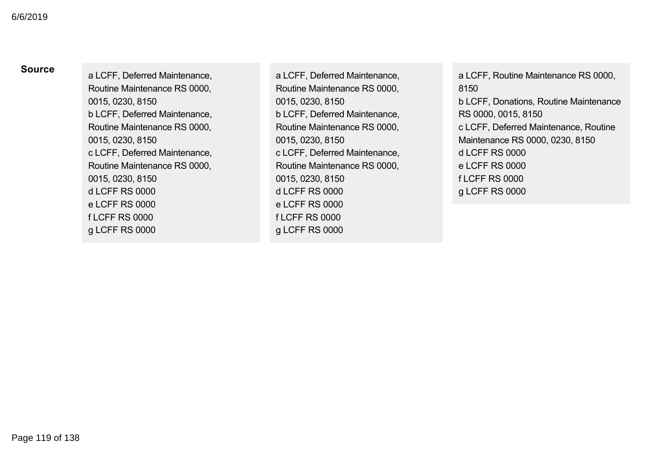**Source** a LCFF, Deferred Maintenance, Routine Maintenance RS 0000, 0015, 0230, 8150 b LCFF, Deferred Maintenance, Routine Maintenance RS 0000, 0015, 0230, 8150 c LCFF, Deferred Maintenance, Routine Maintenance RS 0000, 0015, 0230, 8150 d LCFF RS 0000 e LCFF RS 0000 f LCFF RS 0000 g LCFF RS 0000

a LCFF, Deferred Maintenance, Routine Maintenance RS 0000, 0015, 0230, 8150 b LCFF, Deferred Maintenance, Routine Maintenance RS 0000, 0015, 0230, 8150 c LCFF, Deferred Maintenance, Routine Maintenance RS 0000, 0015, 0230, 8150 d LCFF RS 0000 e LCFF RS 0000 f LCFF RS 0000 g LCFF RS 0000

a LCFF, Routine Maintenance RS 0000, 8150 b LCFF, Donations, Routine Maintenance RS 0000, 0015, 8150 c LCFF, Deferred Maintenance, Routine Maintenance RS 0000, 0230, 8150 d LCFF RS 0000 e LCFF RS 0000 f LCFF RS 0000 g LCFF RS 0000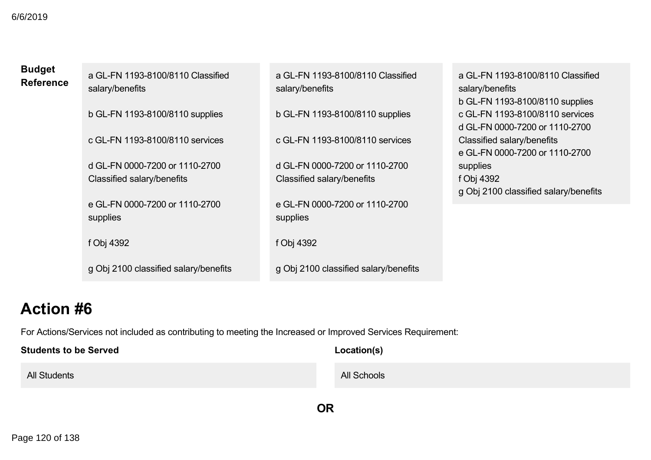| <b>Budget</b><br><b>Reference</b> | a GL-FN 1193-8100/8110 Classified<br>salary/benefits | a GL-FN 1193-8100/8110 Classified<br>salary/benefits | a GL-FN 1193-8100/8110 Classified<br>salary/benefits<br>b GL-FN 1193-8100/8110 supplies |
|-----------------------------------|------------------------------------------------------|------------------------------------------------------|-----------------------------------------------------------------------------------------|
|                                   | b GL-FN 1193-8100/8110 supplies                      | b GL-FN 1193-8100/8110 supplies                      | c GL-FN 1193-8100/8110 services<br>d GL-FN 0000-7200 or 1110-2700                       |
|                                   | c GL-FN 1193-8100/8110 services                      | c GL-FN 1193-8100/8110 services                      | Classified salary/benefits<br>e GL-FN 0000-7200 or 1110-2700                            |
|                                   | d GL-FN 0000-7200 or 1110-2700                       | d GL-FN 0000-7200 or 1110-2700                       | supplies                                                                                |
|                                   | Classified salary/benefits                           | Classified salary/benefits                           | f Obj 4392<br>g Obj 2100 classified salary/benefits                                     |
|                                   | e GL-FN 0000-7200 or 1110-2700                       | e GL-FN 0000-7200 or 1110-2700                       |                                                                                         |
|                                   | supplies                                             | supplies                                             |                                                                                         |
|                                   | f Obj 4392                                           | f Obj 4392                                           |                                                                                         |
|                                   | g Obj 2100 classified salary/benefits                | g Obj 2100 classified salary/benefits                |                                                                                         |

| <b>Students to be Served</b> | Location(s) |
|------------------------------|-------------|
| <b>All Students</b>          | All Schools |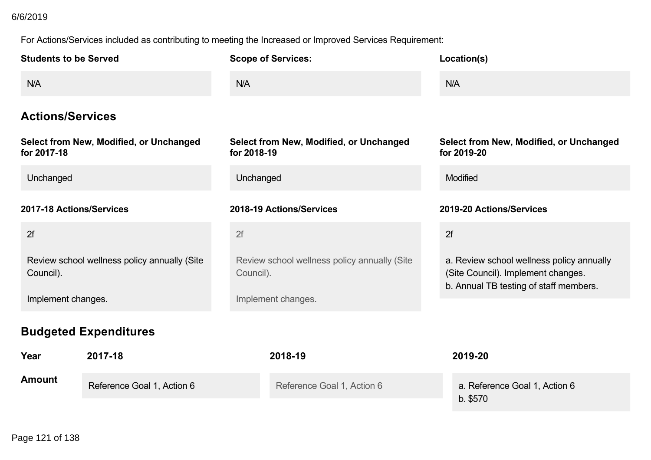# 6/6/2019

| <b>Students to be Served</b>                              |                            | <b>Scope of Services:</b>                                 |                            |  | Location(s)                                                                                                               |
|-----------------------------------------------------------|----------------------------|-----------------------------------------------------------|----------------------------|--|---------------------------------------------------------------------------------------------------------------------------|
| N/A                                                       |                            | N/A                                                       |                            |  | N/A                                                                                                                       |
| <b>Actions/Services</b>                                   |                            |                                                           |                            |  |                                                                                                                           |
| Select from New, Modified, or Unchanged<br>for 2017-18    |                            | Select from New, Modified, or Unchanged<br>for 2018-19    |                            |  | Select from New, Modified, or Unchanged<br>for 2019-20                                                                    |
| Unchanged                                                 |                            | Unchanged                                                 |                            |  | Modified                                                                                                                  |
| 2017-18 Actions/Services                                  |                            | 2018-19 Actions/Services                                  |                            |  | 2019-20 Actions/Services                                                                                                  |
| 2f                                                        |                            | 2f                                                        |                            |  | 2f                                                                                                                        |
| Review school wellness policy annually (Site<br>Council). |                            | Review school wellness policy annually (Site<br>Council). |                            |  | a. Review school wellness policy annually<br>(Site Council). Implement changes.<br>b. Annual TB testing of staff members. |
| Implement changes.                                        |                            | Implement changes.                                        |                            |  |                                                                                                                           |
| <b>Budgeted Expenditures</b>                              |                            |                                                           |                            |  |                                                                                                                           |
| Year                                                      | 2017-18                    |                                                           | 2018-19                    |  | 2019-20                                                                                                                   |
| <b>Amount</b>                                             | Reference Goal 1, Action 6 |                                                           | Reference Goal 1, Action 6 |  | a. Reference Goal 1, Action 6<br>b. \$570                                                                                 |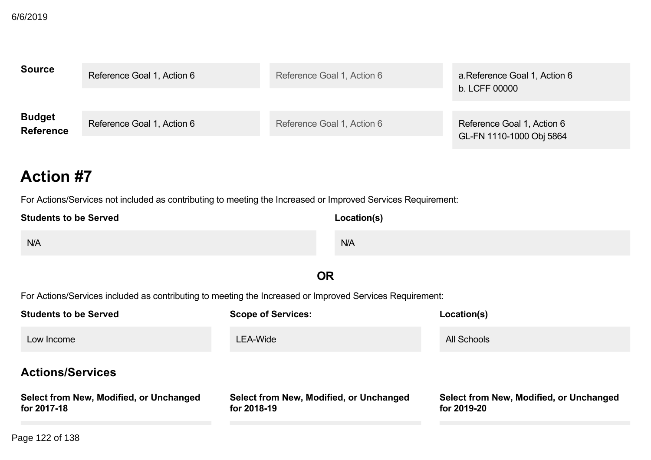| <b>Source</b>                     | Reference Goal 1, Action 6 | Reference Goal 1, Action 6 | a.Reference Goal 1, Action 6<br>b. LCFF 00000          |
|-----------------------------------|----------------------------|----------------------------|--------------------------------------------------------|
| <b>Budget</b><br><b>Reference</b> | Reference Goal 1, Action 6 | Reference Goal 1, Action 6 | Reference Goal 1, Action 6<br>GL-FN 1110-1000 Obj 5864 |

For Actions/Services not included as contributing to meeting the Increased or Improved Services Requirement:

| <b>Students to be Served</b> | Location(s) |
|------------------------------|-------------|
| N/A                          | N/A         |
| $-$                          |             |

# **OR**

| <b>Students to be Served</b>                           | <b>Scope of Services:</b>                              | Location(s)                                            |  |
|--------------------------------------------------------|--------------------------------------------------------|--------------------------------------------------------|--|
| Low Income                                             | LEA-Wide                                               | All Schools                                            |  |
| <b>Actions/Services</b>                                |                                                        |                                                        |  |
| Select from New, Modified, or Unchanged<br>for 2017-18 | Select from New, Modified, or Unchanged<br>for 2018-19 | Select from New, Modified, or Unchanged<br>for 2019-20 |  |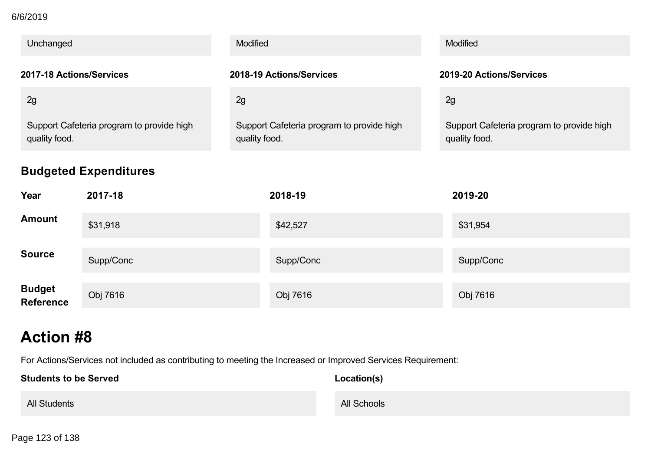## **for 201718** 6/6/2019

| Unchanged                                                  |           | Modified                                                   |           |  | Modified                                                   |  |
|------------------------------------------------------------|-----------|------------------------------------------------------------|-----------|--|------------------------------------------------------------|--|
| 2017-18 Actions/Services                                   |           | 2018-19 Actions/Services                                   |           |  | 2019-20 Actions/Services                                   |  |
| 2g                                                         |           | 2g                                                         |           |  | 2g                                                         |  |
| Support Cafeteria program to provide high<br>quality food. |           | Support Cafeteria program to provide high<br>quality food. |           |  | Support Cafeteria program to provide high<br>quality food. |  |
| <b>Budgeted Expenditures</b>                               |           |                                                            |           |  |                                                            |  |
| Year                                                       | 2017-18   |                                                            | 2018-19   |  | 2019-20                                                    |  |
| <b>Amount</b>                                              | \$31,918  |                                                            | \$42,527  |  | \$31,954                                                   |  |
| <b>Source</b>                                              | Supp/Conc |                                                            | Supp/Conc |  | Supp/Conc                                                  |  |
| <b>Budget</b><br><b>Reference</b>                          | Obj 7616  |                                                            | Obj 7616  |  | Obj 7616                                                   |  |

# **Action #8**

For Actions/Services not included as contributing to meeting the Increased or Improved Services Requirement:

| <b>Students to be Served</b> | Location(s) |
|------------------------------|-------------|
| <b>All Students</b>          | All Schools |

Page 123 of 138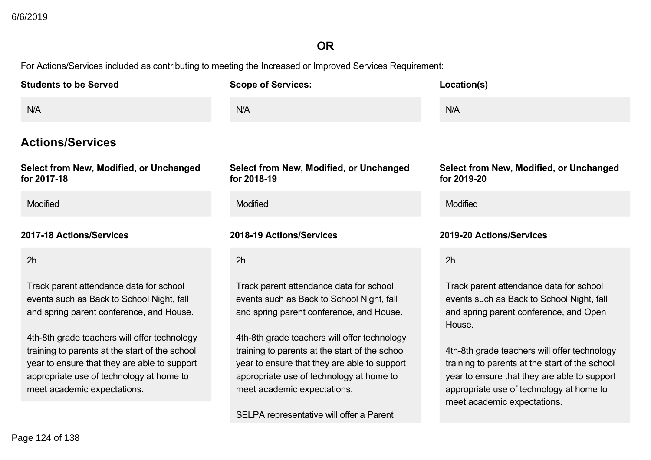# **OR**

| <b>Students to be Served</b>                                                                                                                                                                                                                                                                                                                                  | <b>Scope of Services:</b>                                                                                                                                                                                                                                                                                                                                     | Location(s)                                                                                                                                                                                                                                                                                                                                                           |
|---------------------------------------------------------------------------------------------------------------------------------------------------------------------------------------------------------------------------------------------------------------------------------------------------------------------------------------------------------------|---------------------------------------------------------------------------------------------------------------------------------------------------------------------------------------------------------------------------------------------------------------------------------------------------------------------------------------------------------------|-----------------------------------------------------------------------------------------------------------------------------------------------------------------------------------------------------------------------------------------------------------------------------------------------------------------------------------------------------------------------|
| N/A                                                                                                                                                                                                                                                                                                                                                           | N/A                                                                                                                                                                                                                                                                                                                                                           | N/A                                                                                                                                                                                                                                                                                                                                                                   |
| <b>Actions/Services</b>                                                                                                                                                                                                                                                                                                                                       |                                                                                                                                                                                                                                                                                                                                                               |                                                                                                                                                                                                                                                                                                                                                                       |
| Select from New, Modified, or Unchanged<br>for 2017-18                                                                                                                                                                                                                                                                                                        | Select from New, Modified, or Unchanged<br>for 2018-19                                                                                                                                                                                                                                                                                                        | Select from New, Modified, or Unchanged<br>for 2019-20                                                                                                                                                                                                                                                                                                                |
| Modified                                                                                                                                                                                                                                                                                                                                                      | <b>Modified</b>                                                                                                                                                                                                                                                                                                                                               | Modified                                                                                                                                                                                                                                                                                                                                                              |
| 2017-18 Actions/Services                                                                                                                                                                                                                                                                                                                                      | 2018-19 Actions/Services                                                                                                                                                                                                                                                                                                                                      | 2019-20 Actions/Services                                                                                                                                                                                                                                                                                                                                              |
| 2h                                                                                                                                                                                                                                                                                                                                                            | 2h                                                                                                                                                                                                                                                                                                                                                            | 2h                                                                                                                                                                                                                                                                                                                                                                    |
| Track parent attendance data for school<br>events such as Back to School Night, fall<br>and spring parent conference, and House.<br>4th-8th grade teachers will offer technology<br>training to parents at the start of the school<br>year to ensure that they are able to support<br>appropriate use of technology at home to<br>meet academic expectations. | Track parent attendance data for school<br>events such as Back to School Night, fall<br>and spring parent conference, and House.<br>4th-8th grade teachers will offer technology<br>training to parents at the start of the school<br>year to ensure that they are able to support<br>appropriate use of technology at home to<br>meet academic expectations. | Track parent attendance data for school<br>events such as Back to School Night, fall<br>and spring parent conference, and Open<br>House.<br>4th-8th grade teachers will offer technology<br>training to parents at the start of the school<br>year to ensure that they are able to support<br>appropriate use of technology at home to<br>meet academic expectations. |
|                                                                                                                                                                                                                                                                                                                                                               | SELPA representative will offer a Parent                                                                                                                                                                                                                                                                                                                      |                                                                                                                                                                                                                                                                                                                                                                       |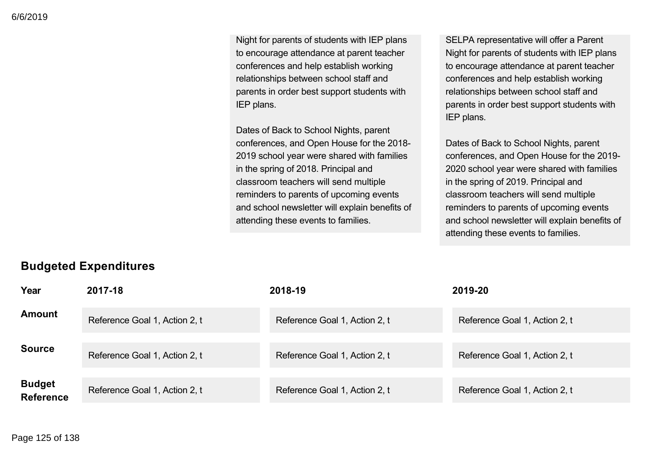Night for parents of students with IEP plans to encourage attendance at parent teacher conferences and help establish working relationships between school staff and parents in order best support students with IEP plans.

Dates of Back to School Nights, parent conferences, and Open House for the 2018 2019 school year were shared with families in the spring of 2018. Principal and classroom teachers will send multiple reminders to parents of upcoming events and school newsletter will explain benefits of attending these events to families.

SELPA representative will offer a Parent Night for parents of students with IEP plans to encourage attendance at parent teacher conferences and help establish working relationships between school staff and parents in order best support students with IEP plans.

Dates of Back to School Nights, parent conferences, and Open House for the 2019 2020 school year were shared with families in the spring of 2019. Principal and classroom teachers will send multiple reminders to parents of upcoming events and school newsletter will explain benefits of attending these events to families.

# **Budgeted Expenditures**

| Year                              | 2017-18                       | 2018-19                       | 2019-20                       |
|-----------------------------------|-------------------------------|-------------------------------|-------------------------------|
| <b>Amount</b>                     | Reference Goal 1, Action 2, t | Reference Goal 1, Action 2, t | Reference Goal 1, Action 2, t |
| <b>Source</b>                     | Reference Goal 1, Action 2, t | Reference Goal 1, Action 2, t | Reference Goal 1, Action 2, t |
| <b>Budget</b><br><b>Reference</b> | Reference Goal 1, Action 2, t | Reference Goal 1, Action 2, t | Reference Goal 1, Action 2, t |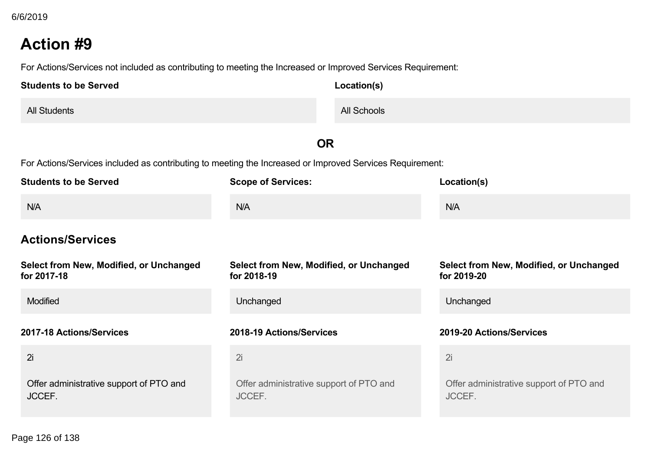For Actions/Services not included as contributing to meeting the Increased or Improved Services Requirement:

| <b>Students to be Served</b> | Location(s) |
|------------------------------|-------------|
| <b>All Students</b>          | All Schools |

# **OR**

| <b>Students to be Served</b>                           | <b>Scope of Services:</b>                              | Location(s)                                            |
|--------------------------------------------------------|--------------------------------------------------------|--------------------------------------------------------|
| N/A                                                    | N/A                                                    | N/A                                                    |
| <b>Actions/Services</b>                                |                                                        |                                                        |
| Select from New, Modified, or Unchanged<br>for 2017-18 | Select from New, Modified, or Unchanged<br>for 2018-19 | Select from New, Modified, or Unchanged<br>for 2019-20 |
| <b>Modified</b>                                        | Unchanged                                              | Unchanged                                              |
| 2017-18 Actions/Services                               | 2018-19 Actions/Services                               | 2019-20 Actions/Services                               |
| 2i                                                     | 2i                                                     | 2i                                                     |
| Offer administrative support of PTO and<br>JCCEF.      | Offer administrative support of PTO and<br>JCCEF.      | Offer administrative support of PTO and<br>JCCEF.      |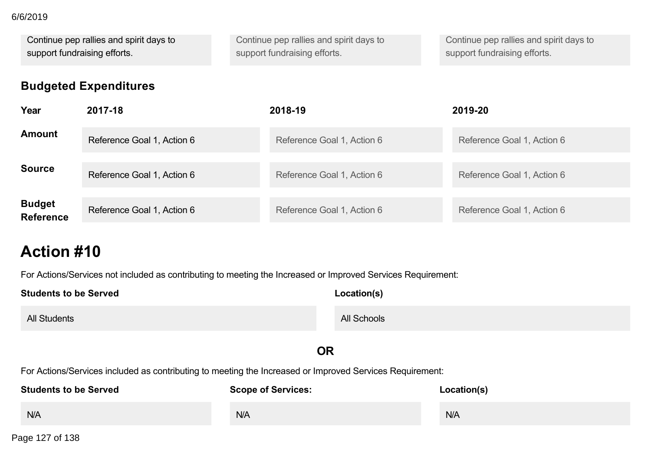## 6/6/2019

Continue pep rallies and spirit days to support fundraising efforts. Continue pep rallies and spirit days to support fundraising efforts. Continue pep rallies and spirit days to support fundraising efforts.

# **Budgeted Expenditures**

| Year                              | 2017-18                    | 2018-19                    | 2019-20                    |
|-----------------------------------|----------------------------|----------------------------|----------------------------|
| <b>Amount</b>                     | Reference Goal 1, Action 6 | Reference Goal 1, Action 6 | Reference Goal 1, Action 6 |
| <b>Source</b>                     | Reference Goal 1, Action 6 | Reference Goal 1, Action 6 | Reference Goal 1, Action 6 |
| <b>Budget</b><br><b>Reference</b> | Reference Goal 1, Action 6 | Reference Goal 1, Action 6 | Reference Goal 1, Action 6 |

# **Action #10**

For Actions/Services not included as contributing to meeting the Increased or Improved Services Requirement:

| <b>Students to be Served</b>                                                                             | Location(s) |     |  |
|----------------------------------------------------------------------------------------------------------|-------------|-----|--|
| <b>All Students</b>                                                                                      | All Schools |     |  |
| <b>OR</b>                                                                                                |             |     |  |
| For Actions/Services included as contributing to meeting the Increased or Improved Services Requirement: |             |     |  |
| <b>Students to be Served</b><br><b>Scope of Services:</b><br>Location(s)                                 |             |     |  |
| N/A                                                                                                      | N/A         | N/A |  |

**Actions/Services** Page 127 of 138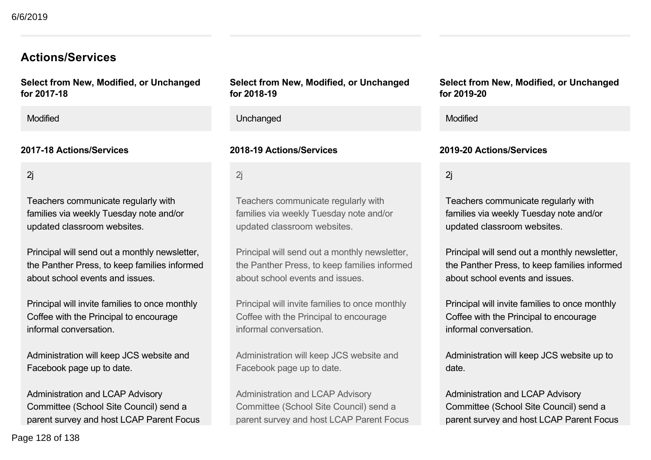# **Actions/Services**

**Select from New, Modified, or Unchanged for 201718**

2j

Teachers communicate regularly with families via weekly Tuesday note and/or updated classroom websites.

Principal will send out a monthly newsletter, the Panther Press, to keep families informed about school events and issues.

Principal will invite families to once monthly Coffee with the Principal to encourage informal conversation.

Administration will keep JCS website and Facebook page up to date.

Administration and LCAP Advisory Committee (School Site Council) send a parent survey and host LCAP Parent Focus **Select from New, Modified, or Unchanged for 201819**

Modified Unchanged Modified

## **201718 Actions/Services 201819 Actions/Services 201920 Actions/Services**

2j

Teachers communicate regularly with families via weekly Tuesday note and/or updated classroom websites.

Principal will send out a monthly newsletter, the Panther Press, to keep families informed about school events and issues.

Principal will invite families to once monthly Coffee with the Principal to encourage informal conversation.

Administration will keep JCS website and Facebook page up to date.

Administration and LCAP Advisory Committee (School Site Council) send a parent survey and host LCAP Parent Focus

## **Select from New, Modified, or Unchanged for 201920**

2j

Teachers communicate regularly with families via weekly Tuesday note and/or updated classroom websites.

Principal will send out a monthly newsletter, the Panther Press, to keep families informed about school events and issues.

Principal will invite families to once monthly Coffee with the Principal to encourage informal conversation.

Administration will keep JCS website up to date.

Administration and LCAP Advisory Committee (School Site Council) send a parent survey and host LCAP Parent Focus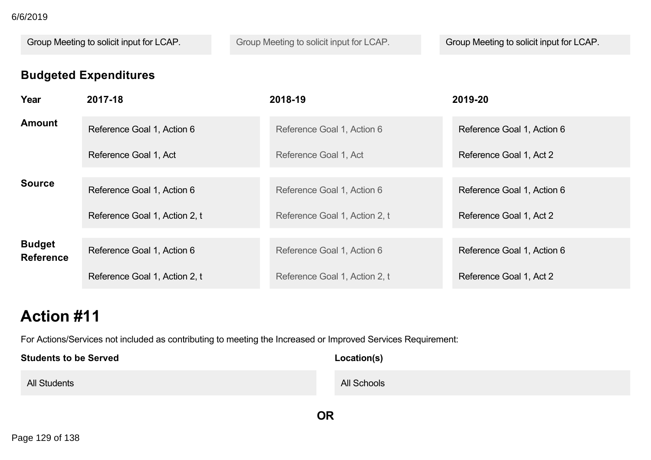# **Budgeted Expenditures**

| 6/6/2019                     |                                                             |                                                                                                                             |                                                       |
|------------------------------|-------------------------------------------------------------|-----------------------------------------------------------------------------------------------------------------------------|-------------------------------------------------------|
|                              | Group Meeting to solicit input for LCAP.                    | Group Meeting to solicit input for LCAP.                                                                                    | Group Meeting to solicit input for LCAP.              |
| Year                         | <b>Budgeted Expenditures</b><br>2017-18                     | 2018-19                                                                                                                     | 2019-20                                               |
| <b>Amount</b>                | Reference Goal 1, Action 6                                  | Reference Goal 1, Action 6                                                                                                  | Reference Goal 1, Action 6                            |
|                              | Reference Goal 1, Act                                       | Reference Goal 1, Act                                                                                                       | Reference Goal 1, Act 2                               |
| <b>Source</b>                | Reference Goal 1, Action 6<br>Reference Goal 1, Action 2, t | Reference Goal 1, Action 6<br>Reference Goal 1, Action 2, t                                                                 | Reference Goal 1, Action 6<br>Reference Goal 1, Act 2 |
| <b>Budget</b>                | Reference Goal 1, Action 6                                  | Reference Goal 1, Action 6                                                                                                  | Reference Goal 1, Action 6                            |
| <b>Reference</b>             | Reference Goal 1, Action 2, t                               | Reference Goal 1, Action 2, t                                                                                               | Reference Goal 1, Act 2                               |
| <b>Action #11</b>            |                                                             |                                                                                                                             |                                                       |
| <b>Students to be Served</b> |                                                             | For Actions/Services not included as contributing to meeting the Increased or Improved Services Requirement:<br>Location(s) |                                                       |
| <b>All Students</b>          |                                                             | All Schools                                                                                                                 |                                                       |
| Page 129 of 138              |                                                             | OR                                                                                                                          |                                                       |
|                              |                                                             |                                                                                                                             |                                                       |
|                              |                                                             |                                                                                                                             |                                                       |
|                              |                                                             |                                                                                                                             |                                                       |
|                              |                                                             |                                                                                                                             |                                                       |
|                              |                                                             |                                                                                                                             |                                                       |
|                              |                                                             |                                                                                                                             |                                                       |
|                              |                                                             |                                                                                                                             |                                                       |
|                              |                                                             |                                                                                                                             |                                                       |
|                              |                                                             |                                                                                                                             |                                                       |
|                              |                                                             |                                                                                                                             |                                                       |
|                              |                                                             |                                                                                                                             |                                                       |
|                              |                                                             |                                                                                                                             |                                                       |
|                              |                                                             |                                                                                                                             |                                                       |
|                              |                                                             |                                                                                                                             |                                                       |
|                              |                                                             |                                                                                                                             |                                                       |
|                              |                                                             |                                                                                                                             |                                                       |
|                              |                                                             |                                                                                                                             |                                                       |
|                              |                                                             |                                                                                                                             |                                                       |
|                              |                                                             |                                                                                                                             |                                                       |
|                              |                                                             |                                                                                                                             |                                                       |
|                              |                                                             |                                                                                                                             |                                                       |
|                              |                                                             |                                                                                                                             |                                                       |
|                              |                                                             |                                                                                                                             |                                                       |
|                              |                                                             |                                                                                                                             |                                                       |
|                              |                                                             |                                                                                                                             |                                                       |
|                              |                                                             |                                                                                                                             |                                                       |
|                              |                                                             |                                                                                                                             |                                                       |
|                              |                                                             |                                                                                                                             |                                                       |
|                              |                                                             |                                                                                                                             |                                                       |
|                              |                                                             |                                                                                                                             |                                                       |
|                              |                                                             |                                                                                                                             |                                                       |
|                              |                                                             |                                                                                                                             |                                                       |
|                              |                                                             |                                                                                                                             |                                                       |
|                              |                                                             |                                                                                                                             |                                                       |
|                              |                                                             |                                                                                                                             |                                                       |
|                              |                                                             |                                                                                                                             |                                                       |
|                              |                                                             |                                                                                                                             |                                                       |
|                              |                                                             |                                                                                                                             |                                                       |
|                              |                                                             |                                                                                                                             |                                                       |
|                              |                                                             |                                                                                                                             |                                                       |
|                              |                                                             |                                                                                                                             |                                                       |
|                              |                                                             |                                                                                                                             |                                                       |
|                              |                                                             |                                                                                                                             |                                                       |
|                              |                                                             |                                                                                                                             |                                                       |
|                              |                                                             |                                                                                                                             |                                                       |
|                              |                                                             |                                                                                                                             |                                                       |
|                              |                                                             |                                                                                                                             |                                                       |
|                              |                                                             |                                                                                                                             |                                                       |
|                              |                                                             |                                                                                                                             |                                                       |
|                              |                                                             |                                                                                                                             |                                                       |
|                              |                                                             |                                                                                                                             |                                                       |
|                              |                                                             |                                                                                                                             |                                                       |
|                              |                                                             |                                                                                                                             |                                                       |
|                              |                                                             |                                                                                                                             |                                                       |
|                              |                                                             |                                                                                                                             |                                                       |
|                              |                                                             |                                                                                                                             |                                                       |
|                              |                                                             |                                                                                                                             |                                                       |
|                              |                                                             |                                                                                                                             |                                                       |
|                              |                                                             |                                                                                                                             |                                                       |
|                              |                                                             |                                                                                                                             |                                                       |
|                              |                                                             |                                                                                                                             |                                                       |
|                              |                                                             |                                                                                                                             |                                                       |
|                              |                                                             |                                                                                                                             |                                                       |
|                              |                                                             |                                                                                                                             |                                                       |
|                              |                                                             |                                                                                                                             |                                                       |
|                              |                                                             |                                                                                                                             |                                                       |
|                              |                                                             |                                                                                                                             |                                                       |
|                              |                                                             |                                                                                                                             |                                                       |
|                              |                                                             |                                                                                                                             |                                                       |
|                              |                                                             |                                                                                                                             |                                                       |
|                              |                                                             |                                                                                                                             |                                                       |
|                              |                                                             |                                                                                                                             |                                                       |
|                              |                                                             |                                                                                                                             |                                                       |
|                              |                                                             |                                                                                                                             |                                                       |
|                              |                                                             |                                                                                                                             |                                                       |
|                              |                                                             |                                                                                                                             |                                                       |
|                              |                                                             |                                                                                                                             |                                                       |
|                              |                                                             |                                                                                                                             |                                                       |
|                              |                                                             |                                                                                                                             |                                                       |

# **Action #11**

| <b>Students to be Served</b> | Location(s) |
|------------------------------|-------------|
| <b>All Students</b>          | All Schools |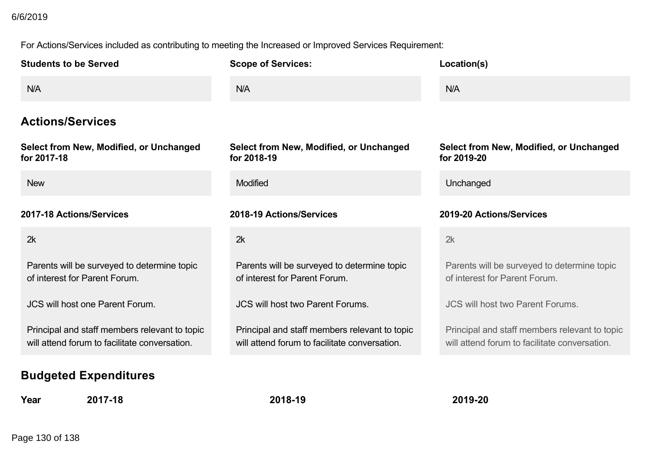# 6/6/2019

| 6/6/2019<br><b>Students to be Served</b>                                                                                       | For Actions/Services included as contributing to meeting the Increased or Improved Services Requirement:<br><b>Scope of Services:</b> | Location(s)                                                                                                      |
|--------------------------------------------------------------------------------------------------------------------------------|---------------------------------------------------------------------------------------------------------------------------------------|------------------------------------------------------------------------------------------------------------------|
| N/A<br><b>Actions/Services</b>                                                                                                 | N/A                                                                                                                                   | N/A                                                                                                              |
| Select from New, Modified, or Unchanged<br>for 2017-18<br><b>New</b>                                                           | Select from New, Modified, or Unchanged<br>for 2018-19<br>Modified                                                                    | Select from New, Modified, or Unchanged<br>for 2019-20<br>Unchanged                                              |
| 2017-18 Actions/Services<br>2k                                                                                                 | 2018-19 Actions/Services<br>2k                                                                                                        | 2019-20 Actions/Services<br>2k                                                                                   |
| Parents will be surveyed to determine topic<br>of interest for Parent Forum.<br>JCS will host one Parent Forum.                | Parents will be surveyed to determine topic<br>of interest for Parent Forum.<br>JCS will host two Parent Forums.                      | Parents will be surveyed to determine topic<br>of interest for Parent Forum.<br>JCS will host two Parent Forums. |
| Principal and staff members relevant to topic<br>will attend forum to facilitate conversation.<br><b>Budgeted Expenditures</b> | Principal and staff members relevant to topic<br>will attend forum to facilitate conversation.                                        | Principal and staff members relevant to topic<br>will attend forum to facilitate conversation.                   |
| 2017-18<br>Year<br>Page 130 of 138                                                                                             | 2018-19                                                                                                                               | 2019-20                                                                                                          |
|                                                                                                                                |                                                                                                                                       |                                                                                                                  |
|                                                                                                                                |                                                                                                                                       |                                                                                                                  |
|                                                                                                                                |                                                                                                                                       |                                                                                                                  |
|                                                                                                                                |                                                                                                                                       |                                                                                                                  |
|                                                                                                                                |                                                                                                                                       |                                                                                                                  |
|                                                                                                                                |                                                                                                                                       |                                                                                                                  |
|                                                                                                                                |                                                                                                                                       |                                                                                                                  |
|                                                                                                                                |                                                                                                                                       |                                                                                                                  |
|                                                                                                                                |                                                                                                                                       |                                                                                                                  |
|                                                                                                                                |                                                                                                                                       |                                                                                                                  |
|                                                                                                                                |                                                                                                                                       |                                                                                                                  |
|                                                                                                                                |                                                                                                                                       |                                                                                                                  |
|                                                                                                                                |                                                                                                                                       |                                                                                                                  |
|                                                                                                                                |                                                                                                                                       |                                                                                                                  |
|                                                                                                                                |                                                                                                                                       |                                                                                                                  |
|                                                                                                                                |                                                                                                                                       |                                                                                                                  |
|                                                                                                                                |                                                                                                                                       |                                                                                                                  |
|                                                                                                                                |                                                                                                                                       |                                                                                                                  |
|                                                                                                                                |                                                                                                                                       |                                                                                                                  |
|                                                                                                                                |                                                                                                                                       |                                                                                                                  |
|                                                                                                                                |                                                                                                                                       |                                                                                                                  |
|                                                                                                                                |                                                                                                                                       |                                                                                                                  |
|                                                                                                                                |                                                                                                                                       |                                                                                                                  |
|                                                                                                                                |                                                                                                                                       |                                                                                                                  |
|                                                                                                                                |                                                                                                                                       |                                                                                                                  |
|                                                                                                                                |                                                                                                                                       |                                                                                                                  |
|                                                                                                                                |                                                                                                                                       |                                                                                                                  |
|                                                                                                                                |                                                                                                                                       |                                                                                                                  |
|                                                                                                                                |                                                                                                                                       |                                                                                                                  |
|                                                                                                                                |                                                                                                                                       |                                                                                                                  |
|                                                                                                                                |                                                                                                                                       |                                                                                                                  |
|                                                                                                                                |                                                                                                                                       |                                                                                                                  |
|                                                                                                                                |                                                                                                                                       |                                                                                                                  |
|                                                                                                                                |                                                                                                                                       |                                                                                                                  |
|                                                                                                                                |                                                                                                                                       |                                                                                                                  |
|                                                                                                                                |                                                                                                                                       |                                                                                                                  |
|                                                                                                                                |                                                                                                                                       |                                                                                                                  |
|                                                                                                                                |                                                                                                                                       |                                                                                                                  |
|                                                                                                                                |                                                                                                                                       |                                                                                                                  |
|                                                                                                                                |                                                                                                                                       |                                                                                                                  |
|                                                                                                                                |                                                                                                                                       |                                                                                                                  |
|                                                                                                                                |                                                                                                                                       |                                                                                                                  |
|                                                                                                                                |                                                                                                                                       |                                                                                                                  |
|                                                                                                                                |                                                                                                                                       |                                                                                                                  |
|                                                                                                                                |                                                                                                                                       |                                                                                                                  |
|                                                                                                                                |                                                                                                                                       |                                                                                                                  |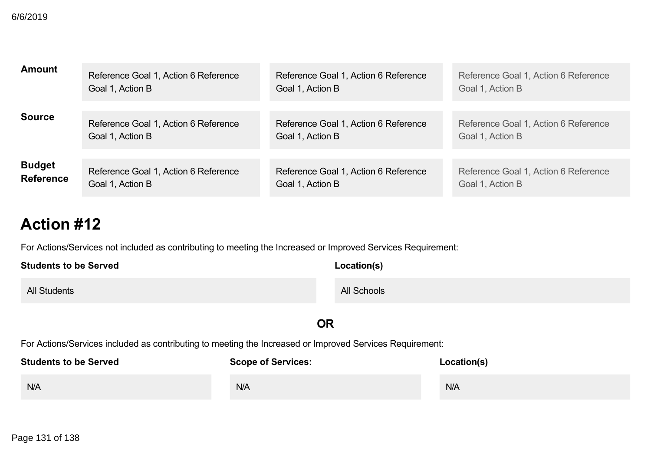| 6/6/2019                                            |                                                          |                                                                                                                                            |                                                          |
|-----------------------------------------------------|----------------------------------------------------------|--------------------------------------------------------------------------------------------------------------------------------------------|----------------------------------------------------------|
| <b>Amount</b>                                       | Reference Goal 1, Action 6 Reference<br>Goal 1, Action B | Reference Goal 1, Action 6 Reference<br>Goal 1, Action B                                                                                   | Reference Goal 1, Action 6 Reference<br>Goal 1, Action B |
| <b>Source</b>                                       | Reference Goal 1, Action 6 Reference<br>Goal 1, Action B | Reference Goal 1, Action 6 Reference<br>Goal 1, Action B                                                                                   | Reference Goal 1, Action 6 Reference<br>Goal 1, Action B |
| <b>Budget</b><br><b>Reference</b>                   | Reference Goal 1, Action 6 Reference<br>Goal 1, Action B | Reference Goal 1, Action 6 Reference<br>Goal 1, Action B                                                                                   | Reference Goal 1, Action 6 Reference<br>Goal 1, Action B |
| <b>Action #12</b>                                   |                                                          |                                                                                                                                            |                                                          |
| <b>Students to be Served</b><br><b>All Students</b> |                                                          | For Actions/Services not included as contributing to meeting the Increased or Improved Services Requirement:<br>Location(s)<br>All Schools |                                                          |
|                                                     |                                                          | <b>OR</b>                                                                                                                                  |                                                          |
| N/A                                                 | Students to be Served Scope of Services:<br>N/A          | For Actions/Services included as contributing to meeting the Increased or Improved Services Requirement:<br><b>Location(s)</b>             | N/A                                                      |
| Page 131 of 138                                     |                                                          |                                                                                                                                            |                                                          |
|                                                     |                                                          |                                                                                                                                            |                                                          |
|                                                     |                                                          |                                                                                                                                            |                                                          |
|                                                     |                                                          |                                                                                                                                            |                                                          |
|                                                     |                                                          |                                                                                                                                            |                                                          |
|                                                     |                                                          |                                                                                                                                            |                                                          |
|                                                     |                                                          |                                                                                                                                            |                                                          |
|                                                     |                                                          |                                                                                                                                            |                                                          |
|                                                     |                                                          |                                                                                                                                            |                                                          |
|                                                     |                                                          |                                                                                                                                            |                                                          |
|                                                     |                                                          |                                                                                                                                            |                                                          |
|                                                     |                                                          |                                                                                                                                            |                                                          |
|                                                     |                                                          |                                                                                                                                            |                                                          |
|                                                     |                                                          |                                                                                                                                            |                                                          |
|                                                     |                                                          |                                                                                                                                            |                                                          |
|                                                     |                                                          |                                                                                                                                            |                                                          |
|                                                     |                                                          |                                                                                                                                            |                                                          |
|                                                     |                                                          |                                                                                                                                            |                                                          |
|                                                     |                                                          |                                                                                                                                            |                                                          |
|                                                     |                                                          |                                                                                                                                            |                                                          |
|                                                     |                                                          |                                                                                                                                            |                                                          |
|                                                     |                                                          |                                                                                                                                            |                                                          |
|                                                     |                                                          |                                                                                                                                            |                                                          |
|                                                     |                                                          |                                                                                                                                            |                                                          |
|                                                     |                                                          |                                                                                                                                            |                                                          |
|                                                     |                                                          |                                                                                                                                            |                                                          |
|                                                     |                                                          |                                                                                                                                            |                                                          |
|                                                     |                                                          |                                                                                                                                            |                                                          |
|                                                     |                                                          |                                                                                                                                            |                                                          |
|                                                     |                                                          |                                                                                                                                            |                                                          |
|                                                     |                                                          |                                                                                                                                            |                                                          |
|                                                     |                                                          |                                                                                                                                            |                                                          |
|                                                     |                                                          |                                                                                                                                            |                                                          |
|                                                     |                                                          |                                                                                                                                            |                                                          |
|                                                     |                                                          |                                                                                                                                            |                                                          |
|                                                     |                                                          |                                                                                                                                            |                                                          |
|                                                     |                                                          |                                                                                                                                            |                                                          |
|                                                     |                                                          |                                                                                                                                            |                                                          |
|                                                     |                                                          |                                                                                                                                            |                                                          |
|                                                     |                                                          |                                                                                                                                            |                                                          |
|                                                     |                                                          |                                                                                                                                            |                                                          |
|                                                     |                                                          |                                                                                                                                            |                                                          |
|                                                     |                                                          |                                                                                                                                            |                                                          |
|                                                     |                                                          |                                                                                                                                            |                                                          |
|                                                     |                                                          |                                                                                                                                            |                                                          |
|                                                     |                                                          |                                                                                                                                            |                                                          |
|                                                     |                                                          |                                                                                                                                            |                                                          |
|                                                     |                                                          |                                                                                                                                            |                                                          |

| <b>Students to be Served</b> | Location(s) |
|------------------------------|-------------|
| <b>All Students</b>          | All Schools |

# **OR**

| <b>Students to be Served</b> | <b>Scope of Services:</b> | Location(s) |
|------------------------------|---------------------------|-------------|
| N/A                          | N/A                       | N/A         |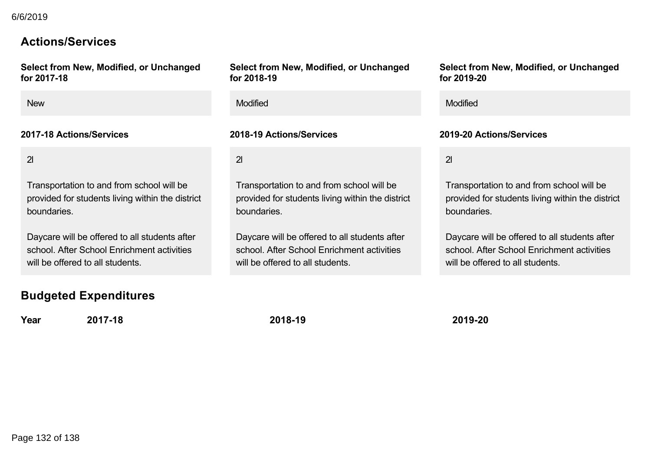# **Actions/Services**

**Select from New, Modified, or Unchanged for 201718**

2l

Transportation to and from school will be provided for students living within the district boundaries.

Daycare will be offered to all students after school. After School Enrichment activities will be offered to all students.

# **Budgeted Expenditures**

**Year 201718 201819 201920**

**Select from New, Modified, or Unchanged for 201819**

New **New Service Contract Contract Contract Contract Contract Contract Contract Contract Contract Contract Contract Contract Contract Contract Contract Contract Contract Contract Contract Contract Contract Contract Contrac** 

## **201718 Actions/Services 201819 Actions/Services 201920 Actions/Services**

 $\overline{2}$ 

Transportation to and from school will be provided for students living within the district boundaries. Students of Maximum Sections of Low School included to the provided of Unchanged<br>
Select from New, Modified for 2018-19<br>
Street 2017-18<br>
New Modified Review Modified<br>
2017-18 Actions/Services<br>
2018-19 Actions/Services<br>
201

Daycare will be offered to all students after school. After School Enrichment activities will be offered to all students.

**Select from New, Modified, or Unchanged for 201920**

 $\overline{2}$ l

Transportation to and from school will be provided for students living within the district boundaries.

Daycare will be offered to all students after school. After School Enrichment activities will be offered to all students.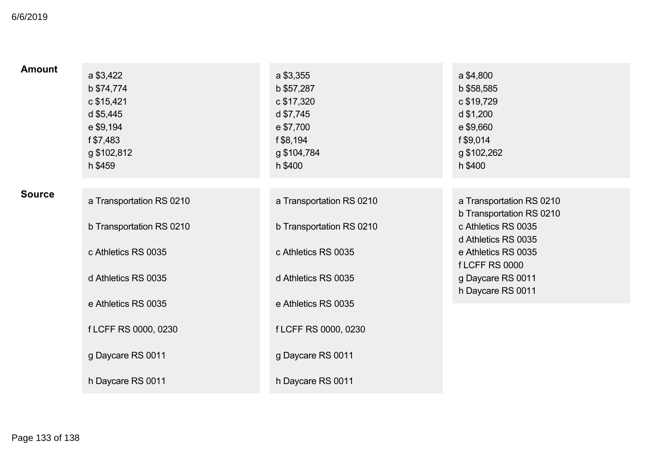| 6/6/2019        |                                                                                                        |                                                                                                        |                                                                                                                                                                                             |
|-----------------|--------------------------------------------------------------------------------------------------------|--------------------------------------------------------------------------------------------------------|---------------------------------------------------------------------------------------------------------------------------------------------------------------------------------------------|
| <b>Amount</b>   | a \$3,422<br>b \$74,774<br>c \$15,421<br>d \$5,445<br>e \$9,194<br>f \$7,483<br>g \$102,812<br>h \$459 | a \$3,355<br>b \$57,287<br>c \$17,320<br>d \$7,745<br>e \$7,700<br>f \$8,194<br>g \$104,784<br>h \$400 | a \$4,800<br>b \$58,585<br>c \$19,729<br>d \$1,200<br>e \$9,660<br>f \$9,014<br>g \$102,262<br>h \$400                                                                                      |
| <b>Source</b>   | a Transportation RS 0210<br>b Transportation RS 0210<br>c Athletics RS 0035<br>d Athletics RS 0035     | a Transportation RS 0210<br>b Transportation RS 0210<br>c Athletics RS 0035<br>d Athletics RS 0035     | a Transportation RS 0210<br>b Transportation RS 0210<br>c Athletics RS 0035<br>d Athletics RS 0035<br>e Athletics RS 0035<br><b>fLCFF RS 0000</b><br>g Daycare RS 0011<br>h Daycare RS 0011 |
|                 | e Athletics RS 0035<br>f LCFF RS 0000, 0230<br>g Daycare RS 0011<br>h Daycare RS 0011                  | e Athletics RS 0035<br>f LCFF RS 0000, 0230<br>g Daycare RS 0011<br>h Daycare RS 0011                  |                                                                                                                                                                                             |
| Page 133 of 138 |                                                                                                        |                                                                                                        |                                                                                                                                                                                             |
|                 |                                                                                                        |                                                                                                        |                                                                                                                                                                                             |
|                 |                                                                                                        |                                                                                                        |                                                                                                                                                                                             |
|                 |                                                                                                        |                                                                                                        |                                                                                                                                                                                             |
|                 |                                                                                                        |                                                                                                        |                                                                                                                                                                                             |
|                 |                                                                                                        |                                                                                                        |                                                                                                                                                                                             |
|                 |                                                                                                        |                                                                                                        |                                                                                                                                                                                             |
|                 |                                                                                                        |                                                                                                        |                                                                                                                                                                                             |
|                 |                                                                                                        |                                                                                                        |                                                                                                                                                                                             |
|                 |                                                                                                        |                                                                                                        |                                                                                                                                                                                             |
|                 |                                                                                                        |                                                                                                        |                                                                                                                                                                                             |
|                 |                                                                                                        |                                                                                                        |                                                                                                                                                                                             |
|                 |                                                                                                        |                                                                                                        |                                                                                                                                                                                             |
|                 |                                                                                                        |                                                                                                        |                                                                                                                                                                                             |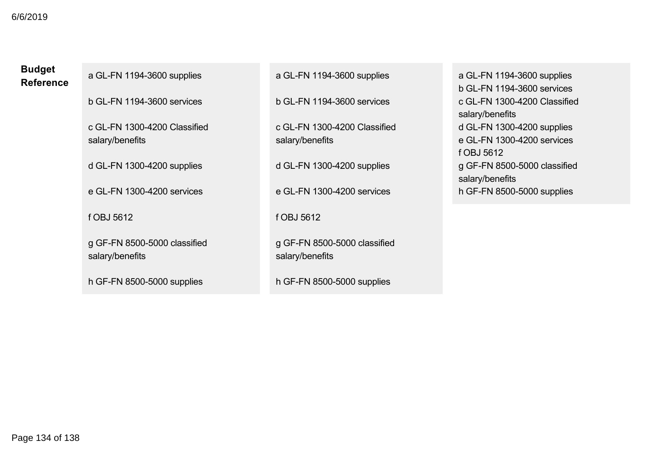## **Budget Reference**

a GL-FN 1194-3600 supplies

b GLFN 11943600 services

c GL-FN 1300-4200 Classified salary/benefits

d GLFN 13004200 supplies

e GLFN 13004200 services

f OBJ 5612

g GF-FN 8500-5000 classified salary/benefits Student<br>
Students of CL-FN 1194-3600 supplies<br>
b GL-FN 1194-3600 services<br>
c CL-FN 1390-4200 Classified<br>
salary/benefits<br>
d GL-FN 1300-4200 supplies<br>
e GL-FN 1300-4200 supplies<br>
e GL-FN 1300-4200 supplies<br>
e GL-FN 1300-420

h GF-FN 8500-5000 supplies

a GL-FN 1194-3600 supplies

b GLFN 11943600 services

c GL-FN 1300-4200 Classified salary/benefits

d GL-FN 1300-4200 supplies

e GL-FN 1300-4200 services

f OBJ 5612

g GF-FN 8500-5000 classified salary/benefits

h GF-FN 8500-5000 supplies

a GL-FN 1194-3600 supplies b GLFN 11943600 services c GL-FN 1300-4200 Classified salary/benefits d GL-FN 1300-4200 supplies e GL-FN 1300-4200 services f OBJ 5612 g GF-FN 8500-5000 classified salary/benefits h GF-FN 8500-5000 supplies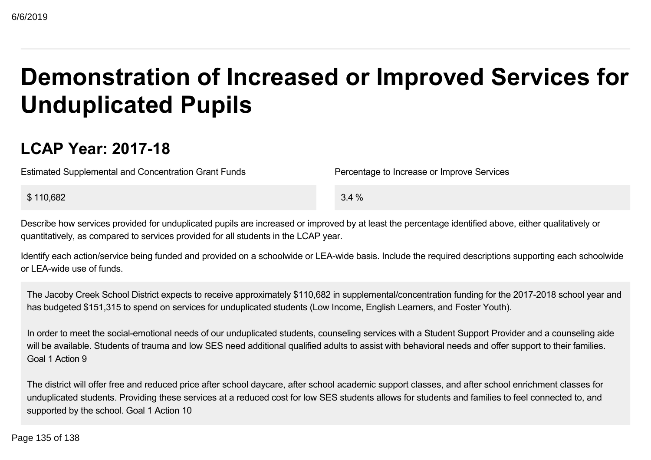# **Demonstration of Increased or Improved Services for Unduplicated Pupils Students of low Students of low SES need at a reduced cost for low SES students allows for students of any properties of the process or time provided for unduplicated pupils are increased or improved by at least the perce**

# **LCAP Year: 201718**

Estimated Supplemental and Concentration Grant Funds Percentage to Increase or Improve Services

 $$110,682$   $3.4\%$ 

Describe how services provided for unduplicated pupils are increased or improved by at least the percentage identified above, either qualitatively or quantitatively, as compared to services provided for all students in the LCAP year.

Identify each action/service being funded and provided on a schoolwide or LEA-wide basis. Include the required descriptions supporting each schoolwide or LEAwide use of funds.

The Jacoby Creek School District expects to receive approximately \$110,682 in supplemental/concentration funding for the 2017-2018 school year and has budgeted \$151,315 to spend on services for unduplicated students (Low Income, English Learners, and Foster Youth).

In order to meet the social-emotional needs of our unduplicated students, counseling services with a Student Support Provider and a counseling aide will be available. Students of trauma and low SES need additional qualified adults to assist with behavioral needs and offer support to their families. Goal 1 Action 9

The district will offer free and reduced price after school daycare, after school academic support classes, and after school enrichment classes for unduplicated students. Providing these services at a reduced cost for low SES students allows for students and families to feel connected to, and supported by the school. Goal 1 Action 10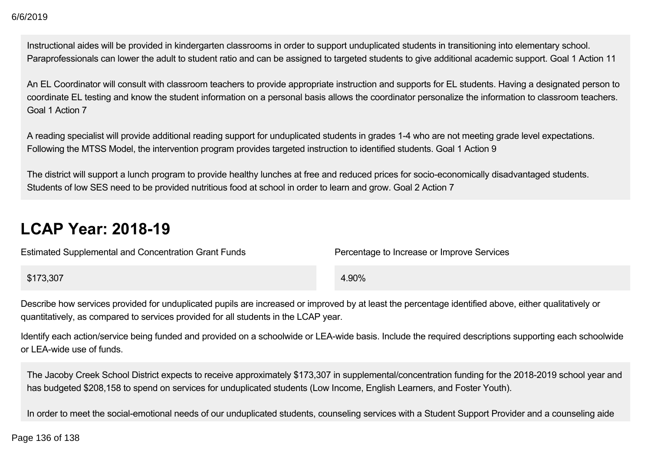# **LCAP Year: 201819**

| 6/6/2019                                                                                                                                                                                                                                                                                                              |                                            |
|-----------------------------------------------------------------------------------------------------------------------------------------------------------------------------------------------------------------------------------------------------------------------------------------------------------------------|--------------------------------------------|
| Instructional aides will be provided in kindergarten classrooms in order to support unduplicated students in transitioning into elementary school.<br>Paraprofessionals can lower the adult to student ratio and can be assigned to targeted students to give additional academic support. Goal 1 Action              |                                            |
| An EL Coordinator will consult with classroom teachers to provide appropriate instruction and supports for EL students. Having a designated per<br>coordinate EL testing and know the student information on a personal basis allows the coordinator personalize the information to classroom tead<br>Goal 1 Action 7 |                                            |
| A reading specialist will provide additional reading support for unduplicated students in grades 1-4 who are not meeting grade level expectations.<br>Following the MTSS Model, the intervention program provides targeted instruction to identified students. Goal 1 Action 9                                        |                                            |
| The district will support a lunch program to provide healthy lunches at free and reduced prices for socio-economically disadvantaged students.<br>Students of low SES need to be provided nutritious food at school in order to learn and grow. Goal 2 Action 7                                                       |                                            |
| <b>LCAP Year: 2018-19</b>                                                                                                                                                                                                                                                                                             |                                            |
| <b>Estimated Supplemental and Concentration Grant Funds</b>                                                                                                                                                                                                                                                           | Percentage to Increase or Improve Services |
| \$173,307                                                                                                                                                                                                                                                                                                             | 4.90%                                      |
| Describe how services provided for unduplicated pupils are increased or improved by at least the percentage identified above, either qualitatively c<br>quantitatively, as compared to services provided for all students in the LCAP year.                                                                           |                                            |
| Identify each action/service being funded and provided on a schoolwide or LEA-wide basis. Include the required descriptions supporting each scho<br>or LEA-wide use of funds.                                                                                                                                         |                                            |
| The Jacoby Creek School District expects to receive approximately \$173,307 in supplemental/concentration funding for the 2018-2019 school ye<br>has budgeted \$208,158 to spend on services for unduplicated students (Low Income, English Learners, and Foster Youth).                                              |                                            |
| In order to meet the social-emotional needs of our unduplicated students, counseling services with a Student Support Provider and a counseling                                                                                                                                                                        |                                            |
| Page 136 of 138                                                                                                                                                                                                                                                                                                       |                                            |
|                                                                                                                                                                                                                                                                                                                       |                                            |
|                                                                                                                                                                                                                                                                                                                       |                                            |
|                                                                                                                                                                                                                                                                                                                       |                                            |
|                                                                                                                                                                                                                                                                                                                       |                                            |
|                                                                                                                                                                                                                                                                                                                       |                                            |
|                                                                                                                                                                                                                                                                                                                       |                                            |
|                                                                                                                                                                                                                                                                                                                       |                                            |
|                                                                                                                                                                                                                                                                                                                       |                                            |
|                                                                                                                                                                                                                                                                                                                       |                                            |
|                                                                                                                                                                                                                                                                                                                       |                                            |
|                                                                                                                                                                                                                                                                                                                       |                                            |
|                                                                                                                                                                                                                                                                                                                       |                                            |
|                                                                                                                                                                                                                                                                                                                       |                                            |
|                                                                                                                                                                                                                                                                                                                       |                                            |
|                                                                                                                                                                                                                                                                                                                       |                                            |
|                                                                                                                                                                                                                                                                                                                       |                                            |
|                                                                                                                                                                                                                                                                                                                       |                                            |
|                                                                                                                                                                                                                                                                                                                       |                                            |
|                                                                                                                                                                                                                                                                                                                       |                                            |
|                                                                                                                                                                                                                                                                                                                       |                                            |
|                                                                                                                                                                                                                                                                                                                       |                                            |
|                                                                                                                                                                                                                                                                                                                       |                                            |
|                                                                                                                                                                                                                                                                                                                       |                                            |
|                                                                                                                                                                                                                                                                                                                       |                                            |
|                                                                                                                                                                                                                                                                                                                       |                                            |
|                                                                                                                                                                                                                                                                                                                       |                                            |
|                                                                                                                                                                                                                                                                                                                       |                                            |
|                                                                                                                                                                                                                                                                                                                       |                                            |
|                                                                                                                                                                                                                                                                                                                       |                                            |
|                                                                                                                                                                                                                                                                                                                       |                                            |
|                                                                                                                                                                                                                                                                                                                       |                                            |
|                                                                                                                                                                                                                                                                                                                       |                                            |

Identify each action/service being funded and provided on a schoolwide or LEA-wide basis. Include the required descriptions supporting each schoolwide or LEAwide use of funds.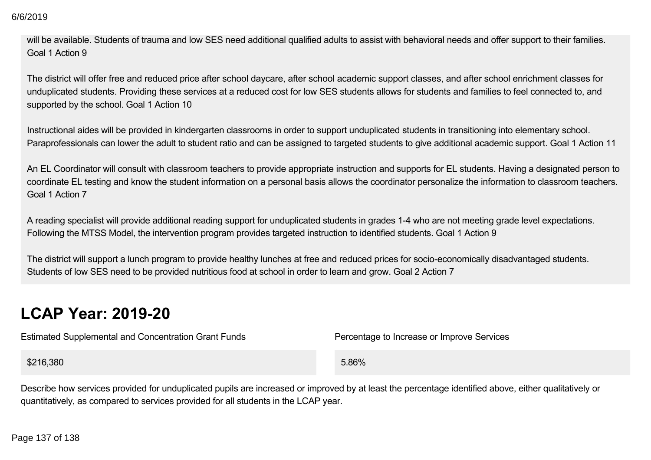will be available. Students of trauma and low SES need additional qualified adults to assist with behavioral needs and offer support to their families. Goal 1 Action 9

The district will offer free and reduced price after school daycare, after school academic support classes, and after school enrichment classes for unduplicated students. Providing these services at a reduced cost for low SES students allows for students and families to feel connected to, and supported by the school. Goal 1 Action 10

Instructional aides will be provided in kindergarten classrooms in order to support unduplicated students in transitioning into elementary school. Paraprofessionals can lower the adult to student ratio and can be assigned to targeted students to give additional academic support. Goal 1 Action 11

An EL Coordinator will consult with classroom teachers to provide appropriate instruction and supports for EL students. Having a designated person to coordinate EL testing and know the student information on a personal basis allows the coordinator personalize the information to classroom teachers. Goal 1 Action 7  $6(82019$ <br>
Will be available. Students of trauma and low SES need additional qualified adults to assist with behavioral ne<br>
Goal 1 Action 9<br>
The district will offer free and reduced price after school daycare, after schoo

A reading specialist will provide additional reading support for unduplicated students in grades 14 who are not meeting grade level expectations. Following the MTSS Model, the intervention program provides targeted instruction to identified students. Goal 1 Action 9

The district will support a lunch program to provide healthy lunches at free and reduced prices for socio-economically disadvantaged students. Students of low SES need to be provided nutritious food at school in order to learn and grow. Goal 2 Action 7

# **LCAP Year: 2019-20**

Estimated Supplemental and Concentration Grant Funds Percentage to Increase or Improve Services

 $$216,380$  5.86%

Describe how services provided for unduplicated pupils are increased or improved by at least the percentage identified above, either qualitatively or quantitatively, as compared to services provided for all students in the LCAP year.